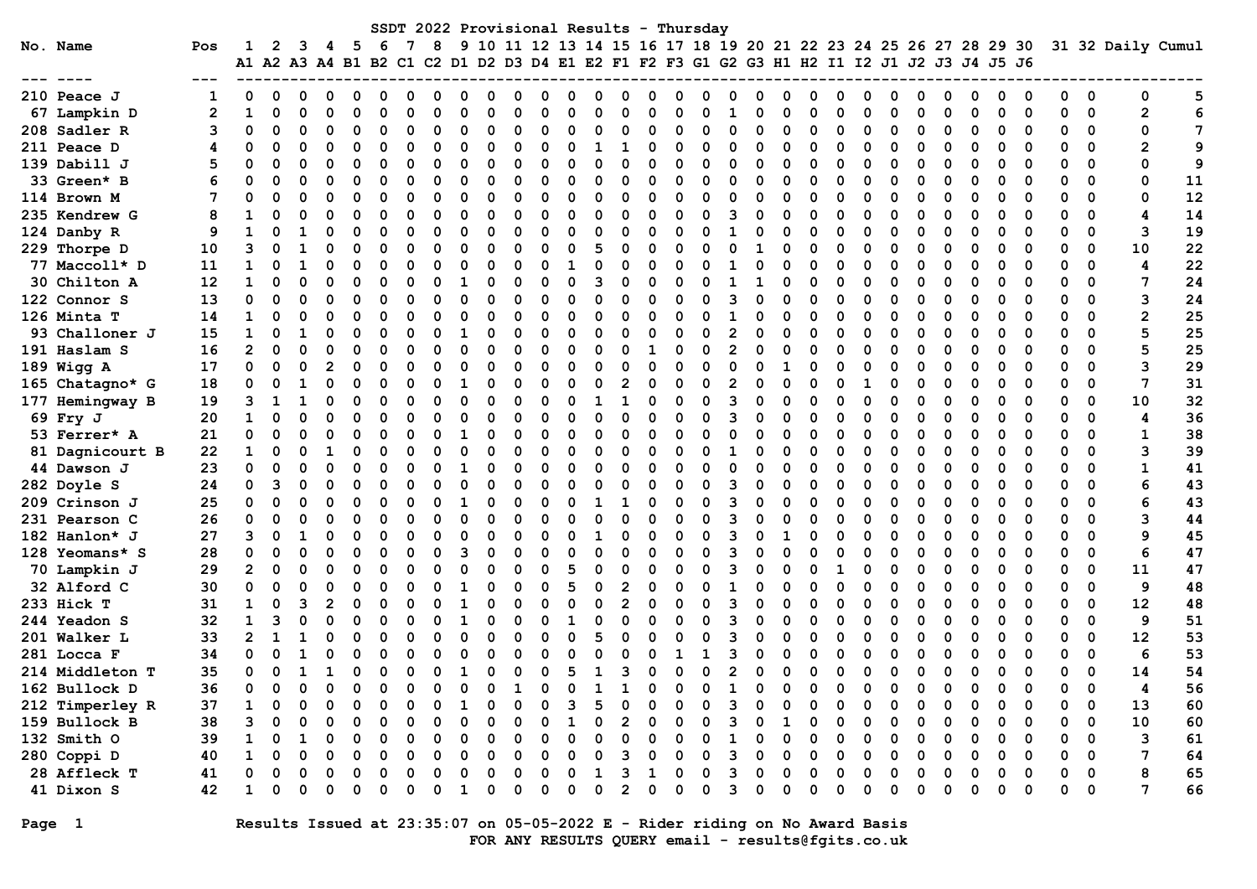|                                  |          |                   |        |              |   |               |   |          |          |   |   |          |   |   |               |   |               |        | SSDT 2022 Provisional Results - Thursday                                                                                                                    |          |   |        |          |   |               |   |          |               |   |        |          |        |          |                   |                 |
|----------------------------------|----------|-------------------|--------|--------------|---|---------------|---|----------|----------|---|---|----------|---|---|---------------|---|---------------|--------|-------------------------------------------------------------------------------------------------------------------------------------------------------------|----------|---|--------|----------|---|---------------|---|----------|---------------|---|--------|----------|--------|----------|-------------------|-----------------|
| No. Name                         | Pos      | 1                 | 2      |              |   | 5             | 6 |          | 8        | 9 |   |          |   |   |               |   |               |        | 10 11 12 13 14 15 16 17 18 19 20 21 22 23 24 25 26 27 28 29 30<br>A1 A2 A3 A4 B1 B2 C1 C2 D1 D2 D3 D4 E1 E2 F1 F2 F3 G1 G2 G3 H1 H2 I1 I2 J1 J2 J3 J4 J5 J6 |          |   |        |          |   |               |   |          |               |   |        |          |        |          | 31 32 Daily Cumul |                 |
| 210 Peace J                      | 1        | 0                 | O      |              |   |               |   |          |          |   |   |          |   |   |               |   |               |        |                                                                                                                                                             |          |   |        |          |   |               |   |          |               |   |        |          |        | 0        | 0                 | 5               |
| 67 Lampkin D                     | 2        | 1                 | 0      |              |   |               |   |          |          |   |   |          |   | ი |               |   | O             |        | n                                                                                                                                                           |          |   | ი      |          |   | 0             |   |          | O             |   | ŋ      | $\Omega$ |        | 0        | $\mathbf{2}$      | 6               |
| 208 Sadler R                     | 3        | 0                 | 0      |              |   | 0             |   |          | $\Omega$ |   | O | $\Omega$ |   | 0 | 0             |   | 0             |        | ი                                                                                                                                                           | $\Omega$ |   | O      | O        |   | 0             |   |          | $\Omega$      |   | 0      | 0        | 0      | 0        | 0                 | $7\phantom{.0}$ |
| 211 Peace D                      | 4        | O                 | 0      | O            |   | O             | ſ |          | O        |   | O | $\Omega$ | O | 0 |               |   | 0             | O      | O                                                                                                                                                           | O        | O | O      | $\Omega$ | O | 0             | O |          | O             | O | 0      | 0        | O      | $\Omega$ | 2                 | 9               |
| 139 Dabill J                     | 5        |                   | 0      | O            |   | O             |   |          |          |   | O | O        | O | O | O             |   | $\Omega$      | O      | ი                                                                                                                                                           | O        |   | O      | O        |   | $\Omega$      | n |          | O             |   | ŋ      |          |        | $\Omega$ | 0                 | 9               |
| 33 Green* B                      |          |                   | O      | <sup>0</sup> |   | 0             |   |          | O        |   | n | O        | o | O | O             |   | $\Omega$      | O      | ი                                                                                                                                                           | O        |   | O      | O        |   | $\Omega$      | O |          | O             |   | O      | O        |        | $\Omega$ | 0                 | 11              |
| 114 Brown M                      | 7        |                   | O      |              |   | O             |   |          |          |   | O | O        | O | O | C             |   | O             |        | ი                                                                                                                                                           |          |   | O      | n        |   | O             |   |          | O             |   | O      |          |        | 0        | 0                 | 12              |
| 235 Kendrew G                    | 8        |                   | 0      |              |   | O             |   |          | O        |   |   | 0        | O |   | 0             |   | O             |        |                                                                                                                                                             | 3        |   | O      |          |   | O             |   |          | O             |   | O      |          | O      | 0        | 4                 | 14              |
| 124 Danby R                      | 9        |                   | O      |              |   |               |   |          |          |   |   | O        |   |   | O             |   | O             |        |                                                                                                                                                             |          |   | O      |          |   |               |   |          | O             |   | O      |          | O      | 0        | 3                 | 19              |
| 229 Thorpe D                     | 10       | 3                 | O      |              |   | O             |   |          | ∩        |   |   |          |   |   |               |   | O             |        |                                                                                                                                                             |          |   |        |          |   | ŋ             |   |          | O             |   |        |          |        | 0        | 10                | 22              |
| 77 Maccoll* D                    | 11       | 1                 | O      |              |   | ი             |   |          |          |   |   |          |   |   |               |   | O             |        |                                                                                                                                                             |          |   | n      |          |   |               |   |          | O             |   |        |          |        | $\Omega$ | 4                 | 22              |
| 30 Chilton A                     | 12       | 1                 | 0      |              |   | O             |   |          |          |   |   |          |   | ი | ٩             |   | O             |        |                                                                                                                                                             |          |   | O      |          |   | ŋ             |   |          | O             |   | n      |          |        | $\Omega$ | 7                 | 24              |
| 122 Connor S                     | 13       | 0                 | 0      | 0            |   | $\Omega$      | ſ |          | O        |   | n | O        |   | 0 | 0             |   | $\Omega$      |        | ი                                                                                                                                                           | 3        |   | 0      | O        |   | 0             |   |          | O             |   | O      | O        |        | $\Omega$ | 3                 | 24              |
| 126 Minta T                      | 14       | 1                 | O      | O            |   | O             |   |          |          |   | n |          |   | O | O             |   | $\Omega$      | O      | ი                                                                                                                                                           |          |   | O      | O        |   | 0             |   |          | O             |   | O      |          |        | $\Omega$ | $\mathbf{2}$      | 25              |
| 93 Challoner J                   | 15       | $\mathbf{1}$      | O      | 1            |   | $\Omega$      |   |          | O        |   | O | O        |   | O | O             |   | $\Omega$      |        | n                                                                                                                                                           | 2        |   | O      | O        |   | O             | C |          | ŋ             |   | n      |          |        | $\Omega$ | 5                 | 25              |
| 191 Haslam S                     | 16       | $\overline{2}$    | 0      | $\Omega$     |   | O             |   |          |          |   |   |          |   | O | C             |   | 1             |        | ი                                                                                                                                                           | 2        |   | O      |          |   | ŋ             |   |          | O             |   | n      |          |        | $\Omega$ | 5                 | 25              |
| 189 Wigg A                       | 17       | 0                 | 0      | O            |   | O             |   |          |          |   |   | O        |   |   | O             |   | O             |        | ი                                                                                                                                                           | O        |   |        |          |   |               |   |          | O             |   | O      |          |        | $\Omega$ | 3                 | 29              |
| 165 Chatagno* G                  | 18       | 0                 | O      |              |   | O             |   |          |          |   |   | O        |   |   | 0             |   | O             |        | ი                                                                                                                                                           |          |   | O      |          |   |               |   |          | O             |   |        |          |        | 0        | 7                 | 31              |
| 177 Hemingway B                  | 19       | 3                 | 1      |              |   | U             |   |          |          |   |   | O        |   | O |               |   | $\Omega$      | O      | O                                                                                                                                                           | 3        |   | O      |          |   | 0             |   |          | O             |   |        |          |        | 0        | 10                | 32              |
| 69 Fry J                         | 20       | 1                 | O      |              |   | O             |   |          |          |   |   | n        |   | ი | O             |   | $\Omega$      |        | ი                                                                                                                                                           |          |   | O      |          |   | U             |   |          | O             |   | O      | ∩        |        | $\Omega$ | 4                 | 36              |
| 53 Ferrer* A                     | 21       | 0                 | 0      | O            |   | O             |   |          |          |   | n | 0        |   | O | O             |   | $\Omega$      |        | ი                                                                                                                                                           |          |   | O      | n        |   | $\Omega$      |   |          | O             |   | 0      | 0        | O      | $\Omega$ | 1                 | 38              |
| 81 Dagnicourt B                  | 22       | 1                 | 0      | O            |   | 0             | O |          | O        |   | O | O        | O | 0 | 0             |   | $\Omega$      | O      | O                                                                                                                                                           |          |   | O      | O        |   | $\Omega$      | O |          | O             |   | 0      | O        | O      | $\Omega$ | 3                 | 39              |
| 44 Dawson J                      | 23       | 0                 | 0      | O            |   | O             |   |          |          |   | n | O        | O | O | O             |   | $\Omega$      | O      | O                                                                                                                                                           | O        |   | O      | ∩        |   | $\Omega$      | n |          | O             |   | ŋ      |          |        | $\Omega$ | 1                 | 41              |
| 282 Doyle S                      | 24       | 0                 | 3      | 0            |   | 0             | ٢ |          | ∩        |   | O | ∩        | O | O | C             |   | $\Omega$      | O      | ი                                                                                                                                                           | ิว       |   | O      | n        |   | $\Omega$      | O |          | O             |   | O      | O        |        | $\Omega$ | 6                 | 43              |
| 209 Crinson J                    | 25       | U                 | O      |              |   | O             |   |          |          |   |   | O        |   | O |               |   | 0             |        | ი                                                                                                                                                           | ิว       |   | O      |          |   | O             |   |          | O             |   | O      |          |        | $\Omega$ | 6                 | 43              |
| 231 Pearson C                    | 26       | O                 | 0      |              |   | O             |   |          |          |   |   | 0        | O |   | C             |   | O             |        | ი                                                                                                                                                           | 3        |   | O      |          |   | O             |   |          | O             |   | 0      | O        |        | 0        | 3                 | 44              |
| 182 Hanlon* J                    | 27       | 3                 | O      |              |   | O             |   |          |          |   |   |          |   | O |               |   | O             |        |                                                                                                                                                             | 3        |   |        |          |   |               |   |          | O             |   |        |          |        | 0        | 9                 | 45              |
| 128 Yeomans* S                   | 28       | 0                 | O      |              |   | O             |   |          | O        |   |   |          |   | O |               |   | O             |        |                                                                                                                                                             | З        |   | O      |          |   |               |   |          | ŋ             |   |        |          |        | 0        | 6                 | 47              |
| 70 Lampkin J                     | 29       | 2                 | O      |              |   | O             |   |          |          |   |   |          |   | 5 | O             |   | O             |        |                                                                                                                                                             |          |   | ი      |          |   | ŋ             |   |          | O             |   | n      | ∩        | ი      | $\Omega$ | 11                | 47              |
| 32 Alford C                      | 30       | 0                 | 0      |              |   | 0             |   |          |          |   |   | O<br>O   |   | 5 | $\Omega$      | 2 | 0             |        | ი                                                                                                                                                           |          |   | O      |          |   | O             |   |          | $\Omega$<br>O |   | O      | O        | 0      | 0        | 9                 | 48              |
| 233 Hick T                       | 31       | 1<br>$\mathbf{1}$ | 0      | 3<br>O       |   | 0<br>$\Omega$ |   |          | ∩        |   | O | O        |   | 0 | $\Omega$<br>∩ |   | 0<br>$\Omega$ | O<br>O | O<br>ი                                                                                                                                                      | 3<br>ิว  |   | 0<br>ი | O<br>n   |   | $\Omega$<br>0 |   |          | ŋ             |   | 0<br>ŋ | O<br>O   | 0<br>O | 0<br>0   | 12                | 48              |
| 244 Yeadon S                     | 32       |                   | 3      |              |   |               |   |          | ∩        |   | O | O        |   | O |               |   | $\Omega$      |        | ი                                                                                                                                                           | ิว       |   | O      | n        |   | O             |   |          | ŋ             |   | n      | ∩        | O      | $\Omega$ | 9                 | 51              |
| 201 Walker L                     | 33<br>34 | 2                 | 1<br>O | 1            |   | 0<br>O        | ſ |          |          |   |   | O        | O | O |               |   | $\Omega$      |        |                                                                                                                                                             | 3        |   | ი      |          |   | ŋ             | C |          | ŋ             |   | n      |          |        | $\Omega$ | 12<br>6           | 53<br>53        |
| 281 Locca F<br>214 Middleton T   | 35       | 0                 | 0      |              |   | 0             | 0 |          | O        |   | O | 0        | 0 | 5 | 1             | з | O             |        | O                                                                                                                                                           | 2        |   | 0      | O        |   | 0             | Ω |          | O             |   | O      | $\Omega$ | O      | 0        | 14                | 54              |
| 162 Bullock D                    | 36       | 0                 | 0      | 0            | 0 | 0             | 0 | $\Omega$ | $\Omega$ | 0 | 0 | 1        | 0 | 0 | 1             | 1 | 0             | 0      | 0                                                                                                                                                           | 1        | 0 | 0      | 0        | 0 | 0             | 0 | $\Omega$ | $\Omega$      | 0 | 0      | 0        | n      | $\Omega$ | 4                 | 56              |
|                                  |          |                   |        |              |   |               |   |          |          |   |   |          |   |   |               |   |               |        |                                                                                                                                                             |          |   |        |          |   |               |   |          |               |   |        |          |        | 0        |                   |                 |
| 212 Timperley R<br>159 Bullock B | 37<br>38 |                   |        |              |   |               |   |          |          |   |   |          |   |   |               |   |               |        |                                                                                                                                                             |          |   |        |          |   |               |   |          |               |   |        |          |        | 0        | 13<br>10          | 60<br>60        |
| 132 Smith O                      | 39       |                   |        |              |   | O             |   |          |          |   |   |          |   | 0 |               |   |               |        |                                                                                                                                                             |          |   | ი      |          |   |               |   |          | O             |   |        | 0        | O      | 0        | 3                 | 61              |
| 280 Coppi D                      | 40       | 1                 | 0      | O            |   | O             |   |          |          |   |   | O        |   | 0 | 0             |   | O             |        | ი                                                                                                                                                           |          |   | 0      | O        |   | 0             |   |          | O             |   |        | 0        | O      | 0        | 7                 | 64              |
| 28 Affleck T                     | 41       |                   |        |              |   |               |   |          |          |   |   |          |   | 0 |               | 3 |               | Ω      | O                                                                                                                                                           |          |   | 0      | O        |   | 0             |   |          |               |   |        | 0        | 0      | 0        | 8                 | 65              |
| 41 Dixon S                       | 42       | 1                 | 0      | 0            |   | $\Omega$      |   |          | O        |   | ი | 0        | O | 0 | $\Omega$      | 2 | $\Omega$      | 0      | $\Omega$                                                                                                                                                    | 3        |   | 0      | $\Omega$ |   | $\Omega$      | O |          | 0             | 0 | 0      | 0        | 0      | 0        | 7                 | 66              |
|                                  |          |                   |        |              |   |               |   |          |          |   |   |          |   |   |               |   |               |        |                                                                                                                                                             |          |   |        |          |   |               |   |          |               |   |        |          |        |          |                   |                 |

Page 1 Results Issued at 23:35:07 on 05-05-2022 E - Rider riding on No Award Basis FOR ANY RESULTS QUERY email - results@fgits.co.uk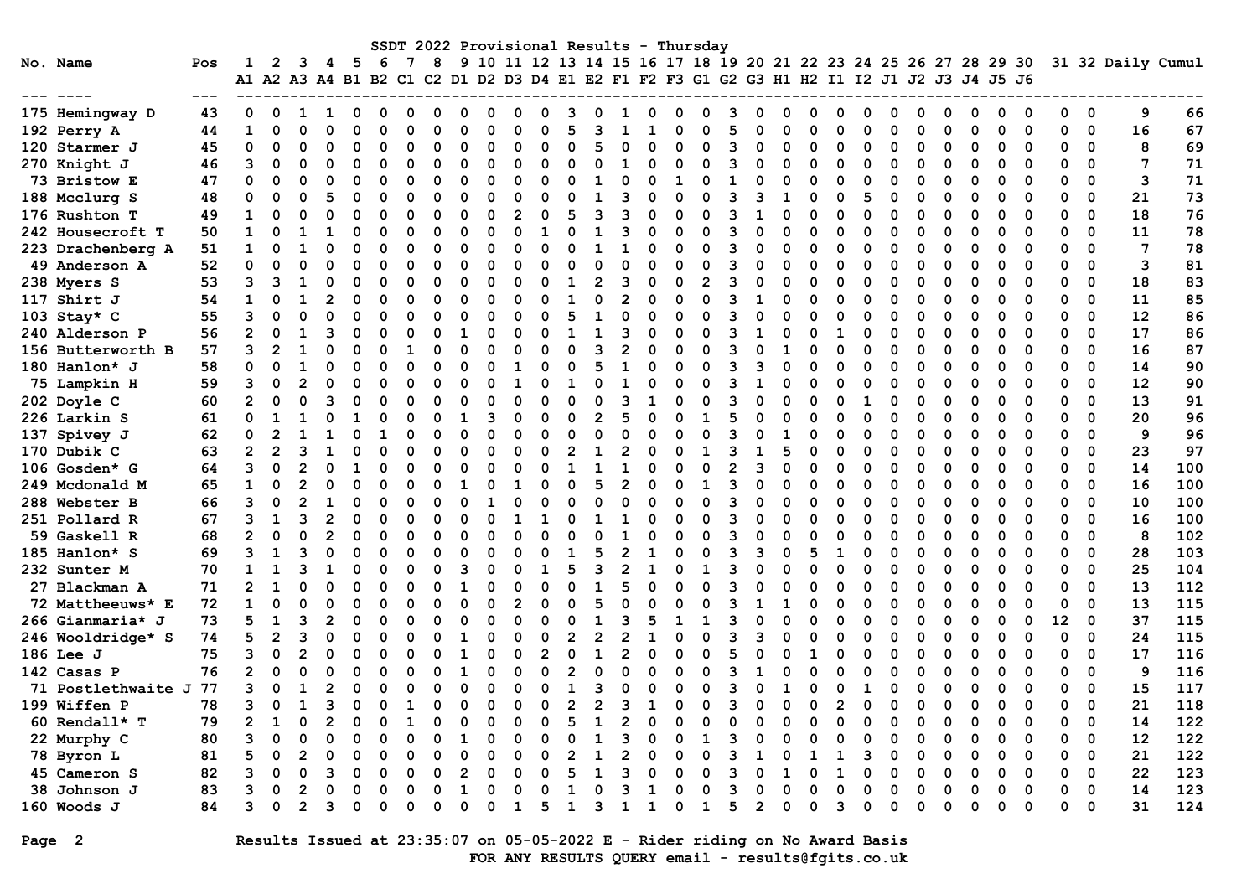|                    |       |                |                |                |   |                                                                                           |          |   |          |          |              |                |          |                |                |   |          |          | SSDT 2022 Provisional Results - Thursday                         |                |   |          |          |   |              |          |   |          |          |          |          |          |             |                   |     |
|--------------------|-------|----------------|----------------|----------------|---|-------------------------------------------------------------------------------------------|----------|---|----------|----------|--------------|----------------|----------|----------------|----------------|---|----------|----------|------------------------------------------------------------------|----------------|---|----------|----------|---|--------------|----------|---|----------|----------|----------|----------|----------|-------------|-------------------|-----|
| No. Name           | Pos   | 1              | 2              | 3              | 4 | -5                                                                                        | 6        | 7 | 8        |          |              |                |          |                |                |   |          |          | 9 10 11 12 13 14 15 16 17 18 19 20 21 22 23 24 25 26 27 28 29 30 |                |   |          |          |   |              |          |   |          |          |          |          |          |             | 31 32 Daily Cumul |     |
|                    |       |                |                |                |   | A1 A2 A3 A4 B1 B2 C1 C2 D1 D2 D3 D4 E1 E2 F1 F2 F3 G1 G2 G3 H1 H2 I1 I2 J1 J2 J3 J4 J5 J6 |          |   |          |          |              |                |          |                |                |   |          |          |                                                                  |                |   |          |          |   |              |          |   |          |          |          |          |          |             |                   |     |
|                    | $---$ |                |                |                |   |                                                                                           |          |   |          |          |              |                |          |                |                |   |          |          |                                                                  |                |   |          |          |   |              |          |   |          |          |          |          |          |             |                   |     |
| 175 Hemingway D    | 43    | $\Omega$       | $\Omega$       | 1              | ٦ | O                                                                                         | O        |   | 0        | ი        | $\mathbf{0}$ | O              | 0        | ٩              | O              |   | 0        | n        | $\Omega$                                                         | з              |   | n        | n        | o | O            | O        |   | 0        | 0        | 0        | $\Omega$ | 0        | $\Omega$    | 9                 | 66  |
| 192 Perry A        | 44    | 1              | $\Omega$       | $\Omega$       |   | $\Omega$                                                                                  | $\Omega$ |   | $\Omega$ | n        | O            | $\Omega$       | O        | 5              | ิจ             |   |          | n        | $\Omega$                                                         | 5              |   | n        | $\Omega$ |   | $\Omega$     | $\Omega$ |   | $\Omega$ | 0        | $\Omega$ | 0        | 0        | $\mathbf 0$ | 16                | 67  |
| 120 Starmer J      | 45    | 0              | $\mathbf 0$    | $\Omega$       | O | $\Omega$                                                                                  | $\Omega$ |   | O        | n        | $\Omega$     | $\Omega$       | ი        | O              | 5              |   | 0        | O        | O                                                                | २              |   | O        | ∩        |   | $\Omega$     | O        |   | 0        | O        | 0        | 0        | 0        | 0           | 8                 | 69  |
| 270 Knight J       | 46    | 3              | $\Omega$       | $\Omega$       | O | O                                                                                         | $\Omega$ |   | $\Omega$ | $\Omega$ | O            | $\Omega$       | O        | O              | $\Omega$       | 1 | $\Omega$ | 0        | $\Omega$                                                         | 3              | ი | 0        | $\Omega$ | O | 0            | $\Omega$ |   | $\Omega$ | O        | 0        | $\Omega$ | $\Omega$ | $\Omega$    | $\overline{7}$    | 71  |
| 73 Bristow E       | 47    | 0              | $\Omega$       | $\Omega$       | O | O                                                                                         | $\Omega$ |   | O        | n        | n            | O              | O        | O              | 1              | ∩ | $\Omega$ | 1        | $\Omega$                                                         | $\mathbf{1}$   |   | 0        | $\Omega$ | U | O            | 0        |   | $\Omega$ | O        | O        | $\Omega$ | 0        | $\mathbf 0$ | 3                 | 71  |
| 188 Mcclurg S      | 48    | $\mathbf 0$    | $\Omega$       | $\Omega$       |   | $\Omega$                                                                                  | $\Omega$ |   | $\Omega$ |          | O            | $\Omega$       | O        | O              | $\mathbf{1}$   |   | O        | $\Omega$ | $\Omega$                                                         | 3              |   |          | $\Omega$ | O | 5            | 0        |   | $\Omega$ | O        | $\Omega$ | $\Omega$ | 0        | $\mathbf 0$ | 21                | 73  |
| 176 Rushton T      | 49    | $\mathbf{1}$   | 0              | $\Omega$       | O | 0                                                                                         | $\Omega$ |   | O        | O        | O            | $\overline{2}$ | $\Omega$ | 5              | 3              | 3 | $\Omega$ | O        | $\Omega$                                                         | 3              |   | O        | $\Omega$ | O | $\Omega$     | 0        |   | $\Omega$ |          | 0        | 0        | $\Omega$ | $\mathbf 0$ | 18                | 76  |
| 242 Housecroft T   | 50    | $\mathbf{1}$   | O              | $\mathbf{1}$   | 1 | $\Omega$                                                                                  |          |   | O        |          | O            | $\Omega$       | 1        | O              | $\mathbf{1}$   |   | $\Omega$ | 0        | O                                                                | २              |   | n        | ∩        | O | $\Omega$     | O        |   | $\Omega$ |          | O        | $\Omega$ | 0        | $\Omega$    | 11                | 78  |
| 223 Drachenberg A  | 51    | $\mathbf{1}$   | O              |                |   | $\Omega$                                                                                  | O        |   | O        | n        | O            | $\Omega$       | O        | O              |                |   | O        | O        | O                                                                | २              | n | O        | $\Omega$ | U | 0            | O        |   | $\Omega$ | O        | O        | $\Omega$ | 0        | $\Omega$    | 7                 | 78  |
| 49 Anderson A      | 52    | 0              | $\Omega$       | $\Omega$       |   | $\Omega$                                                                                  | $\Omega$ |   | 0        |          |              | $\Omega$       | O        | O              | $\Omega$       |   | $\Omega$ | O        | $\Omega$                                                         | 3              |   | $\Omega$ | $\Omega$ | O | 0            | $\Omega$ |   | 0        |          | $\Omega$ | $\Omega$ | 0        | $\Omega$    | 3                 | 81  |
| 238 Myers S        | 53    | 3              | 3              | 1              | O | $\Omega$                                                                                  | O        |   | 0        |          | ი            | $\Omega$       |          | $\mathbf{1}$   | $\overline{2}$ | 3 | 0        | O        | $\overline{2}$                                                   | 3              | 0 | O        | $\Omega$ | O | 0            | O        |   | 0        | O        | $\Omega$ | $\Omega$ | 0        | $\Omega$    | 18                | 83  |
| 117 Shirt J        | 54    | $\mathbf{1}$   | $\Omega$       | 1              |   | 0                                                                                         | $\Omega$ |   | $\Omega$ |          | n            | ∩              | ∩        | 1              | $\Omega$       |   | $\Omega$ | 0        | $\Omega$                                                         | 3              | 1 | O        | $\Omega$ | U | 0            | $\Omega$ |   | $\Omega$ | O        | O        | $\Omega$ | $\Omega$ | $\Omega$    | 11                | 85  |
| 103 Stay* C        | 55    | 3              | $\Omega$       | $\Omega$       |   | $\Omega$                                                                                  | $\Omega$ |   | O        | O        | O            | $\Omega$       | O        | 5              | 1              | O | $\Omega$ | O        | O                                                                | 3              |   | ŋ        | $\Omega$ |   | O            | O        |   | $\Omega$ | O        | O        | $\Omega$ | 0        | $\mathbf 0$ | 12                | 86  |
| 240 Alderson P     | 56    | $\overline{2}$ | $\Omega$       |                |   | $\Omega$                                                                                  | $\Omega$ |   | $\Omega$ |          |              | $\Omega$       |          |                |                |   | $\Omega$ | O        | $\Omega$                                                         | २              |   | O        |          |   | $\Omega$     | 0        |   | $\Omega$ |          | $\Omega$ | $\Omega$ | 0        | $\Omega$    | 17                | 86  |
| 156 Butterworth B  | 57    | 3              | $\mathbf{2}$   | 1              |   | O                                                                                         | $\Omega$ |   | $\Omega$ |          |              | $\Omega$       |          | O              | ٩              |   | $\Omega$ | O        | O                                                                | 3              |   |          | O        |   | O            | O        |   | $\Omega$ | O        | O        | $\Omega$ | $\Omega$ | $\mathbf 0$ | 16                | 87  |
| 180 Hanlon* J      | 58    | 0              | $\Omega$       | $\mathbf{1}$   | U | $\Omega$                                                                                  | $\Omega$ |   | $\Omega$ | n        |              | 1              | ი        | O              | 5              |   | $\Omega$ | 0        | O                                                                | 3              | ٩ | O        | $\Omega$ | O | $\Omega$     | ∩        |   | $\Omega$ |          | O        | $\Omega$ | $\Omega$ | $\Omega$    | 14                | 90  |
| 75 Lampkin H       | 59    | 3              | $\mathbf 0$    | $\mathcal{P}$  |   | $\Omega$                                                                                  | $\Omega$ |   | $\Omega$ |          | O            |                |          |                | $\Omega$       |   | O        | O        | O                                                                | २              |   | O        | $\Omega$ |   | $\Omega$     | $\Omega$ |   | O        | $\Omega$ | $\Omega$ | $\Omega$ | 0        | $\Omega$    | 12                | 90  |
| 202 Doyle C        | 60    | $\overline{2}$ | $\mathbf 0$    | $\Omega$       |   | $\Omega$                                                                                  | $\Omega$ |   | $\Omega$ |          |              | $\Omega$       |          | O              | $\Omega$       | 3 | 1        |          | $\Omega$                                                         | २              |   | O        | $\Omega$ |   | $\mathbf{1}$ |          |   | O        |          | $\Omega$ | $\Omega$ | 0        | 0           | 13                | 91  |
| 226 Larkin S       | 61    | 0              | 1              | 1              |   |                                                                                           |          |   | U        |          | 3            | O              | ი        | U              | $\overline{2}$ |   | $\Omega$ | n        |                                                                  | 5              |   | n        | ∩        |   | O            |          |   | O        |          | O        | ∩        | 0        | $\Omega$    | 20                | 96  |
| 137 Spivey J       | 62    | 0              | $\mathbf{2}$   | 1              |   | O                                                                                         |          |   | $\Omega$ | n        | O            | $\Omega$       | O        | O              | $\Omega$       | O | $\Omega$ | O        | $\Omega$                                                         | २              |   |          | ∩        |   | 0            | 0        |   | $\Omega$ |          | O        | $\Omega$ | 0        | $\Omega$    | 9                 | 96  |
| 170 Dubik C        | 63    | $\overline{2}$ | $\overline{2}$ | 3              |   | O                                                                                         | $\Omega$ |   | O        | n        | O            | $\Omega$       | O        | $\overline{2}$ | 1              |   | $\Omega$ | O        | 1                                                                | 3              |   | 5        | $\Omega$ | O | O            | O        |   | $\Omega$ | O        | O        | $\Omega$ | O        | $\mathbf 0$ | 23                | 97  |
| 106 Gosden* G      | 64    | 3              | $\Omega$       | 2              | 0 | $\mathbf{1}$                                                                              | $\Omega$ |   | O        |          |              | $\Omega$       | O        | $\mathbf{1}$   | $\mathbf{1}$   |   | $\Omega$ | O        | $\Omega$                                                         | $\overline{2}$ | 3 | O        | $\Omega$ |   | $\Omega$     | O        |   | $\Omega$ |          | 0        | 0        | 0        | $\mathbf 0$ | 14                | 100 |
| 249 Mcdonald M     | 65    | $\mathbf{1}$   | $\Omega$       | 2              |   | $\Omega$                                                                                  | O        |   | $\Omega$ |          |              | 1              | O        | O              | 5              | 2 | $\Omega$ | O        | $\mathbf{1}$                                                     | 3              | O | O        | $\Omega$ | O | $\Omega$     | O        |   | $\Omega$ | O        | O        | $\Omega$ | $\Omega$ | $\mathbf 0$ | 16                | 100 |
| 288 Webster B      | 66    | 3              | $\Omega$       | $\overline{2}$ |   | O                                                                                         | $\Omega$ |   | O        | n        |              | $\Omega$       | ი        | O              | $\Omega$       |   | $\Omega$ | O        | $\Omega$                                                         | 3              |   | n        | ∩        | O | $\Omega$     | O        |   | $\Omega$ |          | $\Omega$ | ∩        | O        | $\Omega$    | 10                | 100 |
| 251 Pollard R      | 67    | 3              | $\mathbf{1}$   | В              |   | $\Omega$                                                                                  | $\Omega$ |   | $\Omega$ |          | O            |                |          | O              | $\mathbf{1}$   |   | $\Omega$ | O        | $\Omega$                                                         | २              |   | O        | $\Omega$ | U | 0            | $\Omega$ |   | $\Omega$ | O        | $\Omega$ | $\Omega$ | $\Omega$ | $\Omega$    | 16                | 100 |
| 59 Gaskell R       | 68    | $\overline{2}$ | $\mathbf 0$    | $\Omega$       |   | $\Omega$                                                                                  | $\Omega$ |   | 0        |          |              | $\Omega$       |          | O              | $\Omega$       |   |          | O        | ∩                                                                | 3              |   | $\Omega$ | $\Omega$ |   | $\Omega$     | O        |   | 0        |          | $\Omega$ | $\Omega$ | 0        | 0           | 8                 | 102 |
| 185 Hanlon* S      | 69    | 3              | 1              | ٦              | O | O                                                                                         | $\Omega$ |   | $\Omega$ | n        |              | ∩              | O        | -1             | 5              |   | 1        | 0        | O                                                                | 3              | 3 | ŋ        | 5        | 1 | O            | O        | ∩ | $\Omega$ | O        | O        | $\Omega$ | 0        | $\Omega$    | 28                | 103 |
| 232 Sunter M       | 70    | $\mathbf{1}$   | $\mathbf{1}$   | В              |   | O                                                                                         | $\Omega$ |   | U        |          |              | ∩              |          | 5              | 3              |   |          |          |                                                                  | 3              |   | U        | n        | U | 0            | n        |   | $\Omega$ | O        | 0        | $\Omega$ | 0        | $\Omega$    | 25                | 104 |
| 27 Blackman A      | 71    | $\overline{2}$ | $\mathbf{1}$   |                |   | $\Omega$                                                                                  | $\Omega$ |   | O        |          |              | $\Omega$       | O        | O              | $\mathbf{1}$   |   | $\Omega$ | O        | $\Omega$                                                         | 3              |   | 0        | $\Omega$ | O | O            | O        |   | $\Omega$ |          | O        | $\Omega$ | $\Omega$ | $\mathbf 0$ | 13                | 112 |
| 72 Mattheeuws* E   | 72    | $\mathbf{1}$   | $\Omega$       |                |   | $\Omega$                                                                                  | O        |   | O        |          | O            | $\overline{2}$ |          | O              | 5              |   | O        |          |                                                                  | २              |   |          | O        |   | O            | O        |   | 0        |          | O        | $\Omega$ | 0        | $\mathbf 0$ | 13                | 115 |
| 266 Gianmaria* J   | 73    | 5              | 1              | ٦              |   | O                                                                                         | O        |   | $\Omega$ | n        | ი            | O              | O        | O              | 1              |   | 5        | -1       | 1                                                                | 3              |   | n        | ∩        |   | O            | O        |   | $\Omega$ | O        | O        | $\Omega$ | 12       | $\mathbf 0$ | 37                | 115 |
| 246 Wooldridge* S  | 74    | 5              | $\overline{2}$ | В              | O | $\Omega$                                                                                  | $\Omega$ |   | O        |          | O            |                | O        | $\overline{2}$ | $\overline{2}$ |   |          | O        | O                                                                | २              | ٩ | $\Omega$ | ∩        | U | $\Omega$     | O        |   | $\Omega$ | O        | $\Omega$ | $\Omega$ | $\Omega$ | $\Omega$    | 24                | 115 |
| $186$ Lee J        | 75    | 3              | $\mathbf 0$    | $\mathfrak{p}$ |   | $\Omega$                                                                                  | $\Omega$ |   | $\Omega$ |          | O            | $\Omega$       | 2        | $\Omega$       | $\mathbf{1}$   |   | $\Omega$ | O        | $\Omega$                                                         | 5              | O | $\Omega$ |          | O | 0            | $\Omega$ |   | 0        | $\Omega$ | $\Omega$ | $\Omega$ | 0        | $\mathbf 0$ | 17                | 116 |
| 142 Casas P        | 76    | $\overline{2}$ | $\mathbf 0$    | $\Omega$       |   | $\Omega$                                                                                  | O        |   | O        |          |              | $\Omega$       | O        | $\overline{2}$ | $\Omega$       |   | O        | O        | U                                                                | 3              |   | O        | $\Omega$ |   | $\Omega$     | n        |   | 0        | O        | 0        | $\Omega$ | 0        | $\mathbf 0$ | 9                 | 116 |
| 71 Postlethwaite J | -77   | 3              | O              | $\mathbf{1}$   |   | O                                                                                         |          |   | U        |          |              | O              |          | 1              | 3              |   | O        | n        | n                                                                | 3              |   |          | ∩        |   | 1            | O        |   | O        |          | 0        | ∩        | 0        | $\Omega$    | 15                | 117 |
| 199 Wiffen P       | 78    | 3              | $\Omega$       |                |   | O                                                                                         | $\Omega$ |   | O        |          | O            | $\Omega$       | O        | $\overline{2}$ | $\overline{2}$ |   |          | O        | O                                                                | 3              | n | O        | $\Omega$ |   | 0            | 0        |   | $\Omega$ | O        | 0        | $\Omega$ | 0        | $\mathbf 0$ | 21                | 118 |
| 60 Rendall* T      | 79    | $\overline{2}$ | $\mathbf{1}$   | $\Omega$       |   | $\Omega$                                                                                  | $\Omega$ |   | O        |          |              | $\Omega$       | O        | 5              | $\mathbf{1}$   |   | $\Omega$ |          | $\Omega$                                                         | $\Omega$       |   | O        | $\Omega$ |   | $\Omega$     | $\Omega$ |   | 0        |          | $\Omega$ | $\Omega$ | 0        | $\mathbf 0$ | 14                | 122 |
| 22 Murphy C        | 80    | 3              | $\Omega$       | $\Omega$       | O | $\Omega$                                                                                  | O        | O | $\Omega$ |          | O            | $\Omega$       |          | O              | $\mathbf{1}$   |   | $\Omega$ | O        | 1                                                                | २              | O | n        | ∩        |   | $\Omega$     | O        | O | $\Omega$ | O        | O        | $\Omega$ | 0        | $\mathbf 0$ | 12                | 122 |
| 78 Byron L         | 81    | 5              | $\Omega$       | 2              |   | $\Omega$                                                                                  | O        |   | O        |          |              | $\Omega$       | O        | 2              | 1              |   | O        | O        | $\Omega$                                                         | २              |   | O        | 1        |   | २            | O        |   | $\Omega$ | O        | O        | $\Omega$ | $\Omega$ | $\Omega$    | 21                | 122 |
| 45 Cameron S       | 82    | ٩              | ∩              | $\Omega$       |   | O                                                                                         | O        |   | U        |          |              |                |          | 5              |                |   | O        | n        | O                                                                | २              |   |          | n        |   | O            | n        |   | $\Omega$ |          | $\Omega$ | $\Omega$ | 0        | $\Omega$    | 22                | 123 |
| 38 Johnson J       | 83    | 3              | $\Omega$       | 2              |   | $\Omega$                                                                                  | n        |   | O        |          | ი            | $\Omega$       |          | 1              |                |   |          |          |                                                                  | २              |   | O        |          |   | $\Omega$     |          |   | $\Omega$ |          | $\Omega$ | $\Omega$ | $\Omega$ | $\Omega$    | 14                | 123 |
| $160$ Woods J      | 84    | 3              | O              |                |   | O                                                                                         | n        |   | U        |          | ი            | 1              | 5        | 1              | 3              | 1 | 1        | O        | 1                                                                | 5              | 2 | O        | $\Omega$ | ર | 0            | O        |   | O        |          | ი        | ∩        | U        | $\Omega$    | 31                | 124 |

## Page 2 Results Issued at 23:35:07 on 05-05-2022 E - Rider riding on No Award Basis FOR ANY RESULTS QUERY email - results@fgits.co.uk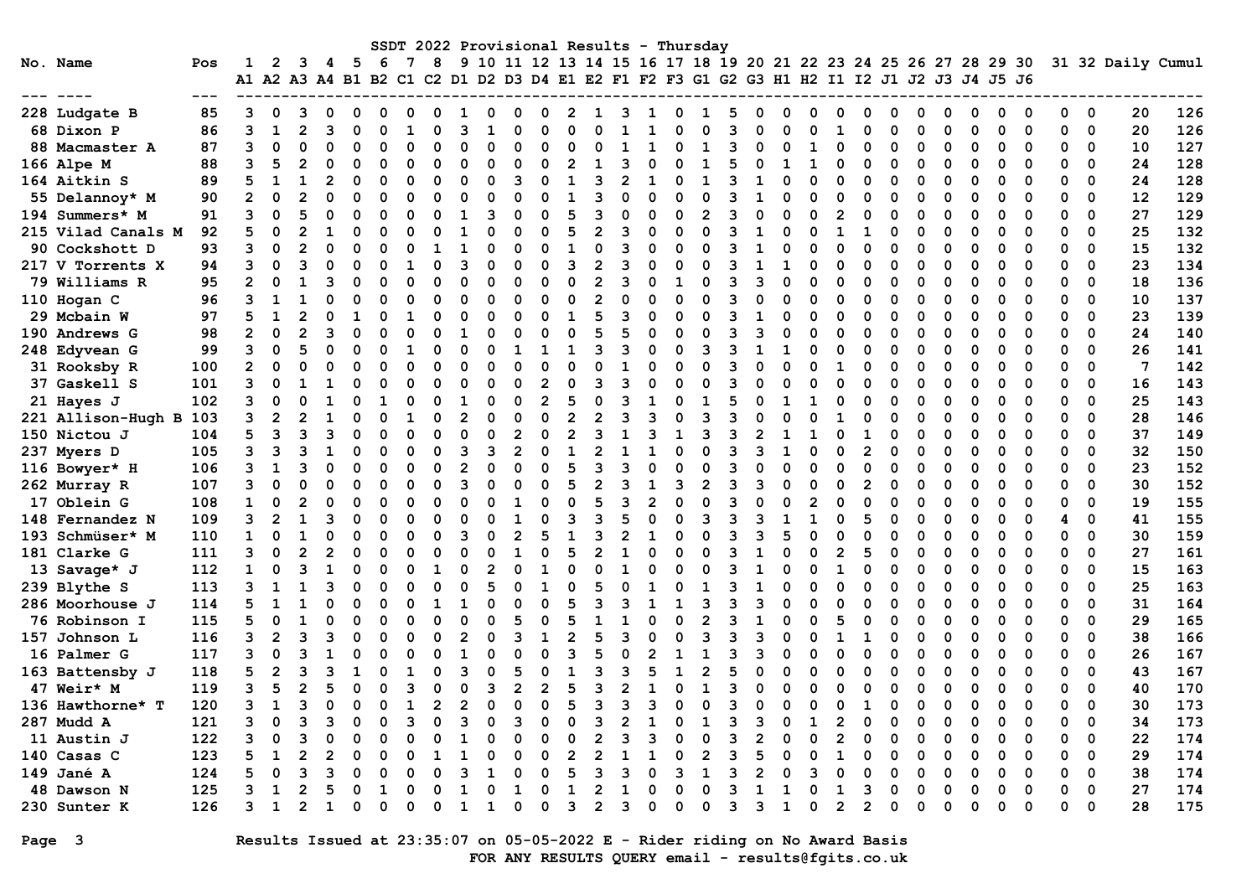|                    |     |                      |                |   |   |     |    |   |  |   |   |   |              |   |   |   | SSDT 2022 Provisional Results - Thursday                             |   |   |   |   |   |   |   |   |   |   |             |                   |     |
|--------------------|-----|----------------------|----------------|---|---|-----|----|---|--|---|---|---|--------------|---|---|---|----------------------------------------------------------------------|---|---|---|---|---|---|---|---|---|---|-------------|-------------------|-----|
| No. Name           | Pos |                      | 2              | з | 4 | - 5 | -6 | 8 |  |   |   |   |              |   |   |   | 9 10 11 12 13 14 15 16 17 18 19 20 21 22 23 24 25 26 27 28 29 30     |   |   |   |   |   |   |   |   |   |   |             | 31 32 Daily Cumul |     |
|                    |     | A1 A2 A3 A4 B1 B2 C1 |                |   |   |     |    |   |  |   |   |   |              |   |   |   | C2 D1 D2 D3 D4 E1 E2 F1 F2 F3 G1 G2 G3 H1 H2 I1 I2 J1 J2 J3 J4 J5 J6 |   |   |   |   |   |   |   |   |   |   |             |                   |     |
|                    |     |                      |                |   |   |     |    |   |  |   |   |   |              |   |   |   |                                                                      |   |   |   |   |   |   |   |   |   |   |             |                   |     |
| 228 Ludgate B      | 85  |                      |                |   |   |     |    |   |  |   |   |   |              |   |   |   |                                                                      |   |   |   |   |   |   |   |   |   |   | 0           | 20                | 126 |
| 68 Dixon P         | 86  | ٩                    |                |   |   |     |    |   |  |   |   |   |              |   |   |   |                                                                      |   |   |   |   |   |   |   |   | ∩ | ŋ | $\mathbf 0$ | 20                | 126 |
| 88 Macmaster A     | 87  | 3                    | O              |   |   |     |    |   |  |   |   |   |              |   |   |   |                                                                      |   |   |   |   |   |   | O |   |   |   | $\mathbf 0$ | 10                | 127 |
| 166 Alpe M         | 88  | 3                    |                |   |   |     |    |   |  |   |   |   |              |   |   |   |                                                                      |   |   |   |   |   |   |   |   |   |   | $\mathbf 0$ | 24                | 128 |
| 164 Aitkin S       | 89  |                      |                |   |   |     |    |   |  |   |   |   |              |   |   |   |                                                                      |   |   |   |   |   |   |   |   |   |   | $\Omega$    | 24                | 128 |
| 55 Delannoy* M     | 90  | 2                    |                |   |   |     |    |   |  |   |   |   |              |   |   |   |                                                                      |   |   |   |   |   |   |   |   |   |   | $\Omega$    | 12                | 129 |
| 194 Summers* M     | 91  | 3                    | O              |   |   |     |    |   |  |   |   |   |              |   |   |   |                                                                      |   |   |   |   |   |   | O | ი |   | O | $\mathbf 0$ | 27                | 129 |
| 215 Vilad Canals M | 92  | 5                    | O              |   |   | ი   |    |   |  |   |   |   |              |   |   |   |                                                                      |   |   |   |   |   |   | ŋ | O |   | 0 | $\Omega$    | 25                | 132 |
| 90 Cockshott D     | 93  | 3                    | O              | 2 |   | O   |    |   |  |   |   |   |              |   | n |   |                                                                      |   |   |   |   | O |   | U | O | ∩ | O | $\Omega$    | 15                | 132 |
| 217 V Torrents X   | 94  |                      | O              |   |   | O   |    |   |  |   |   |   |              |   |   |   |                                                                      |   |   |   |   | ი |   | O |   |   | ŋ | $\Omega$    | 23                | 134 |
| 79 Williams R      | 95  |                      |                |   |   |     |    |   |  |   |   |   |              |   |   |   |                                                                      |   |   |   |   |   |   | O |   |   |   | 0           | 18                | 136 |
| 110 Hogan C        | 96  |                      |                |   |   |     |    |   |  |   |   |   |              |   |   |   |                                                                      |   |   |   |   |   |   |   |   |   | O | 0           | 10                | 137 |
| 29 Mcbain W        | 97  |                      |                |   |   |     |    |   |  |   |   |   |              |   |   |   |                                                                      |   |   |   |   |   |   |   |   |   |   | $\mathbf 0$ | 23                | 139 |
| 190 Andrews G      | 98  |                      |                |   |   |     |    |   |  |   |   |   |              |   |   |   |                                                                      |   |   |   |   |   |   |   |   |   |   | $\Omega$    | 24                | 140 |
| 248 Edyvean G      | 99  | 3                    |                |   |   |     |    |   |  |   |   |   |              |   |   |   |                                                                      |   |   |   |   |   |   |   |   |   |   | $\Omega$    | 26                | 141 |
| 31 Rooksby R       | 100 | 2                    | O              |   |   |     |    |   |  |   |   |   |              |   |   |   |                                                                      |   |   |   |   |   |   |   |   |   | O | $\Omega$    | 7                 | 142 |
| 37 Gaskell S       | 101 | 3                    | O              |   |   | ი   |    |   |  |   |   |   |              |   |   |   |                                                                      |   |   |   |   |   |   |   |   |   | O | $\Omega$    | 16                | 143 |
| 21 Hayes J         | 102 | ٩                    | O              |   |   | ი   |    |   |  |   |   |   | O            |   |   |   |                                                                      |   |   |   |   | U |   | n |   |   |   | $\Omega$    | 25                | 143 |
| 221 Allison-Hugh B | 103 |                      | $\overline{2}$ |   |   |     |    |   |  |   |   |   |              |   |   |   |                                                                      |   |   |   |   |   |   |   |   |   |   | $\Omega$    | 28                | 146 |
| 150 Nictou J       | 104 |                      | 3              |   |   |     |    |   |  |   |   |   |              |   |   |   |                                                                      |   |   |   |   |   |   |   |   |   |   | $\mathbf 0$ | 37                | 149 |
| 237 Myers D        | 105 |                      |                |   |   |     |    |   |  |   |   |   |              |   |   |   |                                                                      |   |   |   |   |   |   |   |   |   |   | $\Omega$    | 32                | 150 |
| 116 Bowyer* H      | 106 |                      |                |   |   |     |    |   |  |   |   |   |              |   |   |   |                                                                      |   |   |   |   |   |   |   |   |   |   | $\Omega$    | 23                | 152 |
| 262 Murray R       | 107 |                      |                |   |   |     |    | U |  |   |   |   |              |   |   |   |                                                                      |   |   |   |   |   |   |   |   |   |   | $\Omega$    | 30                | 152 |
| 17 Oblein G        | 108 |                      |                |   |   |     |    |   |  |   |   |   |              |   |   |   |                                                                      |   |   |   |   |   |   |   |   |   |   | $\mathbf 0$ | 19                | 155 |
| 148 Fernandez N    | 109 | 3                    |                |   |   | ი   |    |   |  |   |   |   |              |   |   |   |                                                                      |   |   |   |   |   |   | O | O |   |   | $\mathbf 0$ | 41                | 155 |
| 193 Schmüser* M    | 110 |                      | ŋ              |   |   | ი   |    |   |  | 2 |   |   |              |   |   |   |                                                                      |   |   |   |   | ი |   | O | O |   | 0 | $\mathbf 0$ | 30                | 159 |
| 181 Clarke G       | 111 | 3                    | $\Omega$       | 2 |   | O   |    |   |  |   |   |   |              |   | n |   |                                                                      |   |   |   |   | 5 |   | O | ი | ∩ | O | $\mathbf 0$ | 27                | 161 |
| 13 Savage* J       | 112 | $\mathbf 1$          | O              |   |   | ი   |    |   |  |   |   |   |              |   |   |   |                                                                      |   |   |   |   | ი |   | O |   |   | ŋ | $\Omega$    | 15                | 163 |
| 239 Blythe S       | 113 |                      |                |   |   |     |    |   |  |   |   |   |              |   |   |   |                                                                      |   |   |   |   |   |   | O |   |   |   | 0           | 25                | 163 |
| 286 Moorhouse J    | 114 |                      |                |   |   |     |    |   |  |   |   |   |              |   |   |   |                                                                      |   |   |   |   |   |   |   |   |   |   | 0           | 31                | 164 |
| 76 Robinson I      | 115 |                      |                |   |   |     |    |   |  |   |   |   |              |   |   |   |                                                                      |   |   |   |   |   |   | O |   |   |   | 0           | 29                | 165 |
| 157 Johnson L      | 116 | 3                    |                |   |   |     |    |   |  |   |   |   |              |   |   |   |                                                                      |   |   |   |   |   |   |   |   |   |   | $\Omega$    | 38                | 166 |
| 16 Palmer G        | 117 | 3                    |                |   |   |     |    |   |  |   |   |   |              |   |   |   |                                                                      |   |   |   |   |   |   |   |   |   |   | $\Omega$    | 26                | 167 |
| 163 Battensby J    | 118 | 5                    |                |   |   |     |    |   |  |   |   |   |              |   |   |   |                                                                      |   |   |   |   |   |   |   |   |   | O | $\mathbf 0$ | 43                | 167 |
| 47 Weir* M         | 119 | 3                    |                |   |   | ი   |    | ი |  | 2 |   | 5 |              |   |   |   |                                                                      |   |   |   |   | ŋ |   | O |   |   |   | $\Omega$    | 40                | 170 |
| 136 Hawthorne* T   | 120 |                      |                | 3 |   |     |    |   |  | 0 | 0 |   |              |   | 3 |   |                                                                      | 3 |   |   |   |   |   |   |   |   |   | $\mathbf 0$ | 30                | 173 |
| 287 Mudd A         | 121 | 3                    | 0              |   |   |     |    | 0 |  | З |   |   |              |   |   |   |                                                                      |   |   |   |   | 0 |   | O |   |   |   | 0           | 34                | 173 |
| 11 Austin J        | 122 |                      | 0              |   |   |     |    |   |  |   |   |   |              |   |   |   |                                                                      |   |   |   |   | 0 |   | 0 |   | 0 |   | 0           | 22                | 174 |
| 140 Casas C        | 123 | 5                    |                |   |   | 0   |    |   |  | 0 |   | 2 |              |   |   | 0 |                                                                      | 3 |   | 0 | 0 | 0 | 0 | 0 | 0 | 0 | 0 | 0           | 29                | 174 |
| 149 Jané A         | 124 | 5                    | 0              | 3 |   |     |    |   |  |   |   | 5 |              |   |   |   |                                                                      | з |   | 0 |   | 0 |   |   |   | 0 | 0 | 0           | 38                | 174 |
| 48 Dawson N        | 125 | з                    |                |   |   |     |    | 0 |  | 1 |   | 1 | $\mathbf{2}$ |   | 0 |   |                                                                      | 3 |   |   | 0 | 3 |   |   |   | 0 | 0 | 0           | 27                | 174 |
| 230 Sunter K       | 126 | 3                    | 1              | 2 |   | 0   | O  | 0 |  | 0 |   | 3 | 2            | 3 | 0 | 0 | O                                                                    | 3 | 3 | 1 | 0 | 2 | 0 | 0 |   |   | 0 | 0           | 28                | 175 |

## Page 3 Results Issued at 23:35:07 on 05-05-2022 E - Rider riding on No Award Basis FOR ANY RESULTS QUERY email - results@fgits.co.uk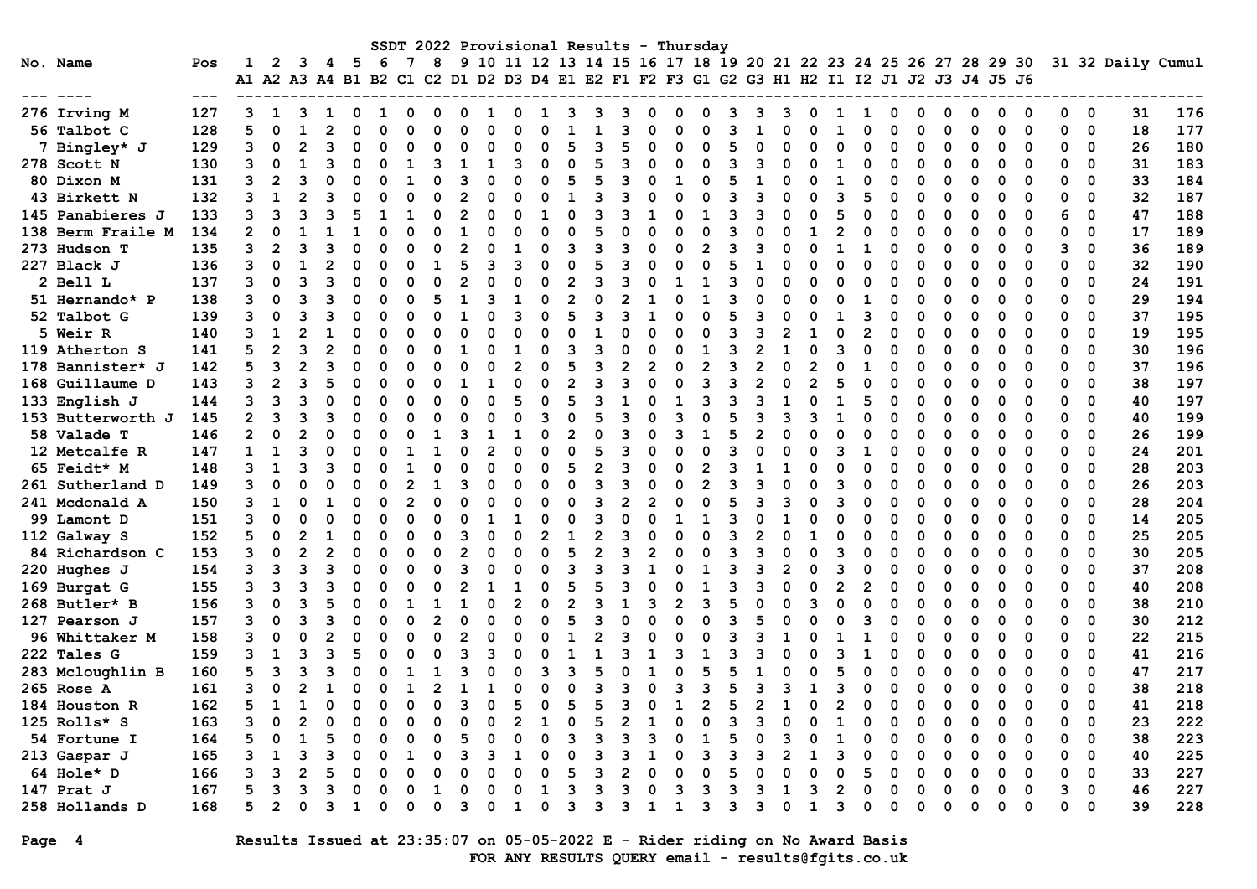|                   |               |                |                |                |    |             |          |          |               |          |                |                |          |                | SSDT 2022 Provisional Results |   |                |          | - Thursday     |    |   |                |                                                                                                                                                               |    |                |          |          |          |          |          |          |          |             |                   |     |
|-------------------|---------------|----------------|----------------|----------------|----|-------------|----------|----------|---------------|----------|----------------|----------------|----------|----------------|-------------------------------|---|----------------|----------|----------------|----|---|----------------|---------------------------------------------------------------------------------------------------------------------------------------------------------------|----|----------------|----------|----------|----------|----------|----------|----------|----------|-------------|-------------------|-----|
| No. Name          | Pos           | 1              | $\mathbf{2}$   | 3              | 4  | - 5         | -6       | 7        | 8             |          |                |                |          |                |                               |   |                |          |                |    |   |                | 9 10 11 12 13 14 15 16 17 18 19 20 21 22 23 24 25 26 27 28 29 30<br>A1 A2 A3 A4 B1 B2 C1 C2 D1 D2 D3 D4 E1 E2 F1 F2 F3 G1 G2 G3 H1 H2 I1 I2 J1 J2 J3 J4 J5 J6 |    |                |          |          |          |          |          |          |          |             | 31 32 Daily Cumul |     |
|                   | $\frac{1}{2}$ |                |                |                |    |             |          |          |               |          |                |                |          |                |                               |   |                |          |                |    |   |                |                                                                                                                                                               |    |                |          |          |          |          |          |          |          |             |                   |     |
| 276 Irving M      | 127           | 3              | 1              | 3              | 1  | $\Omega$    | 1        | O        | $\Omega$      | $\Omega$ | 1              | 0              | 1        | 3              | З                             | 3 | $\Omega$       | O        | $\Omega$       | 3  | વ | 3              | O                                                                                                                                                             | ٦  | 1              | 0        | $\Omega$ | 0        | 0        | 0        | $\Omega$ | 0        | 0           | 31                | 176 |
| 56 Talbot C       | 128           | 5              | $\Omega$       | $\mathbf{1}$   |    | $\Omega$    | n        | n        | $\Omega$      | n        | O              | $\Omega$       |          |                |                               |   | O              | U        | O              | з  |   | O              | $\Omega$                                                                                                                                                      |    | $\Omega$       | O        | $\Omega$ | $\Omega$ | $\Omega$ | $\Omega$ | 0        | $\Omega$ | $\mathbf 0$ | 18                | 177 |
| 7 Bingley* J      | 129           | 3              | $\mathbf 0$    | $\mathfrak{p}$ | В  | $\Omega$    |          | O        | $\Omega$      | O        | O              | $\Omega$       |          | 5              | ٩                             |   | $\Omega$       | n        | $\Omega$       | 5  |   | O              | $\Omega$                                                                                                                                                      |    | $\Omega$       | n        | O        | $\Omega$ | 0        | 0        | $\Omega$ | 0        | 0           | 26                | 180 |
| 278 Scott N       | 130           | 3              | 0              | 1              |    | $\Omega$    | 0        |          | ิว            | 1        | 1              | 3              | O        | $\Omega$       | 5                             | Р | $\Omega$       | O        | O              | 3  |   | O              | $\Omega$                                                                                                                                                      |    | $\Omega$       | $\Omega$ | O        | $\Omega$ | 0        | O        | $\Omega$ | $\Omega$ | 0           | 31                | 183 |
| 80 Dixon M        | 131           | 3              | $\mathbf{2}$   | В              |    | O           | n        |          |               | ٩        | U              | O              | ∩        | 5              | 5                             | २ | $\Omega$       | 1        | $\Omega$       | 5  | 1 | O              | $\Omega$                                                                                                                                                      |    | O              | O        | O        | $\Omega$ | O        | O        | $\Omega$ | O        | 0           | 33                | 184 |
| 43 Birkett N      | 132           | 3              | $\mathbf{1}$   |                |    | $\Omega$    |          | $\Omega$ | $\Omega$      |          | O              | $\Omega$       |          | 1              | ٩                             |   | $\Omega$       | O        | $\Omega$       | 3  |   | O              | $\Omega$                                                                                                                                                      | 3  | 5              | O        | 0        | $\Omega$ | $\Omega$ | 0        | $\Omega$ | $\Omega$ | 0           | 32                | 187 |
| 145 Panabieres J  | 133           | 3              | 3              | З              |    | 5           |          |          |               |          | O              | O              |          | 0              | ٩                             | ว | $\mathbf{1}$   | n        | $\mathbf{1}$   | 3  |   | O              | $\Omega$                                                                                                                                                      |    | 0              | n        | n        | $\Omega$ | O        | O        | $\Omega$ | 6        | 0           | 47                | 188 |
| 138 Berm Fraile M | 134           | $\overline{2}$ | $\Omega$       |                |    |             |          |          | $\Omega$      |          | O              | $\Omega$       |          | $\Omega$       |                               |   | $\Omega$       | n        | $\Omega$       | 3  |   | O              |                                                                                                                                                               |    | $\Omega$       |          |          | $\Omega$ | O        | O        | $\Omega$ | $\Omega$ | $\Omega$    | 17                | 189 |
| 273 Hudson T      | 135           | 3              | $\overline{2}$ | З              |    | $\Omega$    | n        | n        |               |          | O              |                |          | ٩              | ٩                             | ٩ | O              | n        | 2              | 3  |   | U              | $\Omega$                                                                                                                                                      |    | 1              | n        | O        | $\Omega$ | O        | O        | ∩        | 3        | $\Omega$    | 36                | 189 |
| 227 Black J       | 136           | 3              | $\Omega$       |                |    | $\Omega$    |          | $\Omega$ |               |          | २              | ٩              |          | $\Omega$       |                               | Р | $\Omega$       |          | $\Omega$       |    |   | O              | $\Omega$                                                                                                                                                      |    | $\Omega$       | O        | $\Omega$ | $\Omega$ | $\Omega$ | $\Omega$ | $\Omega$ | $\Omega$ | 0           | 32                | 190 |
| 2 Bell L          | 137           | 3              | $\Omega$       | 3              | 3  | $\Omega$    | O        | O        | $\Omega$      |          | O              | $\Omega$       | $\Omega$ | $\overline{2}$ | 3                             | ว | $\Omega$       | 1        | 1              | 3  | O | 0              | $\Omega$                                                                                                                                                      |    | $\Omega$       | n        | ŋ        | $\Omega$ | $\Omega$ | 0        | $\Omega$ | $\Omega$ | 0           | 24                | 191 |
| 51 Hernando* P    | 138           | 3              | $\Omega$       | В              |    | O           | O        | n        |               | 1        | ٩              | $\mathbf{1}$   | ∩        | $\overline{2}$ | $\Omega$                      |   | 1              | U        | $\mathbf{1}$   | 3  |   | O              | $\Omega$                                                                                                                                                      |    | $\mathbf{1}$   | O        |          | $\Omega$ | 0        | O        | $\Omega$ | $\Omega$ | $\Omega$    | 29                | 194 |
| 52 Talbot G       | 139           | 3              | 0              | 3              | ٩  | $\Omega$    | O        | O        |               |          | O              | २              | O        | 5              | 3                             | २ | $\mathbf{1}$   | n        | $\Omega$       | 5  |   | O              | $\Omega$                                                                                                                                                      |    | 3              | O        | O        | $\Omega$ | O        | O        | $\Omega$ | O        | 0           | 37                | 195 |
| 5 Weir R          | 140           | 3              | $\mathbf{1}$   | 2              |    | $\Omega$    |          | 0        | $\Omega$      |          |                | $\Omega$       |          | $\Omega$       |                               |   | O              | O        | $\Omega$       | з  |   | 2              |                                                                                                                                                               |    | $\overline{2}$ |          | 0        | $\Omega$ | $\Omega$ | $\Omega$ | $\Omega$ | $\Omega$ | 0           | 19                | 195 |
| 119 Atherton S    | 141           | 5              | $\overline{2}$ | З              |    | $\Omega$    | 0        |          | O             | 1        | O              | 1              |          | ٩              | ٩                             |   | $\Omega$       | n        | 1              | 3  |   |                | O                                                                                                                                                             |    | $\Omega$       | n        |          | $\Omega$ | O        | O        | $\Omega$ | O        | 0           | 30                | 196 |
| 178 Bannister* J  | 142           | 5              | 3              | $\overline{2}$ | З  | $\Omega$    | O        | O        |               | n        | U              | $\mathfrak{p}$ |          | 5              | 3                             |   | $\overline{2}$ | $\Omega$ | 2              | з  |   | O              | 2                                                                                                                                                             |    | $\mathbf{1}$   | n        | O        | $\Omega$ | O        | O        | $\Omega$ | $\Omega$ | $\Omega$    | 37                | 196 |
| 168 Guillaume D   | 143           | 3              | 2              |                |    | $\Omega$    | O        | n        | O             |          |                | $\Omega$       | $\Omega$ | $\mathfrak{p}$ | ٩                             | ٩ | O              | U        | ٩              | з  |   | O              | $\mathcal{P}$                                                                                                                                                 |    | $\Omega$       |          | O        | O        | $\Omega$ | O        | $\Omega$ | 0        | 0           | 38                | 197 |
| 133 English J     | 144           | 3              | 3              | З              |    | $\Omega$    | O        |          |               |          | O              | 5              | $\Omega$ | 5              | ٩                             |   | $\Omega$       |          | २              | з  |   | $\mathbf{1}$   | $\Omega$                                                                                                                                                      |    | 5              |          |          | $\Omega$ |          | O        | $\Omega$ | $\Omega$ | 0           | 40                | 197 |
| 153 Butterworth J | 145           | 2              | 3              | 3              | 3  | $\mathbf 0$ | O        |          | O             |          | O              | $\Omega$       | 3        | $\Omega$       | 5                             | ٩ | $\Omega$       | 3        | n              |    |   | 3              | ঽ                                                                                                                                                             |    | O              |          |          | O        | ŋ        | n        | ∩        | 0        | 0           | 40                | 199 |
| 58 Valade T       | 146           | $\mathbf{2}$   | $\Omega$       | 2              |    | $\Omega$    | 0        |          |               | ٩        |                | -1             | ∩        | $\overline{2}$ | $\Omega$                      | २ | $\Omega$       | २        | 1              | 5  |   | O              | $\Omega$                                                                                                                                                      |    | $\Omega$       |          |          | O        | O        | O        | $\Omega$ | $\Omega$ | $\Omega$    | 26                | 199 |
| 12 Metcalfe R     | 147           | 1              | 1              | 3              |    | $\Omega$    | O        |          |               |          | $\overline{2}$ | $\Omega$       | O        | $\Omega$       | 5                             | 3 | $\Omega$       | U        | $\Omega$       | 3  |   | O              | $\Omega$                                                                                                                                                      | ٩  | 1              | O        | O        | $\Omega$ | O        | O        | $\Omega$ | O        | 0           | 24                | 201 |
| 65 Feidt* M       | 148           | 3              | $\mathbf{1}$   | ٩              | 3  | $\Omega$    |          |          | $\Omega$      |          | O              | $\Omega$       | O        | 5              | 2                             | २ | $\Omega$       | n        | $\mathfrak{p}$ | 3  | 1 |                | 0                                                                                                                                                             |    | 0              | O        | O        | $\Omega$ | O        | 0        | $\Omega$ | $\Omega$ | 0           | 28                | 203 |
| 261 Sutherland D  | 149           | 3              | $\Omega$       | O              |    | $\Omega$    | O        |          | 1             |          | O              | $\Omega$       | O        | $\Omega$       | З                             | З | $\Omega$       | U        | $\overline{2}$ | з  |   | O              | $\Omega$                                                                                                                                                      |    | $\Omega$       | O        |          | $\Omega$ | O        | O        | $\Omega$ | $\Omega$ | 0           | 26                | 203 |
| 241 Mcdonald A    | 150           | 3              | 1              | $\Omega$       |    | $\Omega$    | $\Omega$ |          | $\Omega$      |          | O              | $\Omega$       | O        | $\Omega$       | 3                             |   | $\mathfrak{p}$ | O        | $\Omega$       | 5  |   | ٩              | $\Omega$                                                                                                                                                      |    | O              | O        |          | $\Omega$ | O        | O        | ∩        | $\Omega$ | $\Omega$    | 28                | 204 |
| 99 Lamont D       | 151           | 3              | $\Omega$       | O              |    | $\Omega$    |          | $\Omega$ | $\Omega$      |          |                | $\mathbf{1}$   |          | $\Omega$       | ٩                             |   | O              |          |                |    |   |                | $\Omega$                                                                                                                                                      |    | $\Omega$       | n        | O        | $\Omega$ | $\Omega$ | $\Omega$ | $\Omega$ | $\Omega$ | $\Omega$    | 14                | 205 |
| 112 Galway S      | 152           | 5              | $\mathbf 0$    | $\mathfrak{p}$ |    | $\Omega$    | 0        |          | $\Omega$      |          | O              | $\Omega$       |          | $\mathbf{1}$   | $\overline{2}$                | З | $\Omega$       |          | $\Omega$       | з  |   | O              |                                                                                                                                                               |    | 0              | n        |          | $\Omega$ |          | O        | $\Omega$ | $\Omega$ | 0           | 25                | 205 |
| 84 Richardson C   | 153           | 3              | $\Omega$       |                |    | $\Omega$    | 0        | ŋ        | $\Omega$      |          | O              | $\Omega$       | ∩        | 5              | 2                             | २ | $\overline{2}$ | O        | 0              | з  |   | O              | $\Omega$                                                                                                                                                      | ิว | $\Omega$       | O        | O        | $\Omega$ | O        | O        | $\Omega$ | $\Omega$ | 0           | 30                | 205 |
| 220 Hughes J      | 154           | 3              | 3              | В              |    | O           | n        |          | O             | ર        | n              | $\Omega$       |          | 3              | В                             | З | 1              |          |                | 3  |   | $\mathfrak{p}$ | $\Omega$                                                                                                                                                      |    | $\Omega$       | n        | n        | $\Omega$ | O        | O        | $\Omega$ | $\Omega$ | $\Omega$    | 37                | 208 |
| 169 Burgat G      | 155           | 3              | 3              | З              |    | $\Omega$    |          |          |               |          |                |                | $\Omega$ | 5              |                               | З | $\Omega$       |          |                | 3  |   | O              | $\Omega$                                                                                                                                                      | 2  | 2              | O        |          | $\Omega$ | O        | O        | $\Omega$ | $\Omega$ | 0           | 40                | 208 |
| 268 Butler* B     | 156           | 3              | $\Omega$       |                |    | O           |          |          |               |          | O              | $\overline{2}$ |          | $\overline{2}$ | ٩                             |   | २              | 2        | 3              |    |   | O              | ٩                                                                                                                                                             |    | 0              | n        | O        | $\Omega$ | O        | O        | $\Omega$ | 0        | 0           | 38                | 210 |
| 127 Pearson J     | 157           | 3              | $\Omega$       | З              |    | $\Omega$    | 0        | n        | 2             | ი        | O              | $\Omega$       | O        | 5              | ٩                             | O | $\Omega$       | O        | O              | 3  |   | O              | O                                                                                                                                                             |    | 3              | n        |          | $\Omega$ | O        | O        | $\Omega$ | $\Omega$ | $\Omega$    | 30                | 212 |
| 96 Whittaker M    | 158           | 3              | $\Omega$       | $\Omega$       |    | $\Omega$    | O        | n        | $\Omega$      |          | O              | $\Omega$       |          | $\mathbf{1}$   | 2                             | ٩ | $\Omega$       | U        | $\Omega$       | 3  |   |                | $\Omega$                                                                                                                                                      |    | 1              | O        | O        | $\Omega$ | O        | O        | $\Omega$ | $\Omega$ | $\Omega$    | 22                | 215 |
| 222 Tales G       | 159           | 3              | $\mathbf{1}$   | ٩              |    | 5           |          |          | $\Omega$      |          | ٩              |                |          |                |                               |   |                |          |                | з  |   | O              | O                                                                                                                                                             |    | 1              |          | $\Omega$ | $\Omega$ | $\Omega$ | $\Omega$ | $\Omega$ | 0        | 0           | 41                | 216 |
| 283 Mcloughlin B  | 160           | 5              | 3              | 3              |    | $\Omega$    |          |          |               |          | n              | O              | ิจ       | 3              | 5                             |   | 1              |          | 5              | 5  |   | O              | $\Omega$                                                                                                                                                      |    | $\Omega$       | n        |          | O        | ŋ        | 0        | $\Omega$ | $\Omega$ | 0           | 47                | 217 |
| 265 Rose A        | 161           | 3              | $\Omega$       |                |    | O           |          |          | $\mathcal{P}$ |          |                | O              |          | $\Omega$       | ٩                             |   | O              | 3        | 3              |    |   | 3              | -1                                                                                                                                                            | З  | $\Omega$       | O        | O        | O        | ŋ        | 0        | ∩        | 0        | 0           | 38                | 218 |
| 184 Houston R     | 162           | 5              | ำ              |                |    | O           | O        | O        | $\Omega$      |          | n              | 5              |          | 5              | 5                             | ٩ | U              |          | 2              |    |   |                | $\Omega$                                                                                                                                                      |    | $\Omega$       | O        | O        | $\Omega$ | O        | O        | $\Omega$ | 0        | $\Omega$    | 41                | 218 |
| 125 Rolls* S      | 163           | 3              | $\Omega$       |                |    | $\Omega$    |          |          |               |          |                |                |          | $\Omega$       |                               |   |                |          | $\Omega$       | з  |   | 0              | $\Omega$                                                                                                                                                      |    | O              |          |          | $\Omega$ | O        | O        | $\Omega$ | $\Omega$ | 0           | 23                | 222 |
| 54 Fortune I      | 164           | 5              | $\Omega$       |                |    | $\Omega$    | O        |          | $\Omega$      |          | O              | $\Omega$       | O        | 3              | ٩                             | ঽ | २              | n        | $\mathbf{1}$   | 5  | O | ٩              | O                                                                                                                                                             |    | $\Omega$       | n        | O        | $\Omega$ | O        | O        | $\Omega$ | $\Omega$ | 0           | 38                | 223 |
| 213 Gaspar J      | 165           | 3              | $\mathbf{1}$   | З              |    | $\Omega$    |          |          | $\Omega$      | ٩        | ٩              | $\mathbf{1}$   |          | $\Omega$       | З                             | ৭ | 1              | O        | २              | ิว |   | $\mathfrak{p}$ |                                                                                                                                                               | ิว | $\Omega$       | O        | O        | $\Omega$ | O        | O        | $\Omega$ | $\Omega$ | $\Omega$    | 40                | 225 |
| 64 Hole* D        | 166           | 3              | 3              | 2              |    | $\Omega$    | O        |          |               |          | O              | $\Omega$       |          | 5              | ٩                             |   | $\Omega$       |          | $\Omega$       |    |   | n              | C                                                                                                                                                             |    | 5              | O        |          | $\Omega$ | O        | O        | $\Omega$ | $\Omega$ | 0           | 33                | 227 |
| 147 Prat J        | 167           | 5              | 3              | ٩              | З  | $\Omega$    |          | n        | 1             |          | ი              | $\Omega$       | 1        | 3              | ٩                             | ٩ | $\Omega$       | З        | २              | з  |   |                | ٩                                                                                                                                                             |    | $\Omega$       | n        | O        | O        | ი        | O        | $\Omega$ | 3        | 0           | 46                | 227 |
| 258 Hollands D    | 168           | 5              | $\overline{2}$ | ∩              | ิว | 1           | O        | n        | O             | ٩        | U              | 1              | 0        | 3              | 3                             | 3 | 1              | 1        | 3              | 3  | ર | 0              | 1                                                                                                                                                             | ิว | $\Omega$       | n        | U        | O        | ი        | ი        | ∩        | 0        | $\Omega$    | 39                | 228 |

Page 4 Results Issued at 23:35:07 on 05-05-2022 E - Rider riding on No Award Basis FOR ANY RESULTS QUERY email - results@fgits.co.uk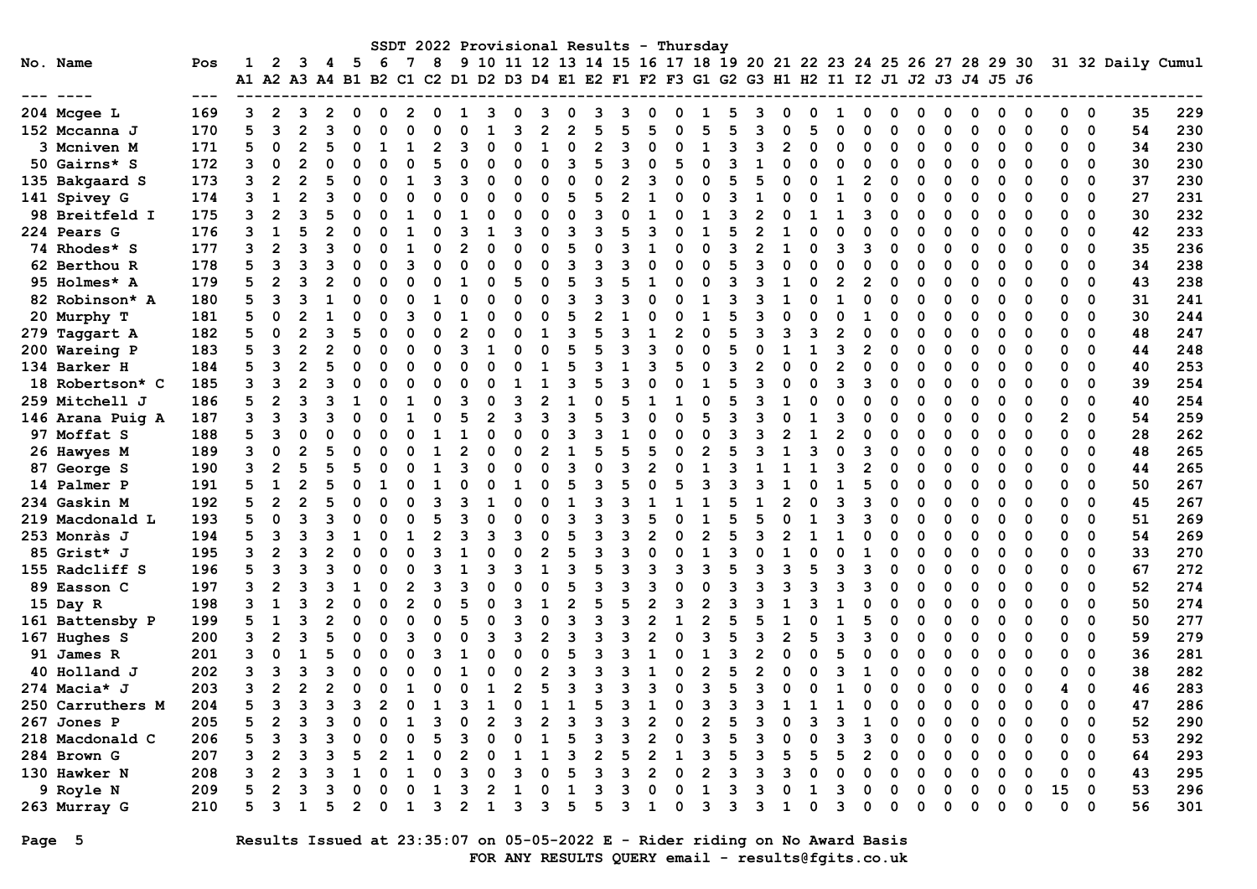|                    |       |                                                                                                |                |                |   |                |    |   |                |   |   |                |          |                | SSDT 2022 Provisional Results |   |                |   | - Thursday     |    |                                                                  |                |          |    |                |   |   |          |          |          |             |          |             |                   |     |
|--------------------|-------|------------------------------------------------------------------------------------------------|----------------|----------------|---|----------------|----|---|----------------|---|---|----------------|----------|----------------|-------------------------------|---|----------------|---|----------------|----|------------------------------------------------------------------|----------------|----------|----|----------------|---|---|----------|----------|----------|-------------|----------|-------------|-------------------|-----|
| No. Name           | Pos   | 1<br>A1 A2 A3 A4 B1 B2 C1 C2 D1 D2 D3 D4 E1 E2 F1 F2 F3 G1 G2 G3 H1 H2 I1 I2 J1 J2 J3 J4 J5 J6 | 2              | 3              | 4 | - 5            | -6 | 7 | 8              |   |   |                |          |                |                               |   |                |   |                |    | 9 10 11 12 13 14 15 16 17 18 19 20 21 22 23 24 25 26 27 28 29 30 |                |          |    |                |   |   |          |          |          |             |          |             | 31 32 Daily Cumul |     |
|                    | $---$ |                                                                                                |                |                |   |                |    |   |                |   |   |                |          |                |                               |   |                |   |                |    |                                                                  |                |          |    |                |   |   |          |          |          |             |          |             |                   |     |
| 204 Mcgee L        | 169   | 3                                                                                              | $\overline{2}$ | 3              | 2 | $\Omega$       | O  | 2 | $\Omega$       | 1 | ٩ | 0              | з        | 0              | З                             | 3 | O              | O | ı              | 5  |                                                                  | O              | O        |    | 0              | ი | O | 0        | 0        | 0        | O           | 0        | 0           | 35                | 229 |
| 152 Mccanna J      | 170   | 5                                                                                              | 3              | $\overline{2}$ |   | O              | n  |   |                |   |   | Р              |          | $\mathfrak{p}$ | E                             |   |                |   | 5              |    |                                                                  | O              | 5        |    | $\Omega$       | O |   | $\Omega$ | 0        | $\Omega$ | $\Omega$    | $\Omega$ | $\mathbf 0$ | 54                | 230 |
| <b>3 Mcniven M</b> | 171   | 5                                                                                              | $\mathbf 0$    | $\mathfrak{p}$ |   | O              |    |   |                |   |   | $\Omega$       |          | $\Omega$       | 2                             |   | O              | O |                | २  |                                                                  | $\overline{2}$ | $\Omega$ |    | 0              | O | O | 0        | O        | 0        | $\Omega$    | 0        | 0           | 34                | 230 |
| 50 Gairns* S       | 172   | 3                                                                                              | 0              | $\overline{2}$ |   | O              | C  |   | 5              |   | O | $\Omega$       | O        | 3              | 5                             | З | $\Omega$       | 5 | O              | 3  | 1                                                                | O              | $\Omega$ |    | 0              | O |   | $\Omega$ | 0        | Ω        | $\Omega$    | $\Omega$ | 0           | 30                | 230 |
| 135 Bakgaard S     | 173   | 3                                                                                              | $\overline{2}$ | $\overline{2}$ |   | O              | n  |   | २              | 3 | n | 0              | O        | $\Omega$       | 0                             |   | 3              | ∩ | O              | 5  | г,                                                               | ∩              | $\Omega$ |    | $\overline{2}$ | O | n | $\Omega$ | O        | O        | $\Omega$    | O        | 0           | 37                | 230 |
| 141 Spivey G       | 174   |                                                                                                | $\mathbf{1}$   |                |   | O              |    |   | $\Omega$       |   | O | $\Omega$       | O        | 5              |                               |   |                |   | O              |    |                                                                  | n              |          |    | O              | O |   | $\Omega$ | O        | Ω        | $\Omega$    | 0        | 0           | 27                | 231 |
| 98 Breitfeld I     | 175   | 3                                                                                              | $\overline{2}$ | Р              |   | 0              | C  |   | $\Omega$       |   | n | 0              | O        | 0              | ٩                             |   | 1              |   | 1              | 3  |                                                                  | O              |          |    | 3              | O |   | $\Omega$ | O        | O        | $\Omega$    | O        | 0           | 30                | 232 |
| <b>224 Pears G</b> | 176   | ٩                                                                                              | 1              | 5              |   | O              |    |   |                |   |   | २              | O        | २              | З                             |   | २              |   |                | 5  |                                                                  |                | O        |    | O              |   |   | $\Omega$ |          | O        | ∩           | $\Omega$ | $\Omega$    | 42                | 233 |
| 74 Rhodes* S       | 177   | ٩                                                                                              | $\mathfrak{p}$ | ٩              |   | ∩              |    |   |                |   | O | $\Omega$       | O        | 5              |                               |   |                |   | O              | ॎ  |                                                                  |                | O        |    | ٩              | O |   | $\Omega$ | O        | O        | $\Omega$    | $\Omega$ | $\Omega$    | 35                | 236 |
| 62 Berthou R       | 178   | 5                                                                                              | 3              | ٩              |   | O              |    |   |                |   | O | $\Omega$       | $\Omega$ | २              |                               |   | O              |   | O              | 5  |                                                                  | O              | $\Omega$ |    | $\Omega$       | C |   | $\Omega$ |          | O        | $\Omega$    | $\Omega$ | 0           | 34                | 238 |
| 95 Holmes* A       | 179   | 5                                                                                              | $\overline{2}$ | 3              |   | 0              | ſ  |   | $\Omega$       |   | n | 5              | O        | 5              | 3                             |   | 1              | O | ი              | 3  |                                                                  |                | n        |    | $\overline{2}$ | O | O | $\Omega$ | 0        | 0        | $\Omega$    | $\Omega$ | 0           | 43                | 238 |
| 82 Robinson* A     | 180   | 5                                                                                              | 3              | ٩              |   | O              | n  |   |                |   | n | $\Omega$       | O        | २              | Р                             |   | U              |   |                | ิว |                                                                  |                | n        |    | $\Omega$       | O |   | $\Omega$ | O        | O        | $\Omega$    | $\Omega$ | $\Omega$    | 31                | 241 |
| 20 Murphy T        | 181   | 5                                                                                              | $\Omega$       |                |   | O              | O  |   |                |   | O | $\Omega$       | O        | 5              |                               |   | $\Omega$       | n |                |    |                                                                  | O              | $\Omega$ |    |                |   |   | $\Omega$ | O        | O        | $\Omega$    | 0        | 0           | 30                | 244 |
| 279 Taggart A      | 182   | 5                                                                                              | 0              |                |   | 5              |    |   | $\Omega$       |   |   | $\Omega$       |          | २              |                               |   |                |   | O              | 5  |                                                                  | ٩              | ٩        |    | $\Omega$       |   |   | $\Omega$ | O        | Ω        | $\Omega$    | $\Omega$ | 0           | 48                | 247 |
| 200 Wareing P      | 183   | 5                                                                                              | 3              |                |   | O              | n  |   | $\Omega$       | ٩ |   | O              | O        | 5              | 5                             | З | २              | O | O              |    |                                                                  |                |          |    | $\overline{2}$ | n |   | $\Omega$ | O        | O        | $\Omega$    | O        | 0           | 44                | 248 |
| 134 Barker H       | 184   | 5                                                                                              | 3              | $\overline{2}$ |   | O              | O  |   | $\Omega$       |   | O | $\Omega$       |          | 5              | В                             |   | 3              | 5 | O              | ॎ  |                                                                  | O              | ∩        |    | $\Omega$       | O | O | $\Omega$ | O        | O        | $\Omega$    | $\Omega$ | $\Omega$    | 40                | 253 |
| 18 Robertson* C    | 185   | 3                                                                                              | २              |                |   | O              | ٢  |   | O              |   |   |                |          |                |                               |   | $\Omega$       | O |                |    |                                                                  | O              | $\Omega$ |    | 3              | O |   | O        | O        | O        | $\Omega$    | $\Omega$ | 0           | 39                | 254 |
| 259 Mitchell J     | 186   | 5                                                                                              | $\overline{2}$ | 3              |   | 1              | ſ  |   | $\Omega$       |   |   | Р              |          |                |                               |   | 1              |   | $\Omega$       | 5  |                                                                  |                | $\Omega$ |    | $\Omega$       |   |   | $\Omega$ |          | O        | $\Omega$    | 0        | 0           | 40                | 254 |
| 146 Arana Puig A   | 187   | 3                                                                                              | 3              | ิว             |   | U              |    |   | O              |   | 2 | 3              |          | 3              | 5                             | ৭ | O              | O | 5              | 3  |                                                                  | n              |          | 3  | $\Omega$       |   |   | 0        |          | 0        | ∩           | 2        | 0           | 54                | 259 |
| 97 Moffat S        | 188   | 5                                                                                              | 3              | $\Omega$       |   | U              |    |   |                |   |   | $\Omega$       |          | २              | Р                             |   | ∩              |   | ∩              | ิว |                                                                  | 2              |          |    | $\Omega$       |   |   | O        | O        | O        | $\Omega$    | 0        | $\Omega$    | 28                | 262 |
| 26 Hawyes M        | 189   | 3                                                                                              | 0              | $\overline{2}$ |   | O              | O  |   |                |   | n | O              |          |                |                               |   |                | O | 2              |    |                                                                  |                | ٩        |    | 3              | O | O | $\Omega$ | O        | O        | $\Omega$    | 0        | 0           | 48                | 265 |
| 87 George S        | 190   | 3                                                                                              | $\overline{2}$ |                |   | 5              | ſ  |   |                |   |   | O              |          | 3              | C                             |   |                |   |                | ॎ  |                                                                  |                |          | З  | $\mathbf{2}$   | O | O | $\Omega$ |          | Ω        | $\Omega$    | 0        | 0           | 44                | 265 |
| 14 Palmer P        | 191   | 5                                                                                              | $\mathbf{1}$   | 2              |   | $\Omega$       |    |   | $\mathbf{1}$   |   | n | 1              | ŋ        | 5              | ٩                             |   | $\Omega$       | 5 | ٩              | २  |                                                                  |                | $\Omega$ |    | 5              | O |   | $\Omega$ | O        | O        | $\Omega$    | $\Omega$ | 0           | 50                | 267 |
| 234 Gaskin M       | 192   | 5                                                                                              | $\overline{2}$ | $\overline{2}$ |   | O              | n  | O | 3              | З |   |                | O        | 1              |                               |   | 1              |   |                | 5  |                                                                  | 2              | O        |    | 3              | n |   | $\Omega$ | O        | O        | ∩           | O        | $\Omega$    | 45                | 267 |
| 219 Macdonald L    | 193   | 5                                                                                              | $\Omega$       | ٩              |   | O              |    | O | 5              |   | O | $\Omega$       |          | ٩              |                               |   |                |   |                |    |                                                                  |                |          |    | ٩              | O |   | $\Omega$ | O        | $\Omega$ | $\Omega$    | $\Omega$ | $\Omega$    | 51                | 269 |
| 253 Monràs J       | 194   | 5                                                                                              | 3              | Р              |   | 1              | C  |   | $\overline{2}$ |   | ٩ | Р              | O        | 5              |                               |   | $\mathfrak{p}$ |   | 2              | 5  |                                                                  |                |          |    | $\Omega$       |   |   | $\Omega$ |          | O        | O           | O        | 0           | 54                | 269 |
| 85 Grist* J        | 195   | 3                                                                                              | $\overline{2}$ | ٦              |   | O              | C  | O | 3              |   |   | O              |          | 5              | З                             |   | O              |   |                | ิว |                                                                  |                | n        |    | 1              | C | O | O        | O        | Ω        | $\Omega$    | $\Omega$ | 0           | 33                | 270 |
| 155 Radcliff S     | 196   | 5                                                                                              | २              | ٩              |   | U              | n  |   |                |   | ٩ | З              |          | ٩              |                               |   |                |   | ٩              |    |                                                                  | ٩              |          |    | ٩              | n |   | O        | O        | Ω        | $\Omega$    | 0        | $\Omega$    | 67                | 272 |
| 89 Easson C        | 197   | 3                                                                                              | $\overline{2}$ | ٩              |   | 1              | O  |   | ॎ              |   |   |                |          | 5              | ٩                             |   | 3              |   | O              | 3  |                                                                  | ٩              | ٩        |    | 3              | C |   | $\Omega$ | O        | O        | $\Omega$    | $\Omega$ | 0           | 52                | 274 |
| 15 Day R           | 198   | 3                                                                                              | 1              |                |   | O              | ſ  | 2 | $\Omega$       |   |   | З              |          |                | 5                             |   |                | 3 | 2              |    |                                                                  |                |          |    | 0              |   |   | $\Omega$ |          | O        | $\Omega$    | O        | 0           | 50                | 274 |
| 161 Battensby P    | 199   | 5                                                                                              | 1              | ٦              |   | $\Omega$       | O  |   | $\Omega$       |   |   | २              | O        | 3              | ٩                             |   | $\overline{2}$ |   | 2              | 5  |                                                                  |                |          |    | 5              | O |   | O        | O        | O        | ∩           | $\Omega$ | 0           | 50                | 277 |
| 167 Hughes S       | 200   | 3                                                                                              | $\mathfrak{p}$ | ٩              |   | O              | n  | ٩ |                |   | ٩ | २              |          | २              | Р                             |   | $\mathfrak{p}$ | O | ٩              | 5  |                                                                  | $\mathfrak{p}$ | 5        | ॎ  | 3              | O | O | $\Omega$ | O        | O        | $\Omega$    | O        | 0           | 59                | 279 |
| 91 James R         | 201   | 3                                                                                              | $\Omega$       |                |   | O              |    |   |                |   |   | $\Omega$       | $\Omega$ | 5              | ٩                             |   |                |   |                | ॎ  |                                                                  | O              | $\Omega$ |    | $\Omega$       |   |   | $\Omega$ | $\Omega$ | $\Omega$ | $\Omega$    | 0        | 0           | 36                | 281 |
| 40 Holland J       | 202   | 3                                                                                              | 3              | 3              |   | 0              | ٢  |   |                |   |   | $\Omega$       |          | 3              | 3                             |   | 1              |   | $\overline{2}$ | 5  |                                                                  | O              | n        |    | 1              | C |   | $\Omega$ | ŋ        | 0        | ∩           | $\Omega$ | 0           | 38                | 282 |
| 274 Macia* J       | 203   | 3                                                                                              | $\overline{2}$ |                |   | O              |    |   |                |   |   | $\overline{2}$ | 5        | 3              | ৭                             |   | 3              | O | 3              | 5  |                                                                  | n              |          |    | ŋ              |   |   | O        | O        | 0        | ∩           | 4        | 0           | 46                | 283 |
| 250 Carruthers M   | 204   | 5                                                                                              | २              | ٩              |   | ٩              |    |   |                |   |   |                |          |                |                               |   |                |   | ٩              |    |                                                                  |                |          |    | O              | n |   | $\Omega$ | O        | O        | $\Omega$    | 0        | 0           | 47                | 286 |
| 267 Jones P        | 205   | 5                                                                                              | $\overline{2}$ | Р              |   | O              |    |   | २              |   |   |                |          | 3              |                               |   | $\overline{2}$ |   | $\overline{2}$ | 5  |                                                                  | O              |          |    | 1              |   |   | $\Omega$ |          | O        | $\Omega$    | $\Omega$ | 0           | 52                | 290 |
| 218 Macdonald C    | 206   | 5                                                                                              | 3              | ٩              |   | O              |    |   | 5              |   |   | O              |          | 5              | З                             | ٩ | 2              | O | ٩              | 5  |                                                                  | O              |          | ิว | 3              | n | n | $\Omega$ | O        | O        | $\Omega$    | O        | 0           | 53                | 292 |
| 284 Brown G        | 207   | ٩                                                                                              | $\overline{2}$ | ٩              |   | 5              |    |   | O              |   |   |                |          | ٩              |                               |   | $\overline{2}$ | 1 | ٩              |    |                                                                  | 5              | 5        |    | $\overline{2}$ |   |   | $\Omega$ | O        | O        | $\Omega$    | $\Omega$ | $\Omega$    | 64                | 293 |
| 130 Hawker N       | 208   | 3                                                                                              | $\mathbf{2}$   | 3              |   | 1              |    |   |                |   |   | ٩              |          | 5              |                               |   | 2              |   | 2              | २  |                                                                  | ٩              |          |    | O              | n |   | $\Omega$ |          | n        | ∩           | $\Omega$ | 0           | 43                | 295 |
| 9 Royle N          | 209   | 5                                                                                              | $\mathfrak{p}$ | ٩              |   | O              |    |   | 1              |   | 2 |                |          |                | ٩                             |   |                |   |                | २  |                                                                  |                |          | З  | $\Omega$       |   |   | $\Omega$ |          | O        | $\mathbf 0$ | 15       | $\mathbf 0$ | 53                | 296 |
| 263 Murray G       | 210   | 5                                                                                              | 3              | 1              |   | $\overline{2}$ | O  | 1 | 3              | 2 | 1 | 3              | 3        | 5              | 5                             | 3 | 1              | O | 3              | 3  |                                                                  | 1              | ∩        | ิว | $\Omega$       | O |   | O        |          | n        | ∩           | 0        | 0           | 56                | 301 |

Page 5 Results Issued at 23:35:07 on 05-05-2022 E - Rider riding on No Award Basis FOR ANY RESULTS QUERY email - results@fgits.co.uk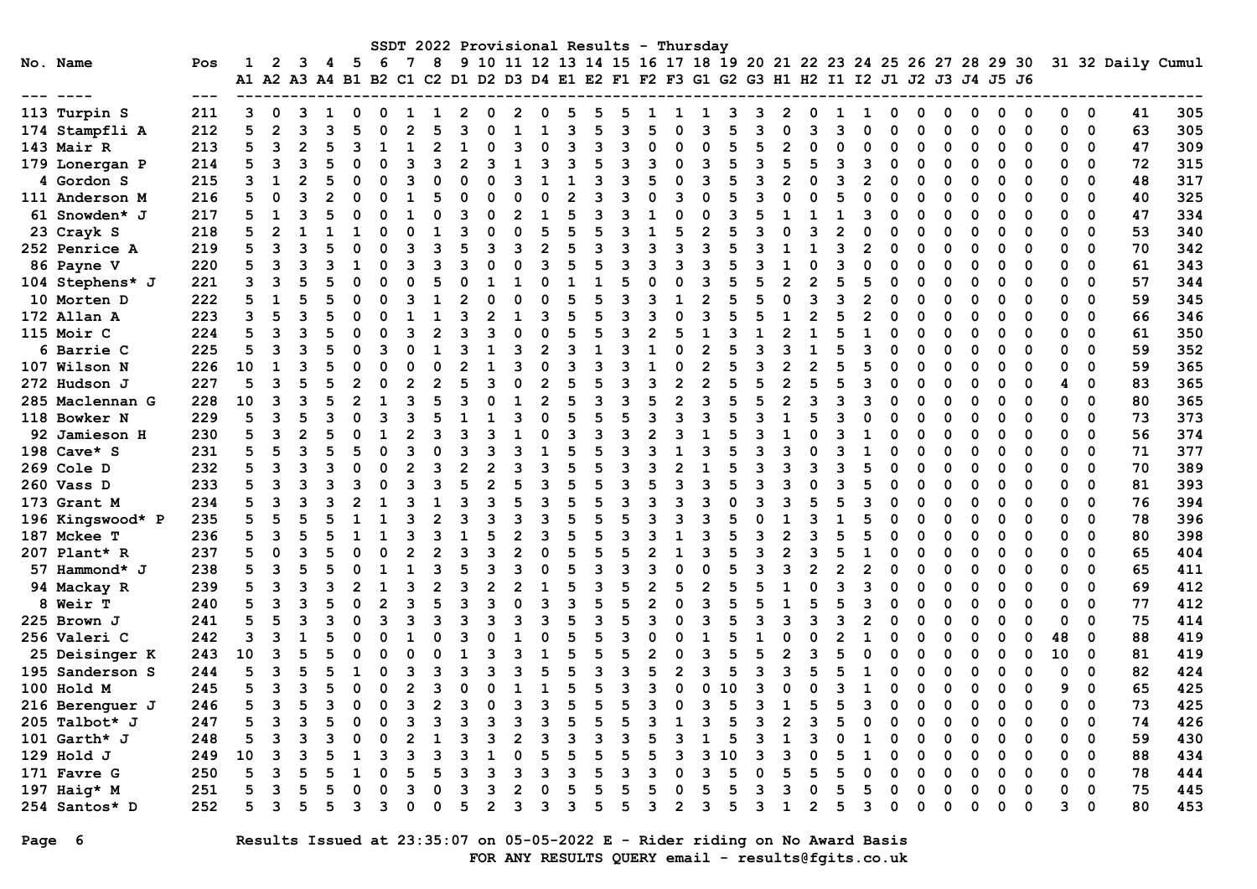|                  |     |                      |                |    |   |                |          |   |   |                |              |   |   |   |   |   |                | SSDT 2022 Provisional Results - Thursday                             |    |   |   |              |   |  |             |   |   |          |    |                          |                   |     |
|------------------|-----|----------------------|----------------|----|---|----------------|----------|---|---|----------------|--------------|---|---|---|---|---|----------------|----------------------------------------------------------------------|----|---|---|--------------|---|--|-------------|---|---|----------|----|--------------------------|-------------------|-----|
| No. Name         | Pos |                      | $\mathbf{2}$   | з  | 4 | - 5            | -6       | 8 |   |                |              |   |   |   |   |   |                | 9 10 11 12 13 14 15 16 17 18 19 20 21 22 23 24 25 26 27 28 29 30     |    |   |   |              |   |  |             |   |   |          |    |                          | 31 32 Daily Cumul |     |
|                  |     | A1 A2 A3 A4 B1 B2 C1 |                |    |   |                |          |   |   |                |              |   |   |   |   |   |                | C2 D1 D2 D3 D4 E1 E2 F1 F2 F3 G1 G2 G3 H1 H2 I1 I2 J1 J2 J3 J4 J5 J6 |    |   |   |              |   |  |             |   |   |          |    |                          |                   |     |
|                  |     |                      |                |    |   |                |          |   |   |                |              |   |   |   |   |   |                |                                                                      |    |   |   |              |   |  |             |   |   |          |    |                          |                   |     |
| 113 Turpin S     | 211 | 3                    |                |    |   |                |          |   |   |                |              |   |   |   |   |   |                |                                                                      |    |   |   |              |   |  |             |   |   |          |    | 0                        | 41                | 305 |
| 174 Stampfli A   | 212 | 5                    | $\overline{2}$ | ิว |   |                |          |   |   |                |              |   |   |   |   |   |                |                                                                      |    |   |   |              |   |  |             |   |   | ∩        | U  | 0                        | 63                | 305 |
| 143 Mair R       | 213 | 5                    | 3              |    |   |                |          |   |   |                |              |   |   |   |   |   |                |                                                                      |    |   |   |              |   |  | O           |   |   |          | O  | 0                        | 47                | 309 |
| 179 Lonergan P   | 214 | 5                    | 3              |    |   |                |          |   |   |                |              |   |   |   |   |   |                |                                                                      |    |   |   |              |   |  |             |   |   |          |    | 0                        | 72                | 315 |
| 4 Gordon S       | 215 |                      |                |    |   |                |          |   |   |                |              |   |   |   |   |   |                |                                                                      |    |   |   |              |   |  |             |   |   |          |    | $\Omega$                 | 48                | 317 |
| 111 Anderson M   | 216 |                      |                |    |   |                |          |   |   |                |              |   |   |   |   |   |                |                                                                      |    |   |   |              |   |  |             |   |   |          |    | 0                        | 40                | 325 |
| 61 Snowden* J    | 217 |                      |                |    |   |                |          |   |   |                |              |   |   |   |   |   |                |                                                                      |    |   |   |              |   |  | O           |   | O | O        | 0  | 0                        | 47                | 334 |
| 23 Crayk S       | 218 |                      |                |    |   |                |          |   |   |                |              |   |   |   |   |   |                |                                                                      |    |   |   |              |   |  |             |   | O | ∩        | 0  | 0                        | 53                | 340 |
| 252 Penrice A    | 219 |                      | २              |    |   | ŋ              |          |   |   |                | ิว           |   |   |   |   |   |                |                                                                      |    |   |   |              | 2 |  | U           |   | O | ∩        | O  | 0                        | 70                | 342 |
| 86 Payne V       | 220 |                      | ٩              |    |   |                |          |   |   |                |              |   |   |   |   |   |                |                                                                      |    |   |   |              |   |  | O           |   | ი |          | U  | $\Omega$                 | 61                | 343 |
| 104 Stephens* J  | 221 |                      | ٩              |    |   |                |          |   |   |                |              |   |   |   |   |   |                |                                                                      |    |   |   |              |   |  | O           |   |   |          |    | 0                        | 57                | 344 |
| 10 Morten D      | 222 |                      |                |    |   |                |          |   |   |                |              |   |   |   |   |   |                |                                                                      |    |   |   |              |   |  |             |   |   |          | O  | 0                        | 59                | 345 |
| 172 Allan A      | 223 | 3                    |                |    |   |                |          |   |   |                |              |   |   |   |   |   |                |                                                                      |    |   |   |              |   |  |             |   |   |          |    | 0                        | 66                | 346 |
| 115 Moir C       | 224 | 5                    | ٩              |    |   |                |          |   |   |                |              |   |   |   |   |   |                |                                                                      |    |   |   |              |   |  |             |   |   |          |    | $\Omega$                 | 61                | 350 |
| 6 Barrie C       | 225 | 5                    | ٩              |    |   |                |          |   |   |                |              |   |   |   |   |   |                |                                                                      |    |   |   |              |   |  |             |   |   |          |    | $\Omega$                 | 59                | 352 |
| 107 Wilson N     | 226 | 10                   | 1              |    |   |                |          |   |   |                |              |   |   |   |   |   |                |                                                                      |    |   |   |              |   |  |             |   |   |          | O  | 0                        | 59                | 365 |
| 272 Hudson J     | 227 | 5                    | 3              |    |   |                |          |   |   |                |              |   |   |   |   |   |                |                                                                      |    |   |   |              |   |  |             |   |   |          |    | $\Omega$                 | 83                | 365 |
| 285 Maclennan G  | 228 | 10                   | ॎ              |    |   | $\mathfrak{p}$ |          |   |   |                |              |   |   | ॎ |   |   |                | ิจ                                                                   |    |   |   |              |   |  | U           |   | ი |          |    | $\Omega$                 | 80                | 365 |
| 118 Bowker N     | 229 | 5                    | 3              |    |   |                |          |   |   |                |              |   |   |   |   |   |                |                                                                      |    |   |   |              |   |  |             |   |   |          | n  | $\Omega$                 | 73                | 373 |
| 92 Jamieson H    | 230 |                      | 3              |    |   |                |          |   |   |                |              |   |   |   |   |   |                |                                                                      |    |   |   |              |   |  |             |   |   |          | ŋ  | 0                        | 56                | 374 |
| 198 Cave* S      | 231 | 5                    |                |    |   |                |          |   |   |                |              |   |   |   |   |   |                |                                                                      |    |   |   |              |   |  |             |   |   |          | O  | 0                        | 71                | 377 |
| 269 Cole D       | 232 | 5                    | 3              |    |   |                |          |   |   |                |              |   |   |   |   |   |                |                                                                      |    |   |   |              |   |  |             |   |   |          |    | 0                        | 70                | 389 |
| 260 Vass D       | 233 | 5                    | ٩              |    |   |                |          |   |   |                |              |   |   |   |   |   |                |                                                                      |    |   |   |              |   |  |             |   |   |          |    | $\Omega$                 | 81                | 393 |
| 173 Grant M      | 234 |                      | ٩              |    |   |                |          |   |   |                |              |   |   |   |   |   |                |                                                                      |    |   |   |              |   |  |             |   |   |          | O  | $\Omega$                 | 76                | 394 |
| 196 Kingswood* P | 235 | 5                    |                |    |   |                |          |   |   |                |              |   |   |   |   |   |                |                                                                      |    |   |   |              |   |  |             |   | O | O        | 0  | 0                        | 78                | 396 |
| 187 Mckee T      | 236 | 5                    | 3              |    |   |                |          |   |   |                | 2            |   |   |   |   |   |                |                                                                      |    |   |   |              |   |  | O           |   | O |          | 0  | 0                        | 80                | 398 |
| 207 Plant* R     | 237 |                      | O              |    |   |                |          |   |   |                |              |   |   |   |   |   |                |                                                                      |    |   |   |              |   |  | U           |   | O | ∩        | O  | 0                        | 65                | 404 |
| 57 Hammond* J    | 238 |                      | ٩              |    |   |                |          |   |   |                |              |   |   |   |   |   |                |                                                                      |    |   |   |              |   |  | O           |   | ი | ∩        | U  | $\Omega$                 | 65                | 411 |
| 94 Mackay R      | 239 |                      | 3              |    |   |                |          |   |   |                |              |   |   |   |   |   |                |                                                                      |    |   |   |              |   |  | O           |   |   |          | O  | 0                        | 69                | 412 |
| 8 Weir T         | 240 | 5                    |                |    |   |                |          |   |   |                |              |   |   |   |   |   |                |                                                                      |    |   |   |              |   |  |             |   |   |          | O  | 0                        | 77                | 412 |
| 225 Brown J      | 241 | 5                    |                |    |   |                |          |   |   |                |              |   |   |   |   |   |                |                                                                      |    |   |   |              |   |  | O           |   |   |          |    | 0                        | 75                | 414 |
| 256 Valeri C     | 242 | ٩                    |                |    |   |                |          |   |   |                |              |   |   |   |   |   |                |                                                                      |    |   |   |              |   |  |             |   |   |          | 48 | $\Omega$                 | 88                | 419 |
| 25 Deisinger K   | 243 | 10                   |                |    |   |                |          |   |   |                |              |   |   |   |   |   |                |                                                                      |    |   |   |              |   |  |             |   |   |          | 10 | 0                        | 81                | 419 |
| 195 Sanderson S  | 244 | 5                    | 3              |    |   |                |          |   |   |                |              |   |   |   |   |   |                |                                                                      |    |   |   |              |   |  | U           |   | ი |          | O  | 0                        | 82                | 424 |
| 100 Hold M       | 245 | 5                    | 3              | ٦  |   | 0              |          | 3 |   |                |              |   | 5 | 5 |   | ٦ |                | ი                                                                    | 10 |   | ŋ |              |   |  | $\Omega$    |   | ŋ | $\Omega$ | 9  | 0                        | 65                | 425 |
| 216 Berenguer J  | 246 | 5                    | 3              |    |   | 0              |          | 2 |   |                |              |   |   |   |   | ∍ |                |                                                                      |    |   |   |              | 3 |  | 0           | 0 |   |          |    | $\overline{\phantom{0}}$ | 73                | 425 |
| 205 Talbot* J    | 247 | 5                    | 3              |    |   | 0              | $\Omega$ | 3 |   | ٩              | 3            |   |   |   |   |   |                | 3                                                                    |    |   | 2 | 3            | 0 |  | 0           |   |   |          |    | 0                        | 74                | 426 |
| 101 Garth* $J$   | 248 | 5                    | 3              |    |   |                |          |   |   |                |              |   |   |   |   |   |                |                                                                      |    |   |   |              |   |  |             |   |   |          |    | 0                        | 59                | 430 |
| 129 Hold J       | 249 | 10                   | 3              |    |   |                | 3        |   |   |                |              |   |   |   |   |   |                | 3<br>-1                                                              | 0. |   | 3 |              |   |  | 0           |   |   | 0        | 0  | 0                        | 88                | 434 |
| 171 Favre G      | 250 | 5                    | 3              |    |   |                |          |   |   |                | 3            |   |   |   |   |   |                |                                                                      |    |   | 5 |              |   |  |             |   |   |          | 0  | 0                        | 78                | 444 |
| 197 Haig* M      | 251 | 5                    | 3              |    |   |                |          | 0 |   | 3              | $\mathbf{2}$ |   | 5 | 5 |   | 5 |                | 5                                                                    | 5  | 3 | 3 |              | 5 |  |             |   |   | 0        | 0  | 0                        | 75                | 445 |
| 254 Santos* D    | 252 | 5                    | 3              |    |   | 3              | 3        | 0 | 5 | $\overline{2}$ | 3            | 3 | 3 | 5 | 5 | 3 | $\overline{2}$ | 3                                                                    | 5  | 3 | 1 | $\mathbf{2}$ | 3 |  | $\mathbf 0$ |   | ŋ | 0        | 3  | $\mathbf 0$              | 80                | 453 |

## Page 6 Results Issued at 23:35:07 on 05-05-2022 E - Rider riding on No Award Basis FOR ANY RESULTS QUERY email - results@fgits.co.uk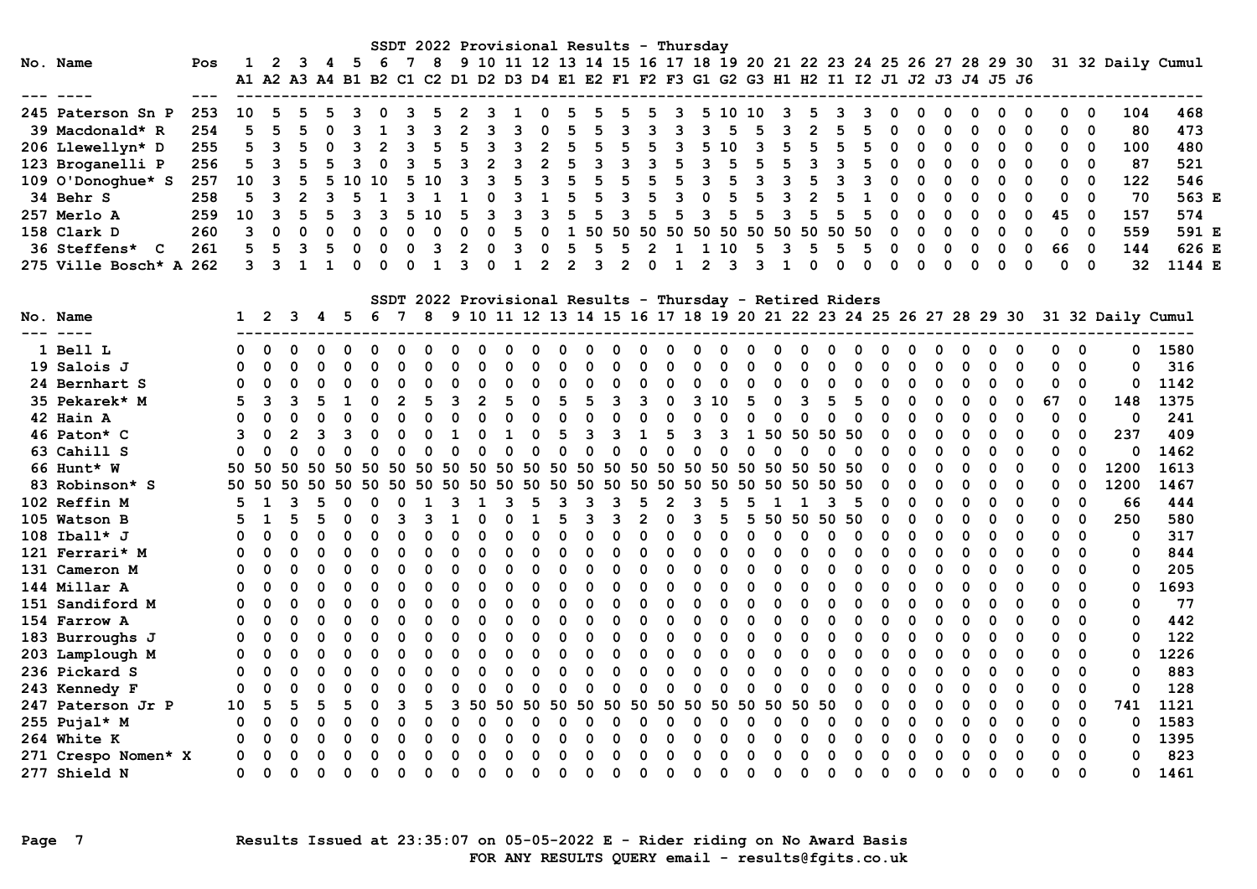|                          |     |              |              |                                                                                           |                         |          |          |                | SSDT 2022 Provisional Results - Thursday |                |                            |              |                |                |              |                          |                |                         |                |             |                              |              |                                                           |             |             |                                                                  |                         |             |             |                         |             |             |             |                                                                                    |             |  |
|--------------------------|-----|--------------|--------------|-------------------------------------------------------------------------------------------|-------------------------|----------|----------|----------------|------------------------------------------|----------------|----------------------------|--------------|----------------|----------------|--------------|--------------------------|----------------|-------------------------|----------------|-------------|------------------------------|--------------|-----------------------------------------------------------|-------------|-------------|------------------------------------------------------------------|-------------------------|-------------|-------------|-------------------------|-------------|-------------|-------------|------------------------------------------------------------------------------------|-------------|--|
| No. Name                 | Pos | $\mathbf{1}$ |              | $2 \quad 3$                                                                               | $\overline{\mathbf{4}}$ |          |          | 5 6 7          | 8                                        |                |                            |              |                |                |              |                          |                |                         |                |             |                              |              |                                                           |             |             |                                                                  |                         |             |             |                         |             |             |             | 9 10 11 12 13 14 15 16 17 18 19 20 21 22 23 24 25 26 27 28 29 30 31 32 Daily Cumul |             |  |
|                          |     |              |              | A1 A2 A3 A4 B1 B2 C1 C2 D1 D2 D3 D4 E1 E2 F1 F2 F3 G1 G2 G3 H1 H2 I1 I2 J1 J2 J3 J4 J5 J6 |                         |          |          |                |                                          |                |                            |              |                |                |              |                          |                |                         |                |             |                              |              |                                                           |             |             |                                                                  |                         |             |             |                         |             |             |             |                                                                                    |             |  |
|                          |     |              |              |                                                                                           |                         |          |          |                |                                          |                |                            |              |                |                |              |                          |                |                         |                |             |                              |              |                                                           |             |             |                                                                  |                         |             |             |                         |             |             |             |                                                                                    |             |  |
| 245 Paterson Sn P        | 253 | 10           | 5            | 5                                                                                         | 5                       |          |          |                |                                          |                | 3                          | 1            | 0              | 5              |              | 5                        |                | 3                       | 5.             | 10          | 10                           |              |                                                           |             |             |                                                                  |                         |             |             | 0                       |             | 0           | 0           | 104                                                                                | 468         |  |
| 39 Macdonald* R          | 254 | 5            | 5            | 5                                                                                         | 0                       | 3        | 1        | 3              | 3                                        | $\overline{2}$ | 3                          | 3            | 0              | 5              | 5            | 3                        | 3              | 3                       | 3              | 5           | 5                            | 3            | $\mathbf{2}$                                              | 5           | 5           | 0                                                                | 0                       | 0           | 0           | 0                       | 0           | 0           | $\mathbf 0$ | 80                                                                                 | 473         |  |
| 206 Llewellyn* D         | 255 | 5            | 3            |                                                                                           | $\Omega$                | 3        |          | 3              | 5                                        |                | 3                          | 3            | $\overline{2}$ | 5              | 5            | 5                        | 5              | 3                       | 5              | 10          | 3                            | 5            | 5                                                         | 5           | 5           | 0                                                                | 0                       | 0           | 0           | 0                       | 0           | 0           | 0           | 100                                                                                | 480         |  |
| 123 Broganelli P         | 256 | 5            | 3            | 5                                                                                         | 5                       | 3        | 0        | 3              | 5                                        | 3              | $\overline{2}$             | 3            | $\overline{2}$ | 5              | 3            | 3                        | $\overline{3}$ | 5                       | $\mathbf{3}$   | 5           | 5                            | 5            | 3                                                         | 3           | 5           | $\mathbf 0$                                                      | $\mathbf 0$             | $\Omega$    | 0           | 0                       | $\Omega$    | 0           | $\Omega$    | 87                                                                                 | 521         |  |
| 109 O'Donoghue* S        | 257 | 10           | 3            |                                                                                           | 5                       | 10       | 10       | 5              | 10                                       | 3              | 3                          | 5            | 3              | 5              | 5            | 5                        | 5              | 5                       | $\overline{3}$ | 5           | 3                            | 3            | 5                                                         | 3           | 3           | $\Omega$                                                         | $\Omega$                | $\Omega$    |             | $\Omega$                | $\Omega$    | 0           | $\Omega$    | 122                                                                                | 546         |  |
| 34 Behr S                | 258 | 5            |              |                                                                                           |                         |          |          | 3              |                                          |                | O                          | 3            |                | 5              | 5            | 3                        | 5              | 3                       | $\Omega$       | 5           |                              | 3            | $\overline{2}$                                            | 5           |             | $\Omega$                                                         | $\Omega$                | $\mathbf 0$ | $\Omega$    | 0                       | $\Omega$    | 0           | $\Omega$    | 70                                                                                 | 563 E       |  |
| 257 Merlo A              | 259 | 10           | 3            |                                                                                           | 5                       | 3        | 3        | 5              | 10                                       | 5              | 3                          | 3            | 3              | 5              | 5            | 3                        | 5              | 5                       | 3              | 5           | 5                            | 3            | 5                                                         | 5           | 5           | $\Omega$                                                         | $\Omega$                | $\Omega$    | $\Omega$    | $\Omega$                | $\Omega$    | 45          | $\Omega$    | 157                                                                                | 574         |  |
| 158 Clark D              | 260 | 3            | $\Omega$     |                                                                                           | $\Omega$                | $\Omega$ | $\Omega$ | $\Omega$       | $\mathbf 0$                              | $\Omega$       | $\Omega$                   | 5            | $\Omega$       |                |              |                          |                |                         |                |             | 1 50 50 50 50 50 50 50 50 50 |              |                                                           | 50          | 50          | $\Omega$                                                         | $\Omega$                | $\Omega$    | $\Omega$    | 0                       | $\Omega$    | $\Omega$    | $\Omega$    | 559                                                                                | 591 E       |  |
| <b>36 Steffens*</b><br>C | 261 | 5            | 5            | 3                                                                                         | 5                       | 0        | $\Omega$ | $\mathbf 0$    | 3                                        | 2              | $\Omega$                   | 3            | 0              | 5              | 5            | 5                        | $\overline{2}$ | 1                       | 1              | 10          | 5                            | 3            | 5                                                         | 5           | 5           | 0                                                                | 0                       | $\Omega$    | $\Omega$    | 0                       | 0           | 66          | $\Omega$    | 144                                                                                | 626 E       |  |
| 275 Ville Bosch* A 262   |     | 3            | વ            |                                                                                           | $\mathbf{1}$            | $\Omega$ | $\Omega$ | $\Omega$       | $\mathbf{1}$                             | 3              | $\Omega$                   | $\mathbf{1}$ | $\overline{2}$ | $\overline{2}$ | 3            | $\mathfrak{p}$           | $\Omega$       | $\mathbf{1}$            | $\overline{2}$ | 3           | 3                            | $\mathbf{1}$ | $\Omega$                                                  | $\Omega$    | $\Omega$    | $\Omega$                                                         | $\Omega$                | $\Omega$    | $\Omega$    | $\Omega$                | $\Omega$    | $\Omega$    | $\Omega$    | 32                                                                                 | 1144 E      |  |
|                          |     |              |              |                                                                                           |                         |          |          |                |                                          |                |                            |              |                |                |              |                          |                |                         |                |             |                              |              |                                                           |             |             |                                                                  |                         |             |             |                         |             |             |             |                                                                                    |             |  |
|                          |     |              |              |                                                                                           |                         |          |          |                |                                          |                |                            |              |                |                |              |                          |                |                         |                |             |                              |              |                                                           |             |             |                                                                  |                         |             |             |                         |             |             |             |                                                                                    |             |  |
|                          |     |              |              |                                                                                           |                         |          |          |                |                                          |                |                            |              |                |                |              |                          |                |                         |                |             |                              |              | SSDT 2022 Provisional Results - Thursday - Retired Riders |             |             |                                                                  |                         |             |             |                         |             |             |             |                                                                                    |             |  |
| No. Name<br>-----        |     | $\mathbf{1}$ | -2           | 3                                                                                         | 45                      |          | 67       |                | -8                                       |                |                            |              |                |                |              |                          |                |                         |                |             |                              |              |                                                           |             |             | 9 10 11 12 13 14 15 16 17 18 19 20 21 22 23 24 25 26 27 28 29 30 |                         |             |             |                         |             |             |             | 31 32 Daily Cumul                                                                  |             |  |
| 1 Bell L                 |     | O            |              |                                                                                           |                         |          |          |                |                                          |                |                            |              |                |                | O            |                          |                | $\Omega$                |                |             | $\Omega$                     |              |                                                           |             |             |                                                                  |                         |             |             | $\Omega$                |             | $\Omega$    | $\Omega$    | 0                                                                                  |             |  |
| 19 Salois J              |     | 0            | $\mathbf 0$  | $\Omega$                                                                                  | 0                       | $\Omega$ |          | 0              | $\Omega$                                 | $\Omega$       | $\Omega$                   | $\mathbf 0$  | 0              | 0              | $\mathbf 0$  | 0                        | $\mathbf 0$    | 0                       | 0              | 0           | 0                            | $\Omega$     | 0                                                         | 0           | 0           | 0                                                                | 0                       | $\mathbf 0$ | $\mathbf 0$ | $\mathbf 0$             | 0           | $\mathbf 0$ | 0           | 0                                                                                  | 1580<br>316 |  |
|                          |     |              | $\Omega$     |                                                                                           |                         |          |          |                |                                          |                |                            | $\Omega$     |                |                | $\Omega$     |                          |                |                         |                |             |                              |              |                                                           |             |             |                                                                  |                         | $\Omega$    |             |                         |             |             | $\Omega$    |                                                                                    |             |  |
| 24 Bernhart S            |     | $\mathbf 0$  |              | 0                                                                                         | 0                       | $\Omega$ | 0        | 0              | $\Omega$<br>5                            | 0              | 0                          | 5            | $\Omega$       | $\Omega$       | 5            | 0                        | $\mathbf 0$    | $\mathbf 0$<br>$\Omega$ | 0              | $\Omega$    | $\mathbf 0$                  | $\mathbf 0$  | $\Omega$                                                  | $\mathbf 0$ | $\Omega$    | 0                                                                | $\mathbf 0$<br>$\Omega$ |             | 0           | $\mathbf 0$<br>$\Omega$ | $\Omega$    | 0           |             | $\mathbf 0$                                                                        | 1142        |  |
| 35 Pekarek* M            |     | 5            | 3            | 3                                                                                         | 5                       | 1        | $\Omega$ | $\overline{2}$ |                                          | 3              | $\overline{2}$<br>$\Omega$ |              | $\Omega$       | 5              |              | $\mathbf{3}$<br>$\Omega$ | 3              |                         | 310            |             | 5                            | $\mathbf 0$  | 3                                                         | 5           | 5           | $\Omega$                                                         |                         | $\mathbf 0$ | $\Omega$    |                         | $\mathbf 0$ | 67          | $\Omega$    | 148                                                                                | 1375        |  |
| 42 Hain A                |     | $\Omega$     | $\Omega$     | $\Omega$                                                                                  | O                       | $\Omega$ | 0        | $\Omega$       | $\Omega$                                 | $\Omega$       |                            | $\mathbf 0$  | $\Omega$       | $\mathbf 0$    | $\mathbf 0$  |                          | $\Omega$       | $\mathbf 0$             | $\Omega$       | $\Omega$    | $\mathbf 0$                  | $\Omega$     | O                                                         | $\mathbf 0$ | $\mathbf 0$ | O                                                                | $\Omega$                | $\Omega$    | O           | $\Omega$                | $\Omega$    | $\Omega$    | 0           | $\mathbf 0$                                                                        | 241         |  |
| 46 Paton* C              |     | 3            | $\Omega$     | $\overline{2}$                                                                            | ٦                       | 3        | 0        | $\Omega$       | $\Omega$                                 | 1              | $\Omega$                   | $\mathbf{1}$ | $\Omega$       | 5              | 3            | 3                        | 1              | 5                       | 3              | 3           | 1                            | 50           | -50                                                       | 50          | 50          | 0                                                                | $\Omega$                | $\Omega$    | 0           | $\Omega$                | 0           | $\Omega$    | $\Omega$    | 237                                                                                | 409         |  |
| 63 Cahill S              |     | $\Omega$     | $\Omega$     | $\Omega$                                                                                  | O                       | $\Omega$ | 0        | $\Omega$       | $\Omega$                                 | $\Omega$       | $\Omega$                   | $\Omega$     | $\Omega$       | $\Omega$       | $\Omega$     | $\Omega$                 | $\Omega$       | $\Omega$                | $\Omega$       | $\Omega$    | $\Omega$                     | $\Omega$     |                                                           | 0           | $\Omega$    | O                                                                | $\Omega$                | 0           | $\Omega$    | $\Omega$                | $\Omega$    | $\Omega$    | $\mathbf 0$ | 0                                                                                  | 1462        |  |
| 66 Hunt* W               |     | 50           | 50           | 50                                                                                        | 50                      | 50       | 50       | 50             | 50                                       | 50             | 50                         |              | 50 50 50       |                | 50 50 50     |                          |                | 50                      | 50 50          |             | 50 50 50                     |              |                                                           | 50          | 50          | 0                                                                | 0                       | 0           | 0           | $\Omega$                | 0           | 0           | 0           | 1200                                                                               | 1613        |  |
| 83 Robinson* S           |     | 50           | 50           | 50                                                                                        | 50                      | 50       | 50       | 50             | 50                                       | 50             | 50                         | 50 50        |                | 50             | 50           | 50                       | 50             | 50                      | 50             | 50          | 50                           | 50           | 50                                                        | 50          | 50          | $\Omega$                                                         | 0                       | $\mathbf 0$ | $\Omega$    | 0                       | 0           | 0           | $\mathbf 0$ | 1200                                                                               | 1467        |  |
| 102 Reffin M             |     | 5            | 1            | 3                                                                                         | 5                       | 0        | 0        | 0              | 1                                        | 3              | 1                          | 3            | 5              | 3              | $\mathbf{3}$ | 3                        | 5              | $\overline{2}$          | 3              | 5           | 5                            | 1            | 1                                                         | 3           | 5           | 0                                                                | 0                       | $\mathbf 0$ | $\Omega$    | 0                       | 0           | 0           | $\mathbf 0$ | 66                                                                                 | 444         |  |
| 105 Watson B             |     | 5            | $\mathbf{1}$ | 5                                                                                         | 5                       | $\Omega$ | 0        | 3              | 3                                        | 1              | $\Omega$                   | $\Omega$     | 1              | 5              | 3            | 3                        | $\mathbf{2}$   | $\Omega$                | 3              | 5           | 5                            | 50 50        |                                                           | 50          | 50          | 0                                                                | 0                       | $\Omega$    | $\Omega$    | $\Omega$                | $\Omega$    | $\Omega$    | $\mathbf 0$ | 250                                                                                | 580         |  |
| $108$ Iball* J           |     | 0            | $\mathbf 0$  | $\Omega$                                                                                  | $\Omega$                | $\Omega$ | 0        | $\Omega$       | $\Omega$                                 | 0              | $\Omega$                   | $\Omega$     | $\mathbf 0$    | $\mathbf 0$    | $\mathbf 0$  | $\Omega$                 | $\Omega$       | $\Omega$                | $\mathbf 0$    | $\mathbf 0$ | $\mathbf 0$                  | $\mathbf 0$  | $\Omega$                                                  | $\mathbf 0$ | $\mathbf 0$ | $\Omega$                                                         | 0                       | $\mathbf 0$ | 0           | 0                       | 0           | 0           | $\mathbf 0$ | $\mathbf 0$                                                                        | 317         |  |
| 121 Ferrari* M           |     | 0            | $\Omega$     | $\Omega$                                                                                  | O                       | $\Omega$ |          | O              | $\Omega$                                 | $\Omega$       | $\Omega$                   | $\Omega$     | $\Omega$       | $\Omega$       | $\mathbf 0$  | $\Omega$                 | O              | 0                       | $\Omega$       | $\Omega$    | $\mathbf 0$                  | $\Omega$     | $\Omega$                                                  | $\mathbf 0$ | $\Omega$    | O                                                                | $\mathbf 0$             | $\Omega$    | $\Omega$    | $\mathbf 0$             | $\Omega$    | $\Omega$    | $\mathbf 0$ | $\mathbf 0$                                                                        | 844         |  |
| 131 Cameron M            |     | O            | $\Omega$     | O                                                                                         | 0                       | $\Omega$ |          | $\Omega$       | $\Omega$                                 | 0              | $\Omega$                   | $\Omega$     | 0              | $\Omega$       | $\Omega$     | $\Omega$                 | $\Omega$       | $\Omega$                | $\Omega$       | O           | $\Omega$                     | $\Omega$     | O                                                         | $\Omega$    | $\mathbf 0$ | 0                                                                | $\Omega$                | $\mathbf 0$ | 0           | $\Omega$                | $\Omega$    | $\Omega$    | $\Omega$    | $\mathbf 0$                                                                        | 205         |  |
| 144 Millar A             |     | 0            | $\Omega$     | 0                                                                                         | $\Omega$                | $\Omega$ | 0        | 0              | $\Omega$                                 | $\Omega$       | 0                          | $\Omega$     | $\Omega$       | 0              | $\mathbf 0$  | 0                        | 0              | $\Omega$                | $\Omega$       | $\Omega$    | $\Omega$                     | $\mathbf 0$  | $\Omega$                                                  | $\mathbf 0$ | $\mathbf 0$ | $\Omega$                                                         | 0                       | 0           | $\Omega$    | $\Omega$                | 0           | $\Omega$    | $\Omega$    | 0                                                                                  | 1693        |  |
| 151 Sandiford M          |     | $\Omega$     | $\Omega$     | 0                                                                                         | 0                       | $\Omega$ | 0        | O              | $\Omega$                                 | 0              | 0                          | $\Omega$     | 0              | O              | $\Omega$     | $\Omega$                 | 0              | $\Omega$                | $\Omega$       | O           | 0                            | $\Omega$     | O                                                         | 0           | $\Omega$    | 0                                                                | 0                       | $\Omega$    | 0           | $\Omega$                | $\Omega$    | 0           | 0           | 0                                                                                  | 77          |  |
| 154 Farrow A             |     | $\Omega$     | $\Omega$     | O                                                                                         | ი                       |          | O        | O              |                                          | O              | O                          | O            | 0              | O              | $\Omega$     | $\Omega$                 | 0              | $\Omega$                | $\Omega$       | O           | $\Omega$                     | $\Omega$     | O                                                         | $\Omega$    | 0           | $\Omega$                                                         | $\Omega$                | 0           | 0           | $\Omega$                | $\Omega$    | 0           | $\Omega$    | 0                                                                                  | 442         |  |
| 183 Burroughs J          |     | $\Omega$     | $\Omega$     | O                                                                                         | O                       | $\Omega$ |          | O              | $\Omega$                                 | $\Omega$       | $\Omega$                   | $\Omega$     | $\Omega$       | $\Omega$       | $\Omega$     | $\Omega$                 | $\Omega$       | $\Omega$                | $\Omega$       | $\Omega$    | $\Omega$                     | $\Omega$     | $\Omega$                                                  | 0           | $\Omega$    | $\Omega$                                                         | $\Omega$                | $\Omega$    | O           | $\Omega$                | $\Omega$    | $\Omega$    | $\Omega$    | $\Omega$                                                                           | 122         |  |
| 203 Lamplough M          |     | 0            | $\mathbf 0$  | $\Omega$                                                                                  | O                       | $\Omega$ | 0        | O              | $\Omega$                                 | O              | 0                          | $\Omega$     | 0              | $\mathbf 0$    | $\mathbf 0$  | 0                        | $\Omega$       | $\Omega$                | $\Omega$       | $\Omega$    | $\mathbf 0$                  | $\mathbf 0$  | O                                                         | $\mathbf 0$ | $\mathbf 0$ | $\Omega$                                                         | 0                       | $\mathbf 0$ | $\Omega$    | $\Omega$                | $\Omega$    | $\mathbf 0$ | $\mathbf 0$ | 0                                                                                  | 1226        |  |
| 236 Pickard S            |     | 0            | 0            | 0                                                                                         | 0                       | $\Omega$ |          | 0              | $\Omega$                                 | $\Omega$       | $\Omega$                   | $\mathbf 0$  | 0              | 0              | $\mathbf 0$  | 0                        | $\Omega$       | 0                       | 0              | $\Omega$    | $\mathbf 0$                  | $\mathbf 0$  | 0                                                         | 0           | 0           | 0                                                                | 0                       | 0           | 0           | $\mathbf 0$             | 0           | 0           | 0           | 0                                                                                  | 883         |  |
| 243 Kennedy F            |     | 0            | $\Omega$     |                                                                                           | O                       |          |          | O              | O                                        |                | O                          | $\mathbf 0$  | ∩              | O              | $\mathbf 0$  | O                        | U              | 0                       | $\Omega$       | ∩           | 0                            | ∩            | O                                                         | $\mathbf 0$ | $\Omega$    | O                                                                | 0                       | 0           | 0           | $\Omega$                | 0           | 0           | 0           | $\mathbf 0$                                                                        | 128         |  |
| 247 Paterson Jr P        |     | 10           | 5            | 5                                                                                         | 5                       |          | 0        | 3              |                                          | 3              | 50                         | 50           | 50             | 50             | 50           | 50                       | 50             | 50                      | 50             | 50          | 50                           | 50           | 50                                                        | 50          | $\mathbf 0$ | $\Omega$                                                         | 0                       | $\mathbf 0$ | $\Omega$    | $\Omega$                | 0           | $\mathbf 0$ | 0           | 741                                                                                | 1121        |  |
| 255 Pujal* M             |     | $\mathbf 0$  | $\Omega$     | O                                                                                         | O                       |          |          | $\Omega$       | $\Omega$                                 |                |                            | $\Omega$     | O              |                | $\mathbf 0$  | O                        |                | 0                       | $\Omega$       |             | $\mathbf 0$                  | $\Omega$     |                                                           | $\mathbf 0$ | $\Omega$    | O                                                                | 0                       | $\Omega$    | O           | $\Omega$                | $\mathbf 0$ | $\mathbf 0$ | 0           | $\mathbf 0$                                                                        | 1583        |  |
| 264 White K              |     | $\Omega$     | $\Omega$     |                                                                                           | 0                       | $\Omega$ |          | $\Omega$       | $\Omega$                                 | $\Omega$       | $\Omega$                   | $\Omega$     | $\Omega$       | $\Omega$       | $\Omega$     | $\Omega$                 | $\Omega$       | $\Omega$                | $\Omega$       | $\Omega$    | $\Omega$                     | $\Omega$     | 0                                                         | $\Omega$    | $\Omega$    | $\Omega$                                                         | $\Omega$                | $\Omega$    | $\Omega$    | $\Omega$                | $\Omega$    | $\Omega$    | $\Omega$    | 0                                                                                  | 1395        |  |
| 271 Crespo Nomen* X      |     | 0            | $\mathbf 0$  | $\Omega$                                                                                  | O                       | $\Omega$ |          | $\Omega$       | $\Omega$                                 |                | O                          | $\Omega$     | $\Omega$       | O              | $\Omega$     | O                        | O              | $\Omega$                | $\Omega$       |             | $\Omega$                     | $\Omega$     | O                                                         | 0           | $\Omega$    | $\Omega$                                                         | $\Omega$                | $\Omega$    | O           | $\Omega$                | $\Omega$    | $\Omega$    | $\Omega$    | 0                                                                                  | 823         |  |
| 277 Shield N             |     | $\Omega$     | $\Omega$     | 0                                                                                         | O                       | $\Omega$ | 0        | O              | $\Omega$                                 | O              | 0                          | $\Omega$     | 0              | O              | $\Omega$     | O                        | $\Omega$       | $\Omega$                | O              | 0           | $\Omega$                     | $\Omega$     | 0                                                         | $\Omega$    | $\Omega$    | O                                                                | $\Omega$                | 0           | U           | 0                       | O           | 0           | $\Omega$    | 0                                                                                  | 1461        |  |
|                          |     |              |              |                                                                                           |                         |          |          |                |                                          |                |                            |              |                |                |              |                          |                |                         |                |             |                              |              |                                                           |             |             |                                                                  |                         |             |             |                         |             |             |             |                                                                                    |             |  |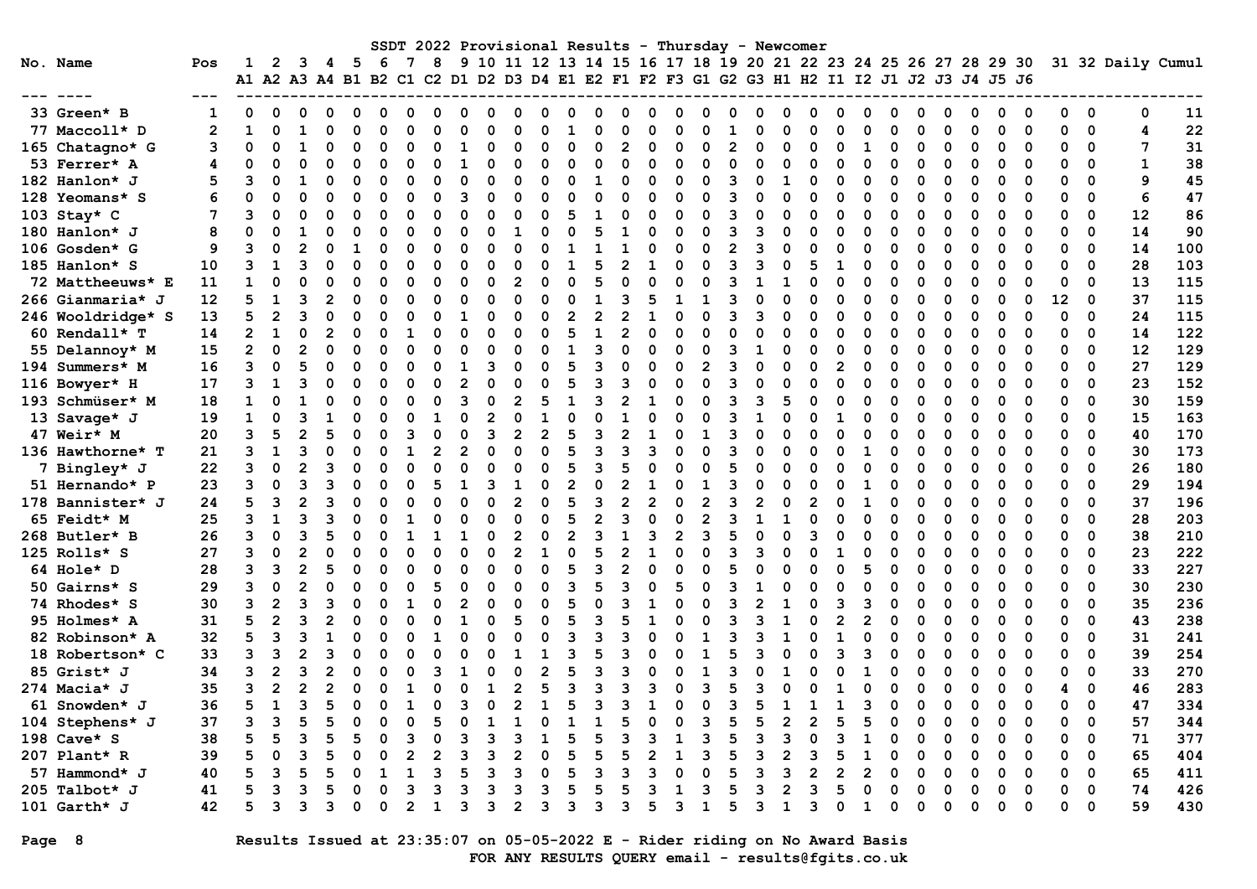|                   |                |                |                |                |   |             |    |   |   |                |    |   |          |   |   |   | SSDT 2022 Provisional Results - Thursday - Newcomer                                       |                |   |             |   |   |   |             |   |   |   |    |                         |    |                   |
|-------------------|----------------|----------------|----------------|----------------|---|-------------|----|---|---|----------------|----|---|----------|---|---|---|-------------------------------------------------------------------------------------------|----------------|---|-------------|---|---|---|-------------|---|---|---|----|-------------------------|----|-------------------|
| No. Name          | Pos            |                | 2              | 3              | 4 | - 5         | -6 | 8 |   |                |    |   |          |   |   |   | 9 10 11 12 13 14 15 16 17 18 19 20 21 22 23 24 25 26 27 28 29 30                          |                |   |             |   |   |   |             |   |   |   |    |                         |    | 31 32 Daily Cumul |
|                   |                |                |                |                |   |             |    |   |   |                |    |   |          |   |   |   | A1 A2 A3 A4 B1 B2 C1 C2 D1 D2 D3 D4 E1 E2 F1 F2 F3 G1 G2 G3 H1 H2 I1 I2 J1 J2 J3 J4 J5 J6 |                |   |             |   |   |   |             |   |   |   |    |                         |    |                   |
|                   |                |                |                |                |   |             |    |   |   |                |    |   |          |   |   |   |                                                                                           |                |   |             |   |   |   |             |   |   |   |    |                         |    |                   |
| 33 Green* B       |                |                |                |                |   |             |    |   |   |                |    |   |          |   |   |   |                                                                                           |                |   |             |   |   |   |             |   |   |   |    | 0                       | 0  | 11                |
| 77 Maccoll* D     | $\overline{2}$ | 1              |                |                |   |             |    |   |   |                |    |   |          |   |   |   |                                                                                           |                |   |             |   |   |   |             |   |   | ∩ |    | 0                       | 4  | 22                |
| 165 Chatagno* G   | 3              | 0              |                |                |   | O           |    |   |   | O              |    |   | O        |   |   | O |                                                                                           |                |   |             |   |   |   | O           |   |   |   |    | $\Omega$                | 7  | 31                |
| 53 Ferrer* A      |                | ი              |                |                |   |             |    |   |   | U              |    |   |          |   |   |   |                                                                                           |                |   |             |   |   |   | n           |   |   |   |    | $\Omega$                |    | 38                |
| 182 Hanlon* J     | 5              |                |                |                |   |             |    |   |   | U              |    |   | 1        |   |   |   |                                                                                           |                |   |             |   |   |   | n           |   |   |   |    | $\Omega$                | 9  | 45                |
| 128 Yeomans* S    | 6              |                |                |                |   |             |    |   |   | O              |    |   |          |   |   |   |                                                                                           |                |   |             |   | ი |   |             |   |   |   |    | $\Omega$                | 6  | 47                |
| 103 Stay* C       |                | 3              | O              | O              |   | O           |    | U |   | O              |    |   |          |   |   | O |                                                                                           |                |   | n           |   | O |   | U           |   | ი |   | Ω  | $\Omega$                | 12 | 86                |
| 180 Hanlon* J     |                | O              | ი              |                |   | O           |    |   |   |                |    |   |          |   | ი | n |                                                                                           |                |   | n           |   | O |   | U           |   | O | ∩ | O  | $\Omega$                | 14 | 90                |
| 106 Gosden* G     | 9              | ٩              | ი              | $\mathfrak{p}$ |   |             |    | n |   | U              |    |   |          |   | n | C |                                                                                           | $\mathfrak{p}$ |   | n           |   | O | O | U           |   | ი | ∩ |    | $\Omega$                | 14 | 100               |
| 185 Hanlon* S     | 10             | ٩              | 1              | ٦              |   | O           |    |   |   | U              |    |   |          |   |   |   |                                                                                           |                |   | n           |   | O |   | U           |   | ი | ∩ |    | $\Omega$                | 28 | 103               |
| 72 Mattheeuws* E  | 11             | 1              |                |                |   |             |    |   |   | 2              |    |   |          |   |   |   |                                                                                           |                |   |             |   |   |   | U           |   |   |   | ŋ  | $\mathbf 0$             | 13 | 115               |
| 266 Gianmaria* J  | 12             | 5              |                |                |   |             |    |   |   |                |    |   |          |   |   |   |                                                                                           |                |   |             |   |   |   | O           |   |   | O | 12 | 0                       | 37 | 115               |
| 246 Wooldridge* S | 13             | 5              |                |                |   |             |    |   |   |                |    |   |          |   |   |   |                                                                                           |                |   |             |   |   |   |             |   |   |   |    | $\Omega$                | 24 | 115               |
| 60 Rendall* T     | 14             | $\overline{2}$ |                | $\Omega$       |   |             |    |   |   |                |    |   | 1        |   |   |   |                                                                                           |                |   |             |   |   |   | O           |   |   |   |    | $\Omega$                | 14 | 122               |
| 55 Delannoy* M    | 15             | $\overline{2}$ |                |                |   |             |    |   |   |                |    |   |          |   |   |   |                                                                                           |                |   |             |   |   |   |             |   |   |   |    | $\Omega$                | 12 | 129               |
| 194 Summers* M    | 16             | 3              | O              |                |   | O           |    |   |   |                |    |   | З        |   |   |   |                                                                                           |                |   |             |   | O |   | U           |   |   |   | O  | $\Omega$                | 27 | 129               |
| 116 Bowyer* H     | 17             | 3              |                |                |   | O           |    |   |   |                |    |   | 3        |   |   |   |                                                                                           |                |   | n           |   | O |   | O           |   |   |   | O  | $\Omega$                | 23 | 152               |
| 193 Schmüser* M   | 18             |                | O              |                |   | O           |    | n |   | 2              |    |   | Р        |   |   |   |                                                                                           | ર              | З |             |   | O |   | U           |   |   |   |    | $\Omega$                | 30 | 159               |
| 13 Savage* J      | 19             | $\mathbf{1}$   | O              |                |   | O           |    |   |   | U              |    |   |          |   |   |   |                                                                                           |                |   | n           |   | n |   | n           |   |   |   |    | $\Omega$                | 15 | 163               |
| 47 Weir* M        | 20             | 3              | 5              | $\overline{2}$ |   |             |    |   |   | $\mathfrak{p}$ |    |   | २        |   |   |   |                                                                                           |                |   |             |   |   |   | O           |   |   |   |    | $\Omega$                | 40 | 170               |
| 136 Hawthorne* T  | 21             |                |                |                |   |             |    |   |   |                |    |   | 3        |   |   |   |                                                                                           |                |   |             |   |   |   |             |   |   |   |    | $\Omega$                | 30 | 173               |
| 7 Bingley* J      | 22             | 3              | O              | 2              |   |             |    |   |   |                |    |   |          |   |   |   |                                                                                           |                |   |             |   |   |   |             |   |   |   |    | $\Omega$                | 26 | 180               |
| 51 Hernando* P    | 23             | ٩              |                |                |   |             |    |   |   |                |    |   | $\Omega$ |   |   |   |                                                                                           |                |   |             |   |   |   | U           |   |   |   |    | $\Omega$                | 29 | 194               |
| 178 Bannister* J  | 24             | 5              | ึ่ง            |                |   |             |    |   |   | $\mathfrak{p}$ |    |   | 3        |   |   |   |                                                                                           |                |   |             |   |   |   | U           |   |   |   |    | $\Omega$                | 37 | 196               |
| 65 Feidt* M       | 25             | 3              |                |                |   |             |    |   |   | O              |    |   |          |   |   |   |                                                                                           |                |   |             |   | O |   | U           |   | O | O | 0  | $\Omega$                | 28 | 203               |
| 268 Butler* B     | 26             |                |                |                |   | O           |    |   |   | 2              |    | 2 |          |   | ٩ | 2 |                                                                                           |                |   |             |   | O |   | U           |   | O |   |    | $\mathbf 0$             | 38 | 210               |
| 125 Rolls* S      | 27             | ٩              | O              | 2              |   | O           |    |   |   | っ              |    |   |          |   |   |   |                                                                                           |                |   |             |   | O |   | U           |   | ი | ∩ |    | $\Omega$                | 23 | 222               |
| 64 Hole* D        | 28             | ٩              | ิว             | $\mathfrak{p}$ |   | O           |    |   |   | U              |    |   |          |   | O |   |                                                                                           |                |   |             |   | 5 |   | U           |   |   | ∩ | n  | $\Omega$                | 33 | 227               |
| 50 Gairns* S      | 29             | 3              |                | 2              |   |             |    |   |   |                |    |   |          |   |   |   |                                                                                           |                |   |             |   |   |   | U           |   |   |   |    | $\mathbf 0$             | 30 | 230               |
| 74 Rhodes* S      | 30             | 3              |                |                |   |             |    |   |   |                |    |   |          |   |   |   |                                                                                           |                |   |             |   |   |   |             |   |   |   |    | 0                       | 35 | 236               |
| 95 Holmes* A      | 31             |                |                |                |   |             |    |   |   |                |    |   |          |   |   |   |                                                                                           |                |   |             |   |   |   | O           |   |   |   |    | $\mathbf 0$             | 43 | 238               |
| 82 Robinson* A    | 32             | 5              |                |                |   |             |    |   |   |                |    |   |          |   |   |   |                                                                                           |                |   |             |   |   |   |             |   |   |   |    | $\Omega$                | 31 | 241               |
| 18 Robertson* C   | 33             | 3              | ิว             |                |   |             |    |   |   |                |    |   |          |   |   |   |                                                                                           |                |   |             |   |   |   |             |   |   |   |    | $\Omega$                | 39 | 254               |
| 85 Grist* J       | 34             | ٩              | 2              |                |   | O           |    |   |   |                |    |   | ৭        |   |   |   |                                                                                           |                |   |             |   |   |   |             |   | ი |   | ŋ  | $\Omega$                | 33 | 270               |
| 274 Macia* J      | 35             | 3              | $\overline{2}$ | 2              |   | O           |    | U |   | $\overline{2}$ | 5  |   | 3        |   | ٩ | ∩ |                                                                                           |                |   | O           |   | ŋ |   | $\Omega$    | U | U | ∩ |    | $\Omega$                | 46 | 283               |
| 61 Snowden* J     | 36             |                | $\blacksquare$ | ີ              |   | $\mathbf 0$ |    | 0 |   | 2              | -1 |   | 3        | ີ |   |   |                                                                                           | ີ              |   |             |   | ∍ | 0 | $\mathbf 0$ | 0 |   |   |    | $\overline{\mathbf{0}}$ | 47 | 334               |
| 104 Stephens* J   | 37             | 3              |                |                |   |             |    |   |   |                |    |   |          |   |   |   |                                                                                           |                |   | 2           |   |   |   |             |   |   |   |    | 0                       | 57 | 344               |
| 198 Cave* S       | 38             |                |                |                |   |             |    |   |   |                |    |   |          |   |   |   |                                                                                           |                |   |             |   |   |   |             |   |   |   |    | 0                       | 71 | 377               |
| 207 Plant* R      | 39             |                |                |                |   |             |    |   |   |                |    |   |          |   |   |   |                                                                                           |                |   |             |   |   |   | O           |   |   | 0 | 0  | 0                       | 65 | 404               |
| 57 Hammond* J     | 40             |                |                |                |   |             |    | 3 |   | з              |    |   |          |   |   |   |                                                                                           |                |   |             |   |   |   |             |   |   |   | 0  | 0                       | 65 | 411               |
| 205 Talbot* J     | 41             |                |                |                |   |             |    | 3 |   | 3              |    |   |          |   |   |   |                                                                                           |                |   |             |   |   |   |             |   |   |   | 0  | 0                       | 74 | 426               |
| 101 Garth* J      | 42             | 5              | 3              | 3              |   | 0           | 0  | 1 | з | $\mathbf{2}$   |    | 3 | 3        |   | 5 | 3 | 1                                                                                         | 5              |   | $\mathbf 1$ | 3 | 1 | O | 0           |   | ი |   | 0  | 0                       | 59 | 430               |

Page 8 Results Issued at 23:35:07 on 05-05-2022 E - Rider riding on No Award Basis FOR ANY RESULTS QUERY email - results@fgits.co.uk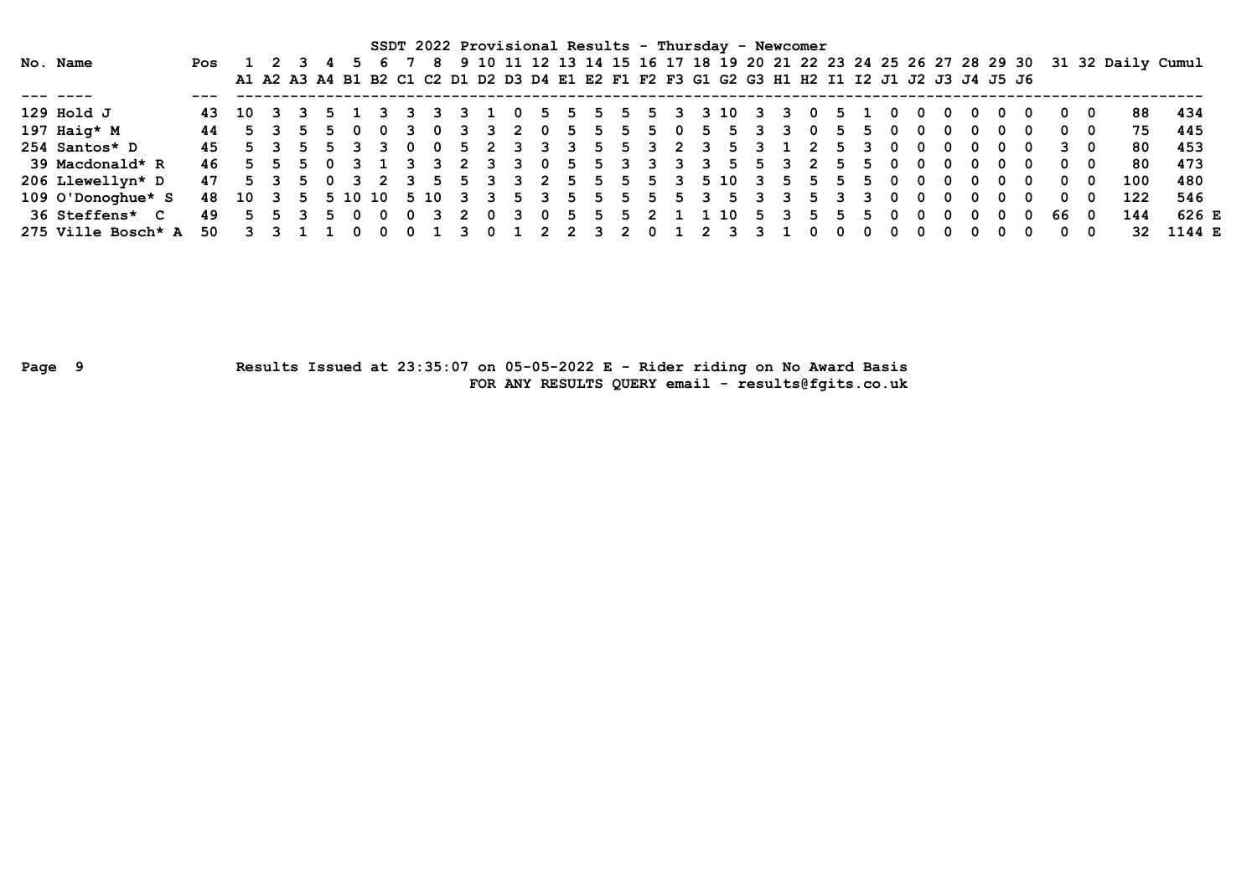|                                     |                            |                                                                                           |         |     |          |       |          | SSDT 2022 Provisional Results - Thursday - Newcomer |     |     |                         |             |     |           |    |       |       |                         |      |     |                         |                |    |     |          |          |          |     |   |     |          |     |                                                                                      |        |  |
|-------------------------------------|----------------------------|-------------------------------------------------------------------------------------------|---------|-----|----------|-------|----------|-----------------------------------------------------|-----|-----|-------------------------|-------------|-----|-----------|----|-------|-------|-------------------------|------|-----|-------------------------|----------------|----|-----|----------|----------|----------|-----|---|-----|----------|-----|--------------------------------------------------------------------------------------|--------|--|
| No. Name                            | Pos 1 2 3 4                |                                                                                           |         |     |          |       |          |                                                     |     |     |                         |             |     |           |    |       |       |                         |      |     |                         |                |    |     |          |          |          |     |   |     |          |     | 8 9 10 11 12 13 14 15 16 17 18 19 20 21 22 23 24 25 26 27 28 29 30 31 32 Daily Cumul |        |  |
|                                     |                            | A1 A2 A3 A4 B1 B2 C1 C2 D1 D2 D3 D4 E1 E2 F1 F2 F3 G1 G2 G3 H1 H2 I1 I2 J1 J2 J3 J4 J5 J6 |         |     |          |       |          |                                                     |     |     |                         |             |     |           |    |       |       |                         |      |     |                         |                |    |     |          |          |          |     |   |     |          |     |                                                                                      |        |  |
|                                     |                            |                                                                                           |         |     |          |       |          |                                                     |     |     |                         |             |     |           |    |       |       |                         |      |     |                         |                |    |     |          |          |          |     |   |     |          |     |                                                                                      |        |  |
| $129$ Hold J                        | 43                         | 10 3 3                                                                                    |         | 5 1 |          |       |          |                                                     |     |     | 0                       |             | - 5 | -5.       | 5  | -5.   | -3-   | 3 10                    |      | ર   |                         | 0              |    |     |          |          | 0        |     |   | - 0 | 0        | - 0 | 88                                                                                   | -434   |  |
| 197 Haig* $M$                       | 44                         |                                                                                           | 5 3 5 5 |     | <b>O</b> |       |          | $\overline{\mathbf{0}}$                             | 3 3 |     | $\overline{\mathbf{2}}$ | 0           | 5   | 5.        | 5. | - 5   | - 0   | 5.                      | -5.  | 3   | $\overline{\mathbf{3}}$ | - 0            | 5. |     |          | 0        | 0        |     |   | - 0 | 0        | - 0 | 75.                                                                                  | 445    |  |
| 254 Santos* D                       | 45                         |                                                                                           | 5 3 5 5 |     | 3 3      |       | - 0      | - 0                                                 |     |     |                         | 5 2 3 3 3   |     | 5         |    |       | 5 3 2 | $\overline{\mathbf{3}}$ | 5.   | 3.  |                         | 2              | 5. | 3   | 0        | 0        | 0        | - 0 | 0 | - 0 |          | 30  | 80                                                                                   | 453    |  |
| 39 Macdonald* R                     | 46                         |                                                                                           |         |     |          |       |          | 5 5 5 0 3 1 3 3 2 3 3                               |     |     |                         | 0           |     | 5 5 3 3 3 |    |       |       | 3 5                     |      | 5 3 |                         | $\overline{2}$ | 5. | -5  | - 0      | $\Omega$ | $\Omega$ | - 0 | 0 | റ   | $\Omega$ | - 0 | 80                                                                                   | 473    |  |
| 206 Llewellyn* D                    | 47                         |                                                                                           | 5 3 5 0 |     |          | 3 2 3 |          | $\cdot$ 5 $\cdot$                                   |     |     |                         | 5 3 3 2 5 5 |     |           |    |       |       | 5 5 3 5 10 3            |      |     | 5                       | -5             | 5  | .5. | - 0      | 0        | $\Omega$ | . റ | 0 | - 0 | 0        | - 0 | 100                                                                                  | 480    |  |
| 109 O'Donoghue* S                   | 48 10 3 5 5 10 10 5 10 3 3 |                                                                                           |         |     |          |       |          |                                                     |     |     |                         |             |     |           |    |       |       | 5 3 5 5 5 5 5 3 5       |      |     | 3                       | 5.             |    |     | $\Omega$ |          | $\Omega$ |     |   | 0   | 0        | 0   | 122                                                                                  | 546    |  |
| <b>36 Steffens*</b><br>$\mathbf{C}$ | 49                         |                                                                                           |         | 5.  | $\Omega$ |       | $\Omega$ |                                                     |     | - 0 | $\mathbf{3}$            | - 0         | 5.  | 5.        |    | 5 2 1 |       |                         | . 10 | -5  |                         | 5.             |    |     |          |          | 0        |     |   | 0   | 66       | - 0 | 144                                                                                  | 626 E  |  |
| 275 Ville Bosch* $A$                | 50                         |                                                                                           |         |     |          |       |          |                                                     |     |     |                         |             |     |           |    | 0     |       |                         |      |     |                         |                |    |     |          |          | 0        |     |   | 0   | 0        | 0   | 32                                                                                   | 1144 E |  |

Page 9 Results Issued at 23:35:07 on 05-05-2022 E - Rider riding on No Award Basis FOR ANY RESULTS QUERY email - results@fgits.co.uk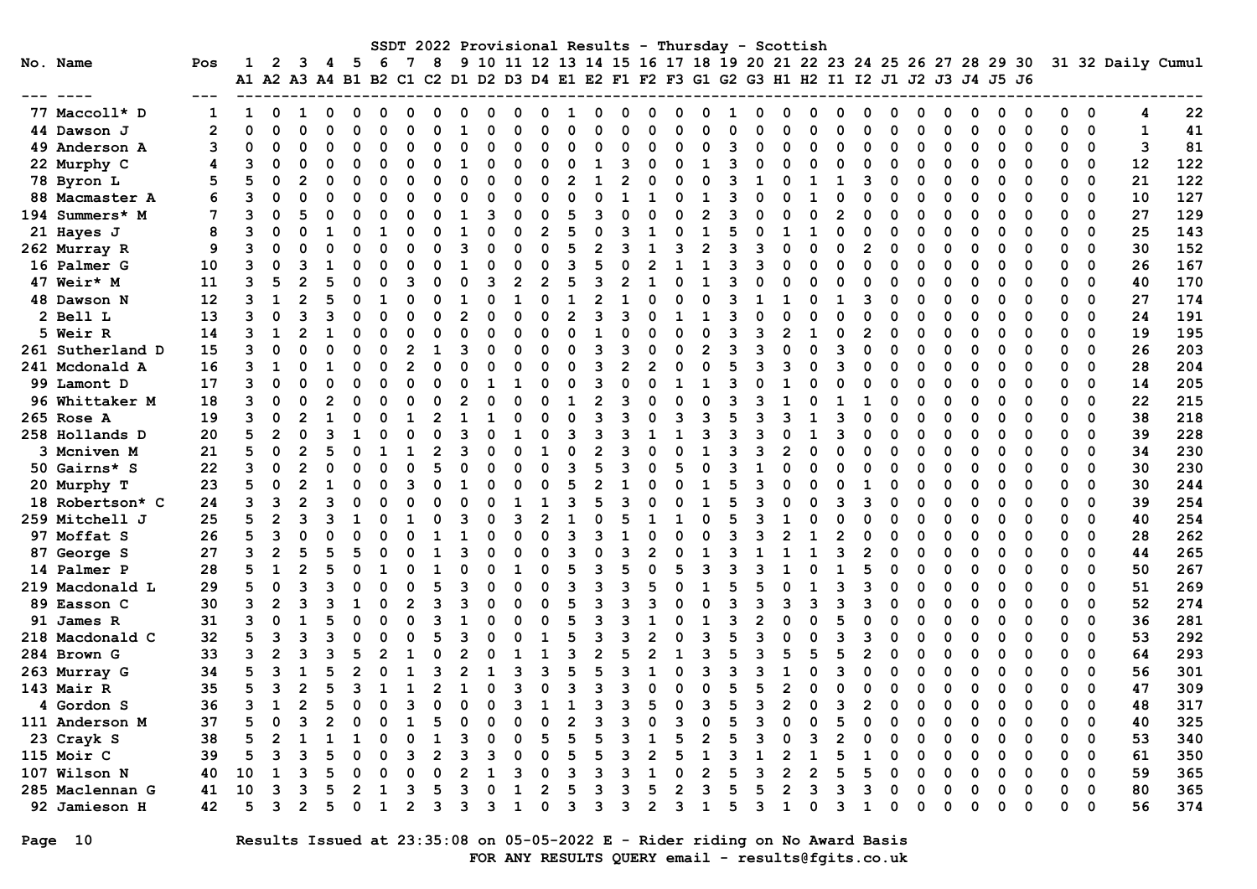|                  |                |              |                |                |   |                                                                                                 |          |   | SSDT 2022 Provisional Results |    |   |                |          |                |                |     |                |   |                |          | - Thursday - Scottish |                |          |   |                |          |   |             |          |                                                                  |          |          |             |                   |     |
|------------------|----------------|--------------|----------------|----------------|---|-------------------------------------------------------------------------------------------------|----------|---|-------------------------------|----|---|----------------|----------|----------------|----------------|-----|----------------|---|----------------|----------|-----------------------|----------------|----------|---|----------------|----------|---|-------------|----------|------------------------------------------------------------------|----------|----------|-------------|-------------------|-----|
| No. Name         | Pos            | 1            | 2              | 3              | 4 | -5<br>A1 A2 A3 A4 B1 B2 C1 C2 D1 D2 D3 D4 E1 E2 F1 F2 F3 G1 G2 G3 H1 H2 I1 I2 J1 J2 J3 J4 J5 J6 | 6        | 7 | 8                             |    |   |                |          |                |                |     |                |   |                |          |                       |                |          |   |                |          |   |             |          | 9 10 11 12 13 14 15 16 17 18 19 20 21 22 23 24 25 26 27 28 29 30 |          |          |             | 31 32 Daily Cumul |     |
|                  |                |              |                |                |   |                                                                                                 |          |   |                               |    |   |                |          |                |                |     |                |   |                |          |                       |                |          |   |                |          |   |             |          |                                                                  |          |          |             |                   |     |
| 77 Maccoll* D    | $\mathbf{1}$   | $\mathbf{1}$ | 0              | 1              | 0 | 0                                                                                               | $\Omega$ | n | 0                             | 0  | O | O              | 0        | 1              | O              | o   | 0              | 0 | 0              | 1        | n                     | 0              | 0        | O | 0              | O        | n | 0           | 0        | 0                                                                | 0        | 0        | $\mathbf 0$ | 4                 | 22  |
| 44 Dawson J      | $\overline{2}$ | $\Omega$     | 0              | $\Omega$       |   | 0                                                                                               | $\Omega$ | n | $\Omega$                      |    | O | $\Omega$       | O        | $\Omega$       | O              | O   | $\Omega$       | n | O              | $\Omega$ |                       | O              | O        |   | $\Omega$       | $\Omega$ | n | $\mathbf 0$ | $\Omega$ | 0                                                                | 0        | 0        | $\mathbf 0$ | $\mathbf{1}$      | 41  |
| 49 Anderson A    | 3              | 0            | O              | $\Omega$       |   | $\Omega$                                                                                        | 0        | O | $\Omega$                      | 0  | 0 | $\Omega$       | O        | $\Omega$       | $\Omega$       |     | $\Omega$       | 0 | $\Omega$       | 3        |                       | O              | 0        |   | 0              | 0        |   | $\Omega$    | 0        | 0                                                                | 0        | 0        | 0           | 3                 | 81  |
| 22 Murphy C      | 4              | 3            | $\Omega$       | $\Omega$       | O | $\Omega$                                                                                        | $\Omega$ |   | $\Omega$                      | -1 | ŋ | $\Omega$       | O        | 0              | -1             | ิว  | 0              | O | 1              | 3        |                       | O              | $\Omega$ | O | $\Omega$       | 0        |   | $\Omega$    | O        | O                                                                | $\Omega$ | $\Omega$ | $\mathbf 0$ | 12                | 122 |
| 78 Byron L       | 5              | 5            | O              | 2              | O | O                                                                                               | $\Omega$ | O | $\Omega$                      | O  | n | $\Omega$       | $\Omega$ | $\mathbf{2}$   | $\mathbf{1}$   |     | $\Omega$       | O | $\Omega$       | 3        | 1                     | O              | 1        | 1 | 3              | 0        | O | $\Omega$    | O        | O                                                                | $\Omega$ | $\Omega$ | $\Omega$    | 21                | 122 |
| 88 Macmaster A   | 6              | 3            | O              | $\Omega$       |   | $\Omega$                                                                                        | O        | O | $\Omega$                      |    | O | $\Omega$       | $\Omega$ | $\Omega$       | $\Omega$       |     | 1              | O |                | ॎ        |                       | O              |          |   | $\Omega$       | $\Omega$ | O | $\Omega$    | O        | $\Omega$                                                         | $\Omega$ | 0        | $\Omega$    | 10                | 127 |
| 194 Summers* M   | 7              | 3            | 0              | 5              |   | $\Omega$                                                                                        | O        |   | $\Omega$                      |    | ٩ | $\Omega$       | O        | 5              | ٩              |     | O              | O | $\overline{2}$ | 3        |                       | O              | $\Omega$ |   | 0              | C        |   | $\Omega$    |          | O                                                                | $\Omega$ | 0        | 0           | 27                | 129 |
| 21 Hayes J       | 8              | 3            | O              | $\Omega$       |   | O                                                                                               |          |   | O                             |    | ŋ | $\Omega$       | 2        | 5              | $\Omega$       |     | 1              | O |                | 5        |                       |                | 1        |   | O              | C        |   | O           |          | O                                                                | $\Omega$ | 0        | 0           | 25                | 143 |
| 262 Murray R     | 9              | 3            | O              | O              |   | 0                                                                                               | 0        |   | O                             | 3  | n | ∩              | O        | 5              |                |     |                | ٦ | 2              | ิว       |                       | O              | 0        | O | $\overline{2}$ | n        |   | $\Omega$    | O        | 0                                                                | $\Omega$ | 0        | $\Omega$    | 30                | 152 |
| 16 Palmer G      | 10             | 3            | $\Omega$       | 3              |   | 0                                                                                               | O        |   | $\Omega$                      |    | ŋ | $\Omega$       | O        | 3              | 5              |     | 2              |   |                | 3        |                       | O              | $\Omega$ | O | $\Omega$       | 0        |   | $\Omega$    |          | O                                                                | $\Omega$ | $\Omega$ | 0           | 26                | 167 |
| 47 Weir* M       | 11             | 3            | 5              | 2              |   | 0                                                                                               | O        | З | $\Omega$                      |    | ٩ | $\overline{2}$ |          | 5              | ٩              |     | 1              | O |                | ॎ        |                       | O              | O        | O | 0              | C        |   | $\Omega$    | 0        | 0                                                                | 0        | 0        | 0           | 40                | 170 |
| 48 Dawson N      | 12             | 3            | $\mathbf{1}$   | $\mathfrak{p}$ |   | $\Omega$                                                                                        | -1       |   | $\Omega$                      |    | n | $\mathbf{1}$   | $\Omega$ | $\mathbf{1}$   | 2              |     | O              | O | $\Omega$       | ॎ        |                       |                | O        | 1 | 3              | 0        |   | $\Omega$    | O        | O                                                                | $\Omega$ | $\Omega$ | $\Omega$    | 27                | 174 |
| 2 Bell L         | 13             | 3            | $\Omega$       | 3              |   | O                                                                                               | O        |   | $\Omega$                      | 2  | n | $\Omega$       | O        | $\overline{2}$ | ٩              |     | O              |   |                | 3        |                       | O              | O        | U | $\Omega$       | n        |   | O           | O        | O                                                                | $\Omega$ | O        | 0           | 24                | 191 |
| 5 Weir R         | 14             | 3            | 1              | $\overline{2}$ |   | 0                                                                                               | $\Omega$ |   | O                             |    | n | $\Omega$       | ∩        | $\Omega$       |                |     | O              | O | O              | 3        |                       |                |          |   | $\overline{2}$ | O        |   | $\Omega$    | O        | 0                                                                | ∩        | 0        | 0           | 19                | 195 |
| 261 Sutherland D | 15             | 3            | O              | n              |   | 0                                                                                               | $\Omega$ |   | 1                             | ٩  | n | ∩              | O        | O              | 3              | 3   | 0              | n | 2              | 3        |                       | O              | n        |   | 0              | O        |   | $\mathbf 0$ | O        | 0                                                                | 0        | $\Omega$ | $\mathbf 0$ | 26                | 203 |
| 241 Mcdonald A   | 16             | 3            | 1              | $\Omega$       | 1 | 0                                                                                               | $\Omega$ | 2 | $\Omega$                      |    | n | ∩              | O        | O              | 3              |     | $\mathbf{2}$   | O | O              | 5        | з                     | 3              | O        | з | 0              | O        | O | 0           | O        | 0                                                                | $\Omega$ | 0        | 0           | 28                | 204 |
| 99 Lamont D      | 17             | 3            | O              | $\Omega$       |   | $\Omega$                                                                                        | O        |   | $\Omega$                      |    |   |                | O        | $\Omega$       | ٩              |     | O              |   |                | ॎ        |                       |                | O        |   | $\Omega$       | n        |   | $\Omega$    | O        | O                                                                | $\Omega$ | 0        | $\Omega$    | 14                | 205 |
| 96 Whittaker M   | 18             | 3            | 0              | $\Omega$       |   | $\Omega$                                                                                        | O        |   | $\Omega$                      |    |   | $\Omega$       | O        |                | $\mathfrak{p}$ | ึ่ง | O              |   | O              | 3        |                       |                | $\Omega$ |   |                |          |   | $\Omega$    |          | $\Omega$                                                         | $\Omega$ | $\Omega$ | 0           | 22                | 215 |
| 265 Rose A       | 19             | 3            | O              | 2              |   | O                                                                                               | O        |   | $\mathfrak{p}$                |    |   | $\Omega$       |          | $\Omega$       | ٩              |     | O              | ٩ | ٩              |          |                       | ٩              |          | વ | $\Omega$       | C        |   | $\Omega$    | ŋ        | O                                                                | $\Omega$ | 0        | 0           | 38                | 218 |
| 258 Hollands D   | 20             | 5            | $\overline{2}$ | $\Omega$       |   | 1                                                                                               | O        |   | $\Omega$                      | З  | n | 1              | O        | 3              | 3              |     | 1              | 1 | ิว             | 3        |                       | O              | 1        |   | 0              | C        |   | O           | ŋ        | 0                                                                | ∩        | 0        | 0           | 39                | 228 |
| 3 Mcniven M      | 21             | 5            | O              | $\overline{2}$ |   | O                                                                                               | 1        |   | $\overline{2}$                | 3  | n | ∩              | 1        | O              | $\overline{2}$ |     | O              |   |                | 3        |                       | 2              | n        |   | O              | 0        | n | $\Omega$    | O        | $\mathbf 0$                                                      | $\Omega$ | O        | 0           | 34                | 230 |
| 50 Gairns* S     | 22             | 3            | $\Omega$       |                |   | O                                                                                               | $\Omega$ |   | 5                             |    | ŋ | $\Omega$       | $\Omega$ | 3              | 5              | ٩   | O              | 5 | $\Omega$       | ॎ        |                       | O              | $\Omega$ |   | $\Omega$       | C        |   | $\Omega$    | O        | $\Omega$                                                         | $\Omega$ | 0        | 0           | 30                | 230 |
| 20 Murphy T      | 23             | 5            | $\Omega$       | 2              |   | $\Omega$                                                                                        | O        | ٩ | $\Omega$                      |    | n | $\Omega$       | O        | 5              | 2              |     | O              | n | $\mathbf{1}$   | 5        |                       | O              | O        |   | 1              | C        |   | $\Omega$    | O        | O                                                                | $\Omega$ | $\Omega$ | $\mathbf 0$ | 30                | 244 |
| 18 Robertson* C  | 24             | 3            | 3              | $\mathfrak{p}$ |   | O                                                                                               | O        |   | O                             |    |   | $\mathbf{1}$   | 1        | २              | 5              |     | O              | O | -1             | 5        |                       | O              | ∩        | ٩ | 3              | C        |   | $\Omega$    | O        | O                                                                | $\Omega$ | O        | $\Omega$    | 39                | 254 |
| 259 Mitchell J   | 25             | 5            | $\overline{2}$ | З              |   |                                                                                                 | n        |   | $\Omega$                      | Р  | n | Р              | 2        |                | O              |     | 1              |   | O              |          |                       |                | O        | U | 0              | n        |   | $\Omega$    | O        | $\Omega$                                                         | $\Omega$ | 0        | 0           | 40                | 254 |
| 97 Moffat S      | 26             | 5            | 3              | $\Omega$       |   | $\Omega$                                                                                        |          |   |                               |    |   | $\Omega$       | O        | 3              | 3              |     | O              |   | O              | 3        |                       | $\overline{c}$ |          |   | $\Omega$       | C        |   | $\Omega$    |          | 0                                                                | $\Omega$ | 0        | 0           | 28                | 262 |
| 87 George S      | 27             | 3            | $\mathbf{2}$   | 5              |   | 5                                                                                               | O        |   | 1                             |    | n | $\Omega$       | O        | 3              | O              |     | 2              | O |                | 3        |                       |                | 1        | з | $\overline{2}$ | C        | O | $\Omega$    | O        | 0                                                                | $\Omega$ | 0        | 0           | 44                | 265 |
| 14 Palmer P      | 28             | 5            | $\mathbf{1}$   | 2              |   | 0                                                                                               |          |   | $\mathbf{1}$                  |    | n | 1              | O        | 5              | ٩              |     | O              |   | २              | २        |                       |                | $\Omega$ |   | 5              | n        |   | $\Omega$    | O        | O                                                                | $\Omega$ | $\Omega$ | $\Omega$    | 50                | 267 |
| 219 Macdonald L  | 29             | 5            | $\Omega$       | 3              |   | O                                                                                               | O        |   | 5                             | Р  | n | $\Omega$       | O        | 3              | ٩              |     | 5              | n |                | 5        |                       | O              |          |   | 3              | n        |   | $\Omega$    | O        | O                                                                | $\Omega$ | O        | 0           | 51                | 269 |
| 89 Easson C      | 30             | 3            | $\overline{2}$ | З              |   |                                                                                                 |          |   | २                             |    | n | $\Omega$       | O        | 5              | ٩              |     |                |   | O              |          |                       | ٩              | ٩        |   | 3              |          |   | $\Omega$    | O        | $\Omega$                                                         | $\Omega$ | $\Omega$ | $\Omega$    | 52                | 274 |
| 91 James R       | 31             | ٩            | O              |                |   | 0                                                                                               | O        |   | २                             |    |   | $\Omega$       | O        | 5              | ٩              |     | 1              |   |                | ॎ        |                       | O              | n        |   | 0              | C        |   | $\mathbf 0$ | O        | O                                                                | $\Omega$ | O        | 0           | 36                | 281 |
| 218 Macdonald C  | 32             | 5            | 3              | 3              |   | 0                                                                                               | $\Omega$ |   | 5                             | Р  |   | ∩              | 1        | 5              | 3              |     | $\overline{2}$ |   | 3              | 5        | ٩                     | O              | $\Omega$ | વ | 3              | O        |   | $\Omega$    |          | O                                                                | $\Omega$ | 0        | 0           | 53                | 292 |
| 284 Brown G      | 33             | 3            | $\overline{2}$ | З              |   | 5                                                                                               |          |   | $\Omega$                      |    | n |                |          | 3              | $\overline{2}$ |     | 2              |   | 3              |          |                       | 5              | 5        |   | $\overline{2}$ | O        |   | $\Omega$    | O        | 0                                                                | $\Omega$ | 0        | 0           | 64                | 293 |
| 263 Murray G     | 34             | 5            | 3              | $\mathbf{1}$   |   | $\overline{2}$                                                                                  |          |   | 3                             |    |   | 3              | २        | 5              | 5              | ॎ   |                |   | ॎ              | 3        |                       |                |          |   | $\Omega$       | C        |   | $\Omega$    |          | O                                                                | $\Omega$ | 0        | 0           | 56                | 301 |
| 143 Mair R       | 35             | 5            | 3              |                |   | ٩                                                                                               |          |   |                               |    | ŋ | 3              |          | 3              | ٩              |     | O              | n | n              |          |                       | $\overline{2}$ | O        |   | O              | C        |   | $\Omega$    | O        | O                                                                | $\Omega$ | O        | 0           | 47                | 309 |
| 4 Gordon S       | 36             | 3            | $\mathbf{1}$   | 2              |   | 0                                                                                               | O        |   | $\Omega$                      | O  |   | ิจ             |          |                | ٩              |     | 5              | O | ิจ             | 5        |                       | 2              | $\Omega$ |   | $\mathfrak{p}$ | n        |   | $\Omega$    | O        | O                                                                | ∩        | $\Omega$ | $\Omega$    | 48                | 317 |
| 111 Anderson M   | 37             | 5            | $\Omega$       | З              |   | O                                                                                               | O        |   |                               | O  | n |                | O        | $\mathfrak{p}$ | ٩              |     | O              | ٩ | $\Omega$       | 5        |                       | O              | $\Omega$ |   | $\Omega$       | $\Omega$ | n | $\mathbf 0$ | O        | $\Omega$                                                         | $\Omega$ | 0        | 0           | 40                | 325 |
| 23 Crayk S       | 38             | 5            | $\overline{2}$ | 1              |   | 1                                                                                               | O        |   | $\mathbf{1}$                  | З  | n | $\Omega$       | 5        | 5              | 5              |     |                | 5 | $\overline{2}$ | 5        |                       | O              | 3        |   | 0              | C        | O | $\Omega$    | O        | 0                                                                | 0        | 0        | 0           | 53                | 340 |
| 115 Moir C       | 39             | 5            | 3              | З              |   | O                                                                                               | C        |   | $\mathfrak{p}$                |    | ٩ | ∩              | n        | 5              | 5              |     | 2              | 5 | -1             | 3        |                       | $\overline{2}$ | 1        |   | 1              | ٢        |   | $\Omega$    | O        | O                                                                | $\Omega$ | 0        | $\mathbf 0$ | 61                | 350 |
| 107 Wilson N     | 40             | 10           | 1              | ٦              |   | ŋ                                                                                               | O        |   | O                             |    |   | Р              | O        | 3              | ٩              |     | 1              |   |                | 5        | ิว                    | 2              | 2        |   | 5              | n        |   | O           | O        | O                                                                | ∩        | U        | 0           | 59                | 365 |
| 285 Maclennan G  | 41             | 10           | 3              | З              |   | $\mathfrak{p}$                                                                                  |          | З | 5                             |    | n |                |          | 5              | ٩              |     | 5              |   | ٩              |          |                       | $\mathfrak{p}$ | ٦        |   | 3              | 0        | O | $\Omega$    | O        | $\Omega$                                                         | $\Omega$ | $\Omega$ | $\Omega$    | 80                | 365 |
| 92 Jamieson H    | 42             | 5            | 3              | $\overline{2}$ |   | $\Omega$                                                                                        | 1        | 2 | 3                             | 3  | ٩ | 1              | O        | 3              | ॎ              | 3   | $\overline{2}$ | ॎ | $\mathbf 1$    | 5        | 3                     | $\mathbf{1}$   | 0        | 3 | $\mathbf{1}$   | 0        | O | $\Omega$    | ŋ        | n                                                                | ∩        | O        | $\Omega$    | 56                | 374 |

Page 10 Results Issued at 23:35:08 on 05-05-2022 E - Rider riding on No Award Basis FOR ANY RESULTS QUERY email - results@fgits.co.uk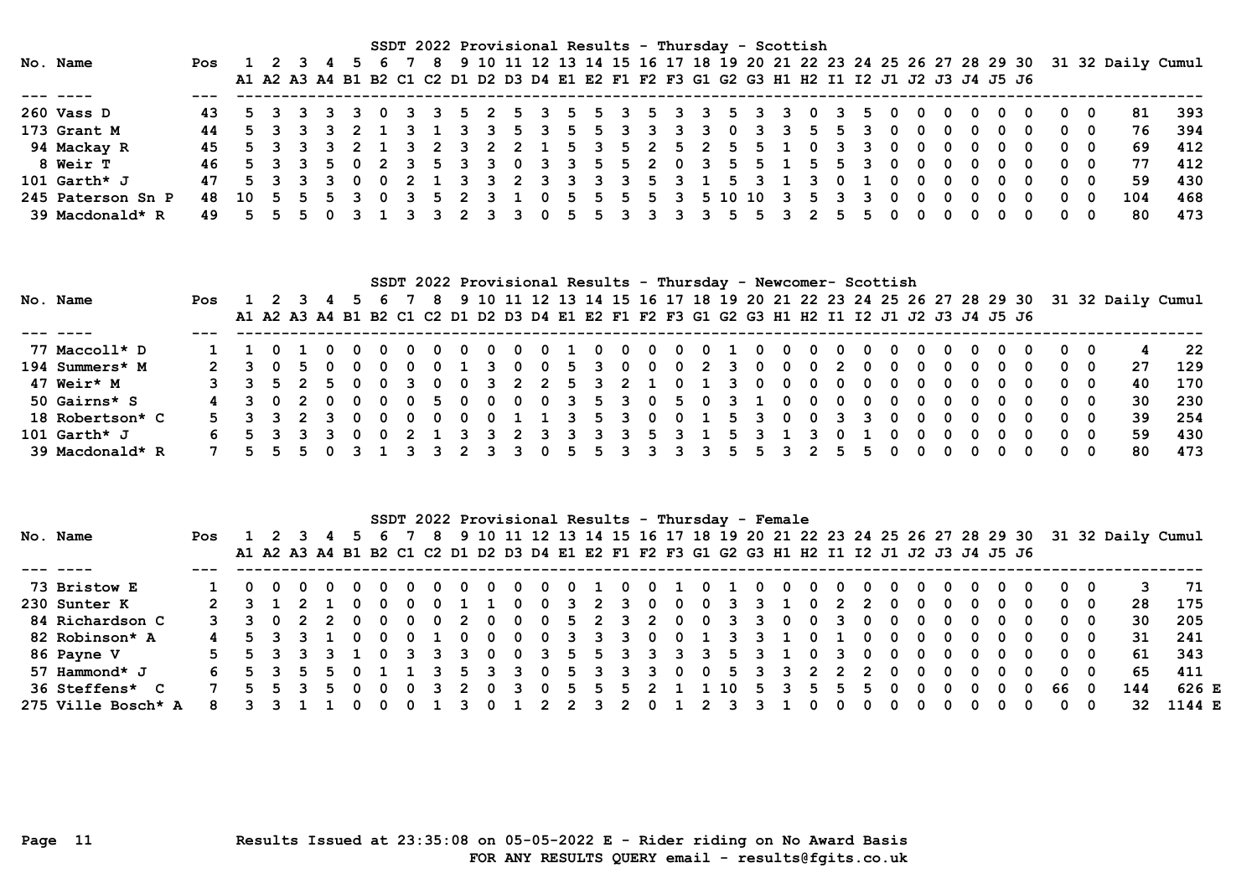|                   |                                                      |         |  |             |          |                 |         |     | SSDT 2022 Provisional Results - Thursday - Scottish                                       |              |   |  |           |              |                         |     |   |    |              |     |     |                         |            |              |                          |            |     |                                                                                    |     |
|-------------------|------------------------------------------------------|---------|--|-------------|----------|-----------------|---------|-----|-------------------------------------------------------------------------------------------|--------------|---|--|-----------|--------------|-------------------------|-----|---|----|--------------|-----|-----|-------------------------|------------|--------------|--------------------------|------------|-----|------------------------------------------------------------------------------------|-----|
| No. Name          | Pos                                                  | 1 2 3 4 |  |             | 6.       |                 | - 8 - 1 |     |                                                                                           |              |   |  |           |              |                         |     |   |    |              |     |     |                         |            |              |                          |            |     | 9 10 11 12 13 14 15 16 17 18 19 20 21 22 23 24 25 26 27 28 29 30 31 32 Daily Cumul |     |
|                   |                                                      |         |  |             |          |                 |         |     | A1 A2 A3 A4 B1 B2 C1 C2 D1 D2 D3 D4 E1 E2 F1 F2 F3 G1 G2 G3 H1 H2 I1 I2 J1 J2 J3 J4 J5 J6 |              |   |  |           |              |                         |     |   |    |              |     |     |                         |            |              |                          |            |     |                                                                                    |     |
|                   |                                                      |         |  |             |          |                 |         |     |                                                                                           |              |   |  |           |              |                         |     |   |    |              |     |     |                         |            |              |                          |            |     |                                                                                    |     |
| 260 Vass D        |                                                      |         |  | 5 3 3 3 3 0 |          |                 |         |     | 3 3 5 2 5 3 5 5 3 5 3 3 5 3 3 0 3 5 0                                                     |              |   |  |           |              |                         |     |   |    |              |     | - 0 |                         |            |              | $0\quad 0\quad 0\quad 0$ | 00         |     | 81                                                                                 | 393 |
| 173 Grant M       |                                                      |         |  |             |          | 5 3 3 3 2 1 3 1 |         | 3 3 |                                                                                           | 5 3          | 5 |  | 5 3 3 3 3 | $\mathbf{0}$ |                         | 3 3 | 5 | 5. |              | 0   | 0   |                         | 0          | 0            |                          | . റ        |     | 76                                                                                 | 394 |
| 94 Mackay R       | 45 5 3 3 3 2 1 3 2 3 2 2 1 5 3 5 2 5 2 5 5 1 0 3 3 0 |         |  |             |          |                 |         |     |                                                                                           |              |   |  |           |              |                         |     |   |    |              |     | - 0 |                         | $0\quad 0$ | - 0          |                          | $0\quad 0$ |     | 69                                                                                 | 412 |
| <b>8 Weir T</b>   |                                                      |         |  |             |          |                 |         |     | 5 3 3 5 0 2 3 5 3 3 0 3 3 5 5 2 0 3 5 5 1 5 5 3                                           |              |   |  |           |              |                         |     |   |    |              | - 0 | 0   | - 0                     | 0          | - 0          |                          | $0\quad 0$ |     | 77                                                                                 | 412 |
| 101 $Garth*$ J    |                                                      |         |  | 5 3 3 3 0 0 |          |                 |         |     | 2 1 3 3 2 3 3 3 3 5 3 1 5 3 1 3 0                                                         |              |   |  |           |              |                         |     |   |    | $\mathbf{1}$ |     | - 0 | $\overline{\mathbf{0}}$ | - 0        | - 0          |                          | $0\quad 0$ |     | 59                                                                                 | 430 |
| 245 Paterson Sn P | 48 10 5 5 5 3                                        |         |  |             | $\Omega$ | 3 5 2 3 1       |         |     |                                                                                           | $\mathbf{0}$ | 5 |  |           |              | 5 5 5 3 5 10 10 3 5 3 3 |     |   |    |              | 0   | 0   | - 0                     | 0          | $\mathbf{0}$ | - 0                      | 0          | - 0 | 104                                                                                | 468 |
| 39 Macdonald* R   |                                                      |         |  |             |          |                 |         | 2 3 |                                                                                           |              |   |  | 3 3 3 3   | 5            |                         |     |   |    |              |     |     |                         |            |              |                          |            |     | 80                                                                                 | 473 |

|                 |            |  |           |                                     |                |         |     |                                     |                 |     |    |                                          |             |     |              |           |  |              | SSDT 2022 Provisional Results - Thursday - Newcomer- Scottish                             |                |            |                                 |     |     |            |     |                          |            |            |                                                                                    |      |
|-----------------|------------|--|-----------|-------------------------------------|----------------|---------|-----|-------------------------------------|-----------------|-----|----|------------------------------------------|-------------|-----|--------------|-----------|--|--------------|-------------------------------------------------------------------------------------------|----------------|------------|---------------------------------|-----|-----|------------|-----|--------------------------|------------|------------|------------------------------------------------------------------------------------|------|
| No. Name        | <b>Pos</b> |  |           |                                     |                |         | - 8 |                                     |                 |     |    |                                          |             |     |              |           |  |              |                                                                                           |                |            |                                 |     |     |            |     |                          |            |            | 9 10 11 12 13 14 15 16 17 18 19 20 21 22 23 24 25 26 27 28 29 30 31 32 Daily Cumul |      |
|                 |            |  |           |                                     |                |         |     |                                     |                 |     |    |                                          |             |     |              |           |  |              | A1 A2 A3 A4 B1 B2 C1 C2 D1 D2 D3 D4 E1 E2 F1 F2 F3 G1 G2 G3 H1 H2 I1 I2 J1 J2 J3 J4 J5 J6 |                |            |                                 |     |     |            |     |                          |            |            |                                                                                    |      |
|                 |            |  |           |                                     |                |         |     |                                     |                 |     |    |                                          |             |     |              |           |  |              |                                                                                           |                |            |                                 |     |     |            |     |                          |            |            |                                                                                    |      |
| 77 Maccoll* D   |            |  |           |                                     |                |         |     | 0                                   | $\Omega$        | - 0 |    | $\begin{array}{ccc} & 0 & 0 \end{array}$ |             | 0   | $\mathbf{0}$ | 010       |  | $\mathbf{0}$ | - 0 -                                                                                     |                | $0\quad 0$ | $\begin{matrix}0&0\end{matrix}$ |     |     | $0\quad 0$ |     | $0\quad 0$               | 00         |            | 4                                                                                  | -22  |
| 194 Summers* M  |            |  | 3050      | - 0                                 | $\overline{0}$ | - 0     |     |                                     | 0 1 3 0 0       |     |    | 5 3 0                                    |             |     |              | 0 0 2 3 0 |  | $\mathbf{0}$ | $\overline{\mathbf{0}}$                                                                   | $\overline{2}$ | 0          | - 0                             | - 0 | - 0 | - 0        | - 0 |                          | $0\quad 0$ |            | 27                                                                                 | 129  |
| 47 Weir* M      |            |  |           |                                     |                |         |     |                                     |                 |     |    |                                          |             |     |              |           |  |              | 3 3 5 2 5 0 0 3 0 0 3 2 2 5 3 2 1 0 1 3 0 0 0 0 0 0 0 0                                   |                |            |                                 |     |     |            |     | $0\quad 0\quad 0\quad 0$ |            | 00         | 40                                                                                 | 170  |
| 50 Gairns* S    |            |  | 3 0 2 0   | $\begin{matrix} 0 & 0 \end{matrix}$ |                | 0 5 0   |     |                                     |                 |     |    |                                          |             |     |              |           |  |              | 0 0 0 3 5 3 0 5 0 3 1 0 0                                                                 |                | $0\quad 0$ | - 0                             | . റ |     | $0\quad 0$ | . റ |                          | ი ი        |            | 30                                                                                 | -230 |
| 18 Robertson* C |            |  | 3 3 2 3 0 |                                     |                | - റ     |     | $\begin{matrix} 0 & 0 \end{matrix}$ | $0 \t1 \t1 \t3$ |     |    |                                          | $5 \quad 3$ | - 0 |              |           |  |              | 0 1 5 3 0 0                                                                               |                |            | - 0                             | . റ |     | $0\quad 0$ | - റ |                          | $0\quad 0$ |            | 39                                                                                 | 254  |
| 101 Garth* J    |            |  |           | - 0                                 |                | 2 1 3 3 |     |                                     | $\overline{2}$  |     | 33 |                                          | 3 3         |     |              | 5 3 1 5 3 |  |              | ्र                                                                                        |                |            | $\Omega$                        | . റ | - 0 | . റ        | - റ |                          |            | $0\quad 0$ | 59                                                                                 | 430  |
| 39 Macdonald* R |            |  |           |                                     |                |         |     |                                     |                 |     |    |                                          |             |     |              |           |  |              |                                                                                           |                |            |                                 |     |     |            |     |                          | 0          |            | 80                                                                                 | 473  |

|                    |     |         |     |   |   |              |   |   |    |              |              |   |     |                |   |                |              |   |          | SSDT 2022 Provisional Results - Thursday - Female |          |     |   |     |              |                                                                                           |   |              |                                                                  |     |     |                   |        |  |
|--------------------|-----|---------|-----|---|---|--------------|---|---|----|--------------|--------------|---|-----|----------------|---|----------------|--------------|---|----------|---------------------------------------------------|----------|-----|---|-----|--------------|-------------------------------------------------------------------------------------------|---|--------------|------------------------------------------------------------------|-----|-----|-------------------|--------|--|
| No. Name           | Pos | 1 2 3 4 |     |   |   |              |   | 8 |    |              |              |   |     |                |   |                |              |   |          |                                                   |          |     |   |     |              |                                                                                           |   |              | 9 10 11 12 13 14 15 16 17 18 19 20 21 22 23 24 25 26 27 28 29 30 |     |     | 31 32 Daily Cumul |        |  |
|                    |     |         |     |   |   |              |   |   |    |              |              |   |     |                |   |                |              |   |          |                                                   |          |     |   |     |              | A1 A2 A3 A4 B1 B2 C1 C2 D1 D2 D3 D4 E1 E2 F1 F2 F3 G1 G2 G3 H1 H2 I1 I2 J1 J2 J3 J4 J5 J6 |   |              |                                                                  |     |     |                   |        |  |
|                    |     |         |     |   |   |              |   |   |    |              |              |   |     |                |   |                |              |   |          |                                                   |          |     |   |     |              |                                                                                           |   |              |                                                                  |     |     |                   |        |  |
| 73 Bristow E       |     |         |     |   |   |              |   |   |    | -0           |              |   |     |                |   |                |              | 0 |          |                                                   | 0        | -0  |   |     | 0            | 0                                                                                         |   |              | - 0                                                              | 0   | 0   |                   | -71    |  |
| 230 Sunter K       |     |         |     |   |   |              |   |   |    |              | $\mathbf{0}$ |   |     | 2              |   | - 0            | 0            | 0 |          | 3                                                 |          | 0   |   |     | 0            | 0                                                                                         | 0 |              | 0                                                                | 0   | 0   | 28                | 175    |  |
| 84 Richardson C    |     |         | - 0 | 2 | 0 | 0            | 0 | 0 | -2 | 0            | 0            |   | .5. | $\overline{2}$ | 3 | $\overline{2}$ | 0            | 0 | $\sim$ 3 | 3                                                 | $\Omega$ | - 0 | 3 |     | 0            | 0                                                                                         | 0 | 0            | 0                                                                | 0   | - 0 | 30                | 205    |  |
| 82 Robinson* A     |     |         |     |   |   | 0            |   |   |    | 0            | 0            |   |     | 3              |   | - 0            | 0            |   |          |                                                   |          | - 0 |   |     | - 0          | 0                                                                                         | 0 | <sup>0</sup> | - 0                                                              | 0   | 0   | 31                | 241    |  |
| 86 Payne V         |     |         |     | 3 |   | 0            | 3 | 3 | -3 | $\mathbf{0}$ | - 0          | 3 | 5   | 5.             | 3 | 3 <sub>1</sub> | $\mathbf{3}$ | 3 | 5.       | -२                                                |          | - 0 |   | - 0 | 0            | 0                                                                                         | 0 | 0            | - 0                                                              | 0   | 0   | 61                | 343    |  |
| 57 Hammond* J      |     |         |     |   |   |              |   |   |    |              |              |   |     |                |   |                | 0            | 0 | 5.       |                                                   |          |     |   |     | <sup>0</sup> |                                                                                           |   |              | - 0                                                              | 0   | 0   | 65                | 411    |  |
| 36 Steffens* C     |     |         |     |   |   | <sup>0</sup> |   |   |    | 0            |              |   | 5.  |                |   | 2 1            |              |   | 10       | .5.                                               |          | 5.  |   |     | 0            | 0                                                                                         | 0 |              | 0                                                                | 66. | - 0 | 144               | 626 E  |  |
| 275 Ville Bosch* A |     |         |     |   |   |              |   |   |    |              |              |   |     |                |   |                |              |   |          |                                                   |          |     |   |     |              |                                                                                           |   |              | <u>n</u>                                                         | 0   | 0   | 32.               | 1144 E |  |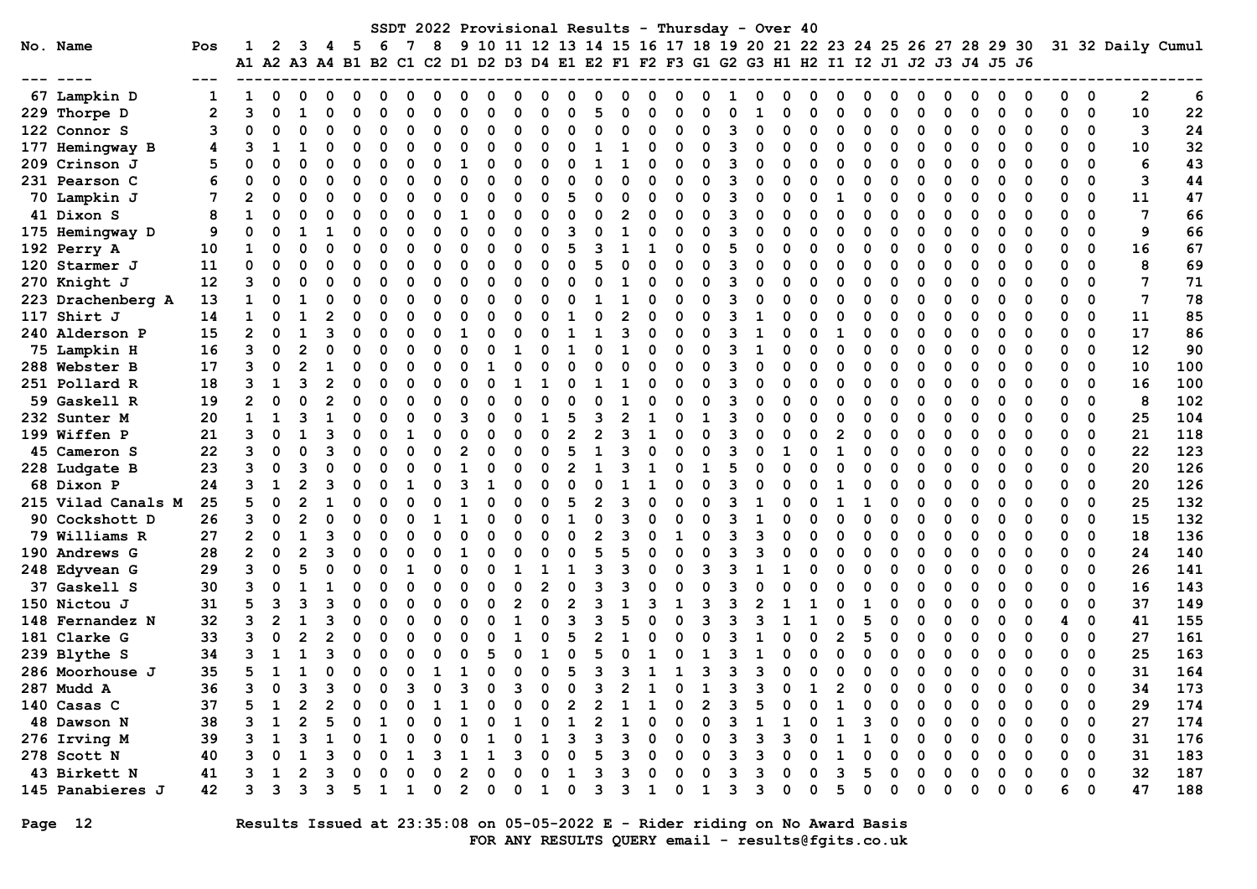|                     |              |   |          |   |   |                                                                                           |              |   |          |   |    |          |          |                |                |                |              |              |             |    | SSDT 2022 Provisional Results - Thursday - Over 40 |          |   |   |          |              |          |          |              |   |          |   |             |    |                                                                                    |
|---------------------|--------------|---|----------|---|---|-------------------------------------------------------------------------------------------|--------------|---|----------|---|----|----------|----------|----------------|----------------|----------------|--------------|--------------|-------------|----|----------------------------------------------------|----------|---|---|----------|--------------|----------|----------|--------------|---|----------|---|-------------|----|------------------------------------------------------------------------------------|
| No. Name            | Pos          |   | 2        | ٦ | 4 | -5                                                                                        | - 6          | 7 | 8        |   |    |          |          |                |                |                |              |              |             |    |                                                    |          |   |   |          |              |          |          |              |   |          |   |             |    | 9 10 11 12 13 14 15 16 17 18 19 20 21 22 23 24 25 26 27 28 29 30 31 32 Daily Cumul |
|                     |              |   |          |   |   | A1 A2 A3 A4 B1 B2 C1 C2 D1 D2 D3 D4 E1 E2 F1 F2 F3 G1 G2 G3 H1 H2 I1 I2 J1 J2 J3 J4 J5 J6 |              |   |          |   |    |          |          |                |                |                |              |              |             |    |                                                    |          |   |   |          |              |          |          |              |   |          |   |             |    |                                                                                    |
|                     |              |   |          |   |   |                                                                                           |              |   |          |   |    |          |          |                |                |                |              |              |             |    |                                                    |          |   |   |          |              |          |          |              |   |          |   |             |    |                                                                                    |
| 67 Lampkin D        |              |   | 0        |   |   |                                                                                           |              |   |          |   |    |          |          |                |                |                |              |              |             |    |                                                    |          |   |   |          |              |          |          |              |   |          | O | 0           | 2  | 6                                                                                  |
| 229 Thorpe D        | $\mathbf{2}$ | з | $\Omega$ |   |   |                                                                                           |              |   |          |   |    |          |          | $\Omega$       |                |                | O            |              |             |    |                                                    |          |   |   | U        |              |          | ∩        |              | ŋ | 0        |   | 0           | 10 | 22                                                                                 |
| 122 Connor S        | 3            |   | O        |   |   |                                                                                           |              |   |          |   | O  | O        |          | 0              |                | ŋ              | O            |              | ი           | З  |                                                    | O        |   |   | O        |              |          | $\Omega$ |              | 0 | 0        | 0 | 0           | 3  | 24                                                                                 |
| 177 Hemingway B     | 4            |   |          |   |   | $\Omega$                                                                                  |              |   |          |   | O  | O        |          | 0              |                |                | O            |              | n           | ৭  |                                                    | n        | ∩ |   | O        |              |          | $\Omega$ |              | 0 |          | 0 | 0           | 10 | 32                                                                                 |
| 209 Crinson J       | 5            |   | $\Omega$ |   |   | $\Omega$                                                                                  |              |   |          |   | 0  | $\Omega$ |          | 0              |                |                | O            |              | O           | З  |                                                    | O        | ∩ |   | $\Omega$ |              |          | $\Omega$ |              | 0 | O        | 0 | $\Omega$    | 6  | 43                                                                                 |
| 231 Pearson C       |              |   | $\Omega$ |   |   | O                                                                                         |              |   |          | O | O  | $\Omega$ |          | $\Omega$       | O              | ი              | O            | ი            | $\Omega$    | 3  |                                                    | O        | ∩ |   | $\Omega$ |              |          | $\Omega$ |              | 0 | 0        | 0 | $\Omega$    | 3  | 44                                                                                 |
| 70 Lampkin J        |              |   | $\Omega$ | O |   | O                                                                                         |              | O |          | O | O  | O        | O        | 5              |                | ŋ              | <sup>0</sup> |              | O           | Р  |                                                    | O        | O |   | $\Omega$ |              |          | ∩        |              | ŋ | O        | O | $\Omega$    | 11 | 47                                                                                 |
| 41 Dixon S          | 8            |   | O        |   |   | O                                                                                         |              |   |          |   | O  | 0        |          | O              |                |                | O            |              | O           |    |                                                    | O        |   |   | O        |              |          | O        |              | ŋ | ∩        | ŋ | 0           | 7  | 66                                                                                 |
| 175 Hemingway D     | 9            |   | $\Omega$ |   |   | O                                                                                         |              |   |          | O | O  | $\Omega$ |          | ٦              |                |                | O            |              | O           | ิว |                                                    | O        |   |   | 0        |              |          | $\Omega$ |              | ŋ | O        | O | 0           | 9  | 66                                                                                 |
| 192 Perry A         | 10           |   | O        |   |   | O                                                                                         |              |   | O        |   | O  | O        |          | 5              |                |                |              |              | O           |    |                                                    | O        |   |   | O        |              |          | $\Omega$ |              | ŋ | O        | ი | 0           | 16 | 67                                                                                 |
| 120 Starmer J       | 11           |   | $\Omega$ |   |   | O                                                                                         |              |   |          |   | O  | O        |          | $\Omega$       |                |                | O            |              |             | Р  |                                                    | O        |   |   | U        |              |          | ∩        |              | ŋ |          |   | $\Omega$    | 8  | 69                                                                                 |
| 270 Knight J        | 12           |   | U        |   |   |                                                                                           |              |   |          |   |    |          |          | O              |                |                |              |              |             |    |                                                    | ი        |   |   |          |              |          |          |              |   |          |   | 0           | 7  | 71                                                                                 |
| 223 Drachenberg A   | 13           |   | O        |   |   |                                                                                           |              |   |          |   |    |          |          | O              |                |                |              |              | O           |    |                                                    | O        |   |   | O        |              |          |          |              | O |          |   | $\Omega$    | 7  | 78                                                                                 |
| 117 Shirt J         | 14           |   | O        |   |   | $\Omega$                                                                                  |              |   |          |   | ი  | O        |          |                | O              | 2              | O            |              | n           | З  |                                                    | 0        |   |   | O        |              |          | $\Omega$ |              | 0 | O        | 0 | $\Omega$    | 11 | 85                                                                                 |
| 240 Alderson P      | 15           | 2 | $\Omega$ |   |   | O                                                                                         |              | n |          |   | ŋ  | O        |          | -1             |                | 3              | O            |              | ŋ           | Р  |                                                    | O        | ∩ |   | O        |              |          | ∩        |              | ŋ | O        | 0 | $\Omega$    | 17 | 86                                                                                 |
| 75 Lampkin H        | 16           | ٩ | $\Omega$ |   |   | O                                                                                         |              |   | n        |   | ŋ  |          |          | -1             |                | 1              | O            |              | O           | Р  |                                                    | O        | ∩ |   | O        |              |          | ∩        |              | ŋ | O        | O | $\Omega$    | 12 | 90                                                                                 |
| 288 Webster B       | 17           | 3 | $\Omega$ |   |   |                                                                                           |              |   |          |   |    |          |          | O              |                | ი              | O            |              | n           |    |                                                    | O        |   |   | O        |              |          |          |              | n |          | ი | 0           | 10 | 100                                                                                |
| 251 Pollard R       | 18           | ٩ | -1       |   |   | O                                                                                         |              |   |          |   | O  |          |          | $\Omega$       |                |                | O            |              | n           | ิว |                                                    | O        | ∩ |   | O        |              |          | ∩        |              | O | $\Omega$ | O | 0           | 16 | 100                                                                                |
| 59 Gaskell R        | 19           |   | 0        |   |   |                                                                                           |              |   | O        |   |    | O        |          | O              | 0              |                | O            |              | O           | З  |                                                    | O        | ∩ |   | O        |              |          | ∩        |              | O | O        | ŋ | 0           | 8  | 102                                                                                |
| 232 Sunter M        | 20           |   | 1        |   |   | O                                                                                         |              |   | ∩        |   | O  | $\Omega$ |          | 5              | 3              | $\overline{2}$ | 1            |              |             | 3  |                                                    | O        |   |   | O        |              |          | ∩        |              | ŋ | O        |   | 0           | 25 | 104                                                                                |
| <b>199 Wiffen P</b> | 21           |   | $\Omega$ |   |   |                                                                                           |              |   |          |   | O  | O        |          | 2              | $\overline{2}$ | 3              |              |              | n           | З  |                                                    | ი        |   |   | O        |              |          |          |              | ŋ | O        | ŋ | $\Omega$    | 21 | 118                                                                                |
| 45 Cameron S        | 22           | 3 | $\Omega$ |   |   |                                                                                           |              |   |          |   | O  | O        |          | 5              |                | ว              |              |              | n           | ৭  |                                                    |          |   |   | 0        |              |          | $\Omega$ |              | ŋ | O        | 0 | 0           | 22 | 123                                                                                |
| 228 Ludgate B       | 23           | з | $\Omega$ |   |   | O                                                                                         |              |   |          |   | ი  | O        |          | 2              |                | ٩              |              |              |             |    |                                                    | 0        | O |   | $\Omega$ |              |          | $\Omega$ |              | 0 | 0        | 0 | 0           | 20 | 126                                                                                |
| 68 Dixon P          | 24           |   | -1       |   |   | O                                                                                         |              |   |          |   |    | ∩        |          | $\Omega$       |                |                |              |              | O           | Р  |                                                    | 0        | ∩ |   | 0        |              |          | $\Omega$ |              | 0 | 0        | 0 | 0           | 20 | 126                                                                                |
| 215 Vilad Canals M  | 25           |   | $\Omega$ |   |   | O                                                                                         |              |   |          |   | ი  | O        |          | 5              |                | ิว             | O            |              | O           | 3  |                                                    | O        | ∩ |   | -1       |              | ŋ        | ∩        | O            | ŋ | O        | O | $\Omega$    | 25 | 132                                                                                |
| 90 Cockshott D      | 26           | 3 | $\Omega$ |   |   |                                                                                           |              |   |          |   | ი  |          |          |                |                | ٩              | O            |              | O           |    |                                                    | O        | O |   | $\Omega$ |              |          | $\Omega$ |              | 0 | O        | O | 0           | 15 | 132                                                                                |
| 79 Williams R       | 27           | 2 | $\Omega$ |   |   | O                                                                                         |              |   |          |   |    | O        |          | O              |                | ٩              | O            |              | O           | Р  |                                                    | O        |   |   | O        |              |          | $\Omega$ |              | 0 | 0        | 0 | 0           | 18 | 136                                                                                |
| 190 Andrews G       | 28           |   | $\Omega$ |   |   |                                                                                           |              |   |          |   |    |          |          | O              |                |                |              |              |             |    |                                                    |          |   |   | O        |              |          | $\Omega$ |              | 0 | O        | 0 | 0           | 24 | 140                                                                                |
| 248 Edyvean G       | 29           |   | $\Omega$ |   |   |                                                                                           |              |   |          |   |    |          |          | -1             | 3              | ٩              | O            |              | ٩           |    |                                                    |          |   |   | O        |              |          | $\Omega$ |              | ŋ | O        |   | 0           | 26 | 141                                                                                |
| 37 Gaskell S        | 30           |   | O        |   |   |                                                                                           |              |   |          |   |    | O        |          | $\Omega$       |                | ٩              |              |              |             |    |                                                    | O        |   |   |          |              |          |          |              | O | O        | ŋ | $\Omega$    | 16 | 143                                                                                |
| 150 Nictou J        | 31           |   | 3        |   |   |                                                                                           |              |   |          |   | ი  | 2        |          | $\overline{2}$ | 3              |                |              |              | ٩           |    |                                                    |          |   |   |          |              |          | $\Omega$ |              | 0 | O        | 0 | 0           | 37 | 149                                                                                |
| 148 Fernandez N     | 32           | 3 | 2        |   |   | 0                                                                                         |              | O | O        |   | O  |          |          | 3              | 3              | 5              |              |              | 3           |    |                                                    |          |   |   | 5        |              |          | $\Omega$ |              | 0 | O        | 4 | 0           | 41 | 155                                                                                |
| 181 Clarke G        | 33           |   | $\Omega$ |   |   | O                                                                                         |              | O |          |   | O  |          |          | 5              |                |                | O            |              | O           |    |                                                    | O        | ∩ |   | 5        |              |          | ∩        |              | ŋ | O        | ŋ | $\Omega$    | 27 | 161                                                                                |
| 239 Blythe S        | 34           |   | -1       |   |   | O                                                                                         |              |   |          |   | 5  | n        |          | $\Omega$       |                |                |              |              |             |    |                                                    | O        | n |   | 0        |              |          | ∩        |              | ŋ | ∩        | ŋ | $\Omega$    | 25 | 163                                                                                |
| 286 Moorhouse J     | 35           |   | 1        |   |   | 0                                                                                         | O            | ი | 1        |   | O  | O        | O        | 5              | З              | З              | 1            |              | 3           |    |                                                    | 0        | ∩ |   | 0        |              |          | O        |              | 0 | $\Omega$ | O | $\mathbf 0$ | 31 | 164                                                                                |
| 287 Mudd A          | 36           |   | 0        | ٩ | ٩ | $\Omega$                                                                                  | <sup>0</sup> | ٩ | $\Omega$ | ٩ | O. | ٩        | $\Omega$ | <sup>0</sup>   | ٩              | $\mathcal{P}$  | 1            | <sup>0</sup> | $\mathbf 1$ | 3  | 3                                                  | $\Omega$ | 1 | 2 | $\Omega$ | <sup>0</sup> | $\Omega$ | $\Omega$ | <sup>0</sup> | 0 | $\Omega$ | 0 | $\Omega$    | 34 | 173                                                                                |
| 140 Casas C         | 37           |   |          |   |   |                                                                                           |              |   |          |   |    |          |          |                |                |                |              |              |             |    |                                                    |          |   |   |          |              |          |          |              |   |          |   | 0           | 29 | 174                                                                                |
| 48 Dawson N         | 38           |   |          |   |   |                                                                                           |              |   |          |   |    |          |          |                |                |                |              |              |             |    |                                                    |          |   |   |          |              |          |          |              |   |          |   | 0           | 27 | 174                                                                                |
| 276 Irving M        | 39           |   |          |   |   |                                                                                           |              |   |          |   |    |          |          |                |                |                |              |              |             |    |                                                    |          |   |   |          |              |          |          |              |   |          |   | 0           | 31 | 176                                                                                |
| 278 Scott N         | 40           |   |          |   |   |                                                                                           |              |   |          |   |    |          |          |                |                |                |              |              |             |    |                                                    |          |   |   |          |              |          |          |              |   |          | O | 0           | 31 | 183                                                                                |
| 43 Birkett N        | 41           |   |          |   |   |                                                                                           |              |   |          |   |    |          |          |                |                |                |              |              |             |    |                                                    |          |   |   |          |              |          |          |              |   |          | 0 | 0           | 32 | 187                                                                                |
| 145 Panabieres J    | 42           |   | з        |   |   |                                                                                           |              |   |          |   | ი  | O        |          | 0              |                |                |              |              |             |    |                                                    | O        |   |   |          |              |          |          |              | ი | 0        | 6 | 0           | 47 | 188                                                                                |
|                     |              |   |          |   |   |                                                                                           |              |   |          |   |    |          |          |                |                |                |              |              |             |    |                                                    |          |   |   |          |              |          |          |              |   |          |   |             |    |                                                                                    |

Page 12 Results Issued at 23:35:08 on 05-05-2022 E - Rider riding on No Award Basis FOR ANY RESULTS QUERY email - results@fgits.co.uk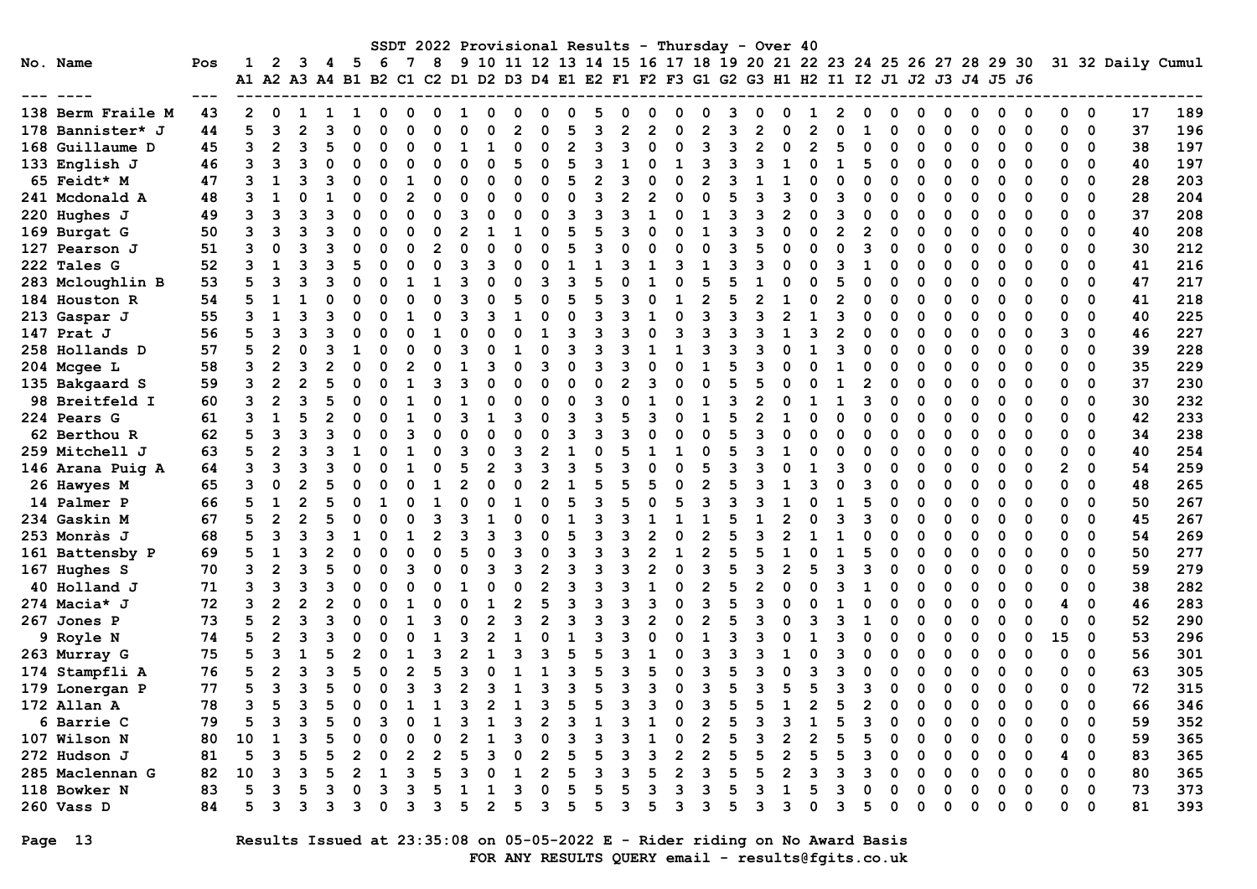| No. Name           | Pos<br>--- |    | 2              | 3 | 4 5      | -6 | 7 | 8 |   |   |   |          |   |   |                |                |   | SSDT 2022 Provisional Results - Thursday - Over 40<br>9 10 11 12 13 14 15 16 17 18 19 20 21 22 23 24 25 26 27 28 29 30<br>A1 A2 A3 A4 B1 B2 C1 C2 D1 D2 D3 D4 E1 E2 F1 F2 F3 G1 G2 G3 H1 H2 I1 I2 J1 J2 J3 J4 J5 J6 |        |          |   |   |   |   |   |          |    |             | 31 32 Daily Cumul |     |
|--------------------|------------|----|----------------|---|----------|----|---|---|---|---|---|----------|---|---|----------------|----------------|---|---------------------------------------------------------------------------------------------------------------------------------------------------------------------------------------------------------------------|--------|----------|---|---|---|---|---|----------|----|-------------|-------------------|-----|
| 138 Berm Fraile M  | 43         |    |                |   |          |    |   |   |   |   |   |          |   |   |                |                |   |                                                                                                                                                                                                                     |        |          |   |   |   |   | 0 | 0        | 0  | 0           | 17                | 189 |
| 178 Bannister* J   | 44         |    | 3              |   | $\Omega$ |    |   |   |   |   |   |          |   |   |                |                |   |                                                                                                                                                                                                                     |        |          |   |   | ŋ |   | ŋ | $\Omega$ | 0  | $\mathbf 0$ | 37                | 196 |
| 168 Guillaume D    | 45         | ٦  | $\mathbf{2}$   | 3 | $\Omega$ | O  |   |   |   | O | O | 2        |   |   | O              | ٩              | 3 |                                                                                                                                                                                                                     | O      | $\Omega$ |   |   | O | O | O | ∩        | O  | 0           | 38                | 197 |
| 133 English J      | 46         |    |                |   | O        |    |   |   |   |   |   | 5        |   |   | O              |                |   |                                                                                                                                                                                                                     |        | 5        |   |   |   |   |   |          | O  | 0           | 40                | 197 |
| 65 Feidt* M        | 47         |    |                |   | O        |    |   |   |   |   |   | 5        |   |   |                |                |   |                                                                                                                                                                                                                     |        |          |   |   | O |   |   |          | O  | 0           | 28                | 203 |
| 241 Mcdonald A     | 48         |    |                |   |          |    |   |   |   |   |   |          |   |   | 2              |                |   |                                                                                                                                                                                                                     | 3      |          |   |   |   |   |   |          | 0  | 0           | 28                | 204 |
| 220 Hughes J       | 49         |    | 3              |   | O        |    |   |   |   |   |   |          |   |   |                |                |   |                                                                                                                                                                                                                     | 2      |          |   |   |   |   |   |          | O  | $\Omega$    | 37                | 208 |
| 169 Burgat G       | 50         |    |                |   |          |    |   |   |   |   |   | 5        |   |   |                |                |   |                                                                                                                                                                                                                     |        |          |   |   |   |   |   |          | O  | 0           | 40                | 208 |
| 127 Pearson J      | 51         | 3  | $\Omega$       |   |          |    |   |   |   | O |   |          |   |   |                |                |   |                                                                                                                                                                                                                     |        | 3        |   |   | O |   | O | O        | 0  | 0           | 30                | 212 |
| 222 Tales G        | 52         |    | ำ              |   |          |    |   |   |   |   |   |          |   |   |                |                |   |                                                                                                                                                                                                                     | O      |          |   |   | O | ŋ | 0 | O        | 0  | 0           | 41                | 216 |
| 283 Mcloughlin B   | 53         |    | 3              |   | O        |    |   |   |   | O |   | ٩        |   |   |                | 5              |   |                                                                                                                                                                                                                     | O<br>O | $\Omega$ |   |   | O | O | O | O        | 0  | 0           | 47                | 217 |
| 184 Houston R      | 54         |    | -1             |   | O        |    |   |   |   |   |   | 5        |   |   | U              |                |   |                                                                                                                                                                                                                     |        | 0        |   |   | ŋ |   | O | ∩        | O  | 0           | 41                | 218 |
| 213 Gaspar J       | 55         |    |                |   | O        |    |   |   |   |   |   |          |   |   |                |                |   |                                                                                                                                                                                                                     | 2      | O        |   |   | ŋ |   | n |          | O  | 0           | 40                | 225 |
| 147 Prat J         | 56         |    |                |   | O        |    |   |   |   |   |   |          |   |   | O              | З              |   |                                                                                                                                                                                                                     |        |          |   |   | O |   | O | O        | 3  | 0           | 46                | 227 |
| 258 Hollands D     | 57         |    | 2              |   |          |    |   |   |   |   |   | 3        |   |   |                |                |   |                                                                                                                                                                                                                     |        |          |   |   |   |   |   |          |    | 0           | 39                | 228 |
| 204 Mcgee L        | 58         |    | 2              |   |          |    |   |   |   |   |   | O        |   |   |                |                |   |                                                                                                                                                                                                                     |        |          |   |   |   |   |   |          | O  | 0           | 35                | 229 |
| 135 Bakgaard S     | 59         |    |                |   |          |    |   |   |   |   |   | O        |   |   |                |                |   |                                                                                                                                                                                                                     |        |          |   |   |   |   |   |          | ŋ  | $\Omega$    | 37                | 230 |
| 98 Breitfeld I     | 60         | 3  | $\overline{2}$ |   |          |    |   |   |   |   |   | $\Omega$ | ٩ |   |                |                |   |                                                                                                                                                                                                                     |        | ٩        |   |   | O |   | O | O        | 0  | 0           | 30                | 232 |
| <b>224 Pears G</b> | 61         |    |                |   | O        |    |   |   |   | З |   |          | 3 |   |                |                |   |                                                                                                                                                                                                                     |        | U        |   |   | O |   | O | O        | 0  | 0           | 42                | 233 |
| 62 Berthou R       | 62         |    | 3              |   | O        |    |   |   |   |   |   | 3        | З | З | U              | O              |   |                                                                                                                                                                                                                     | ი      | 0        |   |   | ŋ |   | O |          | 0  | 0           | 34                | 238 |
| 259 Mitchell J     | 63         |    | 2              |   |          |    |   |   |   |   |   |          |   |   |                |                |   |                                                                                                                                                                                                                     |        | ი        |   |   | ŋ |   | n |          | O  | $\Omega$    | 40                | 254 |
| 146 Arana Puig A   | 64         |    | ٦              |   |          |    |   |   |   |   |   |          |   |   |                |                |   |                                                                                                                                                                                                                     |        | O        |   |   |   |   |   |          | 2  | 0           | 54                | 259 |
| 26 Hawyes M        | 65         |    |                |   |          |    |   |   |   |   |   |          |   |   |                |                |   |                                                                                                                                                                                                                     |        | 3        |   |   | O |   | n |          | O  | 0           | 48                | 265 |
| 14 Palmer P        | 66         |    |                |   |          |    |   |   |   |   |   | 5        | 3 |   | O              |                |   |                                                                                                                                                                                                                     |        | 5        |   |   |   |   |   |          | ŋ  | 0           | 50                | 267 |
| 234 Gaskin M       | 67         |    | $\overline{2}$ |   | O        |    |   |   |   |   |   |          |   |   |                |                |   |                                                                                                                                                                                                                     |        |          |   |   |   |   | n |          | O  | 0           | 45                | 267 |
| 253 Monràs J       | 68         |    | 3              |   |          |    |   | 2 |   |   |   | 5        |   |   |                |                |   |                                                                                                                                                                                                                     |        |          |   |   |   |   | O |          | ი  | 0           | 54                | 269 |
| 161 Battensby P    | 69         |    |                |   | O        |    |   |   |   |   |   |          |   |   |                |                |   |                                                                                                                                                                                                                     |        |          |   |   | O |   | O | O        | 0  | 0           | 50                | 277 |
| 167 Hughes S       | 70         |    | $\mathbf{2}$   |   | O        |    |   |   |   | З |   | 3        |   |   | 2              | 3              |   |                                                                                                                                                                                                                     | 2      | 3        |   |   | O | ი | 0 | O        | 0  | 0           | 59                | 279 |
| 40 Holland J       | 71         |    | 3              |   | O        |    |   |   |   | O |   | 3        | 3 |   | 1              | $\overline{2}$ |   |                                                                                                                                                                                                                     | O      | -1       |   |   | O | O | O | O        | 0  | 0           | 38                | 282 |
| 274 Macia* J       | 72         |    | 2              |   | O        |    |   |   |   |   |   |          |   |   |                | З              |   |                                                                                                                                                                                                                     |        | ი        |   |   | O |   | O | ∩        | 4  | 0           | 46                | 283 |
| 267 Jones P        | 73         |    | 2              |   | O        |    |   |   |   |   |   | ٩        |   |   | $\mathfrak{p}$ |                |   |                                                                                                                                                                                                                     |        |          |   |   | O |   | O | O        | 0  | 0           | 52                | 290 |
| 9 Royle N          | 74         |    |                |   |          |    |   |   |   |   |   |          |   |   | $\Omega$       |                |   |                                                                                                                                                                                                                     |        |          |   |   | O |   | O | O        | 15 | 0           | 53                | 296 |
| 263 Murray G       | 75         |    |                |   |          |    |   |   |   |   |   | 5        |   |   |                |                |   |                                                                                                                                                                                                                     |        |          |   |   |   |   | O |          | O  | 0           | 56                | 301 |
| 174 Stampfli A     | 76         |    | 2              |   |          |    |   |   |   |   |   | ٩        |   |   |                | ว              |   |                                                                                                                                                                                                                     |        | ი        |   |   |   |   | n | ∩        | ŋ  | $\Omega$    | 63                | 305 |
| 179 Lonergan P     | 77         |    | 3              |   | O        |    |   | 3 |   |   |   |          | 5 | 3 | ٩              | 3              |   |                                                                                                                                                                                                                     | 5      | 3        |   |   |   |   |   |          | ი  | $\Omega$    | 72                | 315 |
| 172 Allan A        | 78         |    |                |   | 0        |    |   |   | 2 |   |   | د        |   |   |                |                |   |                                                                                                                                                                                                                     |        |          |   |   |   |   |   |          |    | 0           | 66                | 346 |
| 6 Barrie C         | 79         |    | 3              |   |          |    |   |   |   | 3 |   |          |   |   |                |                |   |                                                                                                                                                                                                                     |        |          |   |   |   |   |   | 0        | ი  | 0           | 59                | 352 |
| 107 Wilson N       | 80         | 10 | 1              |   |          |    |   |   |   |   |   | 3        |   |   |                |                |   |                                                                                                                                                                                                                     | 2      | 5        |   |   | 0 | 0 | 0 | 0        | 0  | 0           | 59                | 365 |
| 272 Hudson J       | 81         | 5  | 3              |   | 2        |    |   | 2 |   |   |   | 5        |   |   |                | 2              |   |                                                                                                                                                                                                                     | 2      | 3        |   |   | O |   | 0 | 0        | 4  | 0           | 83                | 365 |
| 285 Maclennan G    | 82         | 10 | 3              |   | 2        |    |   |   |   |   |   | 5        |   |   |                |                |   |                                                                                                                                                                                                                     | 2      |          |   |   |   |   | 0 | 0        | O  | 0           | 80                | 365 |
| 118 Bowker N       | 83         | 5  | 3              |   | O        |    |   |   |   |   |   | 5        |   |   |                | 3              |   |                                                                                                                                                                                                                     |        |          |   |   | 0 |   | 0 | 0        | 0  | 0           | 73                | 373 |
| 260 Vass D         | 84         | 5  | 3              |   | з        | 0  | 3 | з | 2 |   |   | 5        |   |   |                | 3              |   |                                                                                                                                                                                                                     | 3      | 5        | 0 | 0 | 0 | 0 | 0 | 0        | 0  | 0           | 81                | 393 |

Page 13 Results Issued at 23:35:08 on 05-05-2022 E - Rider riding on No Award Basis FOR ANY RESULTS QUERY email - results@fgits.co.uk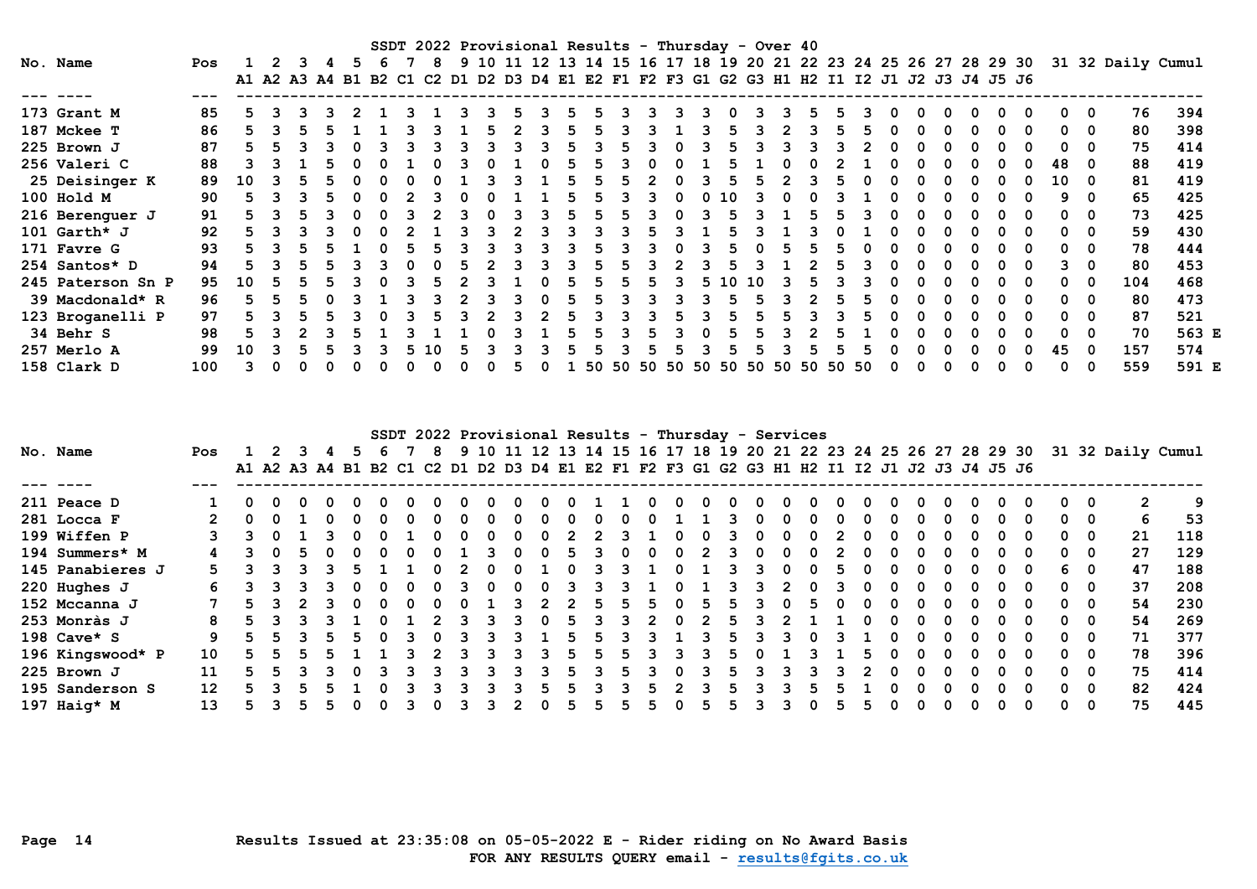|                   |     |    |  |    |  |    | SSDT 2022 Provisional Results - Thursday - Over 40                                        |  |  |       |   |                   |    |        |     |    |       |  |   |  |   |    |     |                                                                                    |       |
|-------------------|-----|----|--|----|--|----|-------------------------------------------------------------------------------------------|--|--|-------|---|-------------------|----|--------|-----|----|-------|--|---|--|---|----|-----|------------------------------------------------------------------------------------|-------|
| No. Name          | Pos |    |  |    |  |    |                                                                                           |  |  |       |   |                   |    |        |     |    |       |  |   |  |   |    |     | 9 10 11 12 13 14 15 16 17 18 19 20 21 22 23 24 25 26 27 28 29 30 31 32 Daily Cumul |       |
|                   |     |    |  |    |  |    | A1 A2 A3 A4 B1 B2 C1 C2 D1 D2 D3 D4 E1 E2 F1 F2 F3 G1 G2 G3 H1 H2 I1 I2 J1 J2 J3 J4 J5 J6 |  |  |       |   |                   |    |        |     |    |       |  |   |  |   |    |     |                                                                                    |       |
|                   |     |    |  |    |  |    |                                                                                           |  |  |       |   |                   |    |        |     |    |       |  |   |  |   |    |     |                                                                                    |       |
| 173 Grant M       | 85  |    |  |    |  |    |                                                                                           |  |  |       |   |                   |    |        |     |    |       |  | 0 |  | 0 |    | 0   | 76                                                                                 | 394   |
| 187 Mckee T       | 86  |    |  |    |  |    |                                                                                           |  |  |       |   |                   |    |        |     |    |       |  |   |  | 0 |    | 0   | 80                                                                                 | 398   |
| 225 Brown J       | 87  |    |  |    |  |    |                                                                                           |  |  |       |   |                   |    |        |     |    |       |  |   |  |   |    | 0   | 75                                                                                 | 414   |
| 256 Valeri C      | 88  |    |  |    |  |    |                                                                                           |  |  |       |   |                   |    |        |     |    |       |  |   |  |   | 48 | 0   | 88                                                                                 | 419   |
| 25 Deisinger K    | 89  | 10 |  |    |  |    |                                                                                           |  |  |       |   |                   |    |        |     |    |       |  |   |  |   | 10 | - 0 | 81                                                                                 | 419   |
| 100 Hold M        | 90  |    |  |    |  |    |                                                                                           |  |  |       |   |                   |    | 10     |     |    |       |  |   |  |   |    | n   | 65                                                                                 | 425   |
| 216 Berenguer J   | 91  |    |  |    |  |    |                                                                                           |  |  |       |   |                   |    |        |     |    |       |  |   |  |   |    | 0   | 73                                                                                 | 425   |
| 101 $Garth*$ J    | 92  |    |  |    |  |    |                                                                                           |  |  |       |   |                   |    |        |     |    |       |  |   |  |   |    | 0   | 59                                                                                 | 430   |
| 171 Favre G       | 93  |    |  |    |  |    |                                                                                           |  |  |       |   |                   |    |        |     |    |       |  |   |  |   |    | 0   | 78                                                                                 | 444   |
| 254 Santos* D     | 94  |    |  |    |  |    |                                                                                           |  |  |       |   |                   |    |        |     |    |       |  |   |  |   |    | 0   | 80                                                                                 | 453   |
| 245 Paterson Sn P | 95  | 10 |  | 5. |  |    |                                                                                           |  |  |       | 5 |                   | 5. | ່ 1 ປີ | 10. |    |       |  |   |  | 0 |    | 0   | 104                                                                                | 468   |
| 39 Macdonald* R   | 96  |    |  |    |  |    |                                                                                           |  |  |       |   |                   |    |        |     |    |       |  |   |  | n |    | 0   | 80                                                                                 | 473   |
| 123 Broganelli P  | 97  |    |  |    |  |    |                                                                                           |  |  |       |   |                   |    |        |     |    |       |  |   |  |   |    | 0   | 87                                                                                 | 521   |
| 34 Behr S         | 98  |    |  |    |  |    |                                                                                           |  |  |       |   |                   |    |        |     |    |       |  |   |  |   |    | 0   | 70                                                                                 | 563 E |
| 257 Merlo A       | 99  | 10 |  |    |  | 5. | <b>10</b>                                                                                 |  |  |       |   |                   |    |        |     |    |       |  |   |  |   | 45 | 0   | 157                                                                                | 574   |
| 158 Clark D       | 100 |    |  |    |  |    |                                                                                           |  |  | 50 50 |   | 50 50 50 50 50 50 |    |        |     | 50 | 50 50 |  |   |  |   |    |     | 559                                                                                | 591 E |

|                  |     |    |  |              |  |    |  |   |   |              |   |          |               |    | SSDT 2022 Provisional Results - Thursday - Services                                       |   |  |              |  |   |              |          |              |          |                                                                                    |     |
|------------------|-----|----|--|--------------|--|----|--|---|---|--------------|---|----------|---------------|----|-------------------------------------------------------------------------------------------|---|--|--------------|--|---|--------------|----------|--------------|----------|------------------------------------------------------------------------------------|-----|
| No. Name         | Pos | -2 |  | 5.           |  | -8 |  |   |   |              |   |          |               |    |                                                                                           |   |  |              |  |   |              |          |              |          | 9 10 11 12 13 14 15 16 17 18 19 20 21 22 23 24 25 26 27 28 29 30 31 32 Daily Cumul |     |
|                  |     |    |  |              |  |    |  |   |   |              |   |          |               |    | A1 A2 A3 A4 B1 B2 C1 C2 D1 D2 D3 D4 E1 E2 F1 F2 F3 G1 G2 G3 H1 H2 I1 I2 J1 J2 J3 J4 J5 J6 |   |  |              |  |   |              |          |              |          |                                                                                    |     |
|                  |     |    |  |              |  |    |  |   |   |              |   |          |               |    |                                                                                           |   |  |              |  |   |              |          |              |          |                                                                                    |     |
| 211 Peace D      |     |    |  |              |  |    |  |   |   |              |   |          |               |    | 0                                                                                         |   |  |              |  |   |              |          |              |          | $\mathbf{2}$                                                                       | -9  |
| 281 Locca F      |     |    |  |              |  |    |  | 0 | 0 | <sup>0</sup> |   |          |               |    | 0                                                                                         |   |  | 0            |  |   | <sup>0</sup> |          | $\bullet$ 0  | 0        | 6                                                                                  | 53  |
| 199 Wiffen P     |     |    |  |              |  |    |  |   |   |              |   |          |               |    |                                                                                           |   |  |              |  |   |              |          | 0            | 0        | 21                                                                                 | 118 |
| 194 Summers* M   |     |    |  |              |  |    |  |   |   |              |   |          | $\mathcal{P}$ |    | <sup>0</sup>                                                                              |   |  | <sup>0</sup> |  |   | <sup>n</sup> |          | <sup>n</sup> | - 0      | 27                                                                                 | 129 |
| 145 Panabieres J |     |    |  |              |  |    |  |   |   |              |   |          |               |    |                                                                                           |   |  |              |  |   |              |          | 6.           | - 0      | 47                                                                                 | 188 |
| $220$ Hughes J   |     |    |  |              |  |    |  | 0 |   |              |   |          |               |    |                                                                                           |   |  | 0            |  |   | 0            |          | 0            | 0        | 37                                                                                 | 208 |
| 152 Mccanna J    |     |    |  |              |  |    |  | વ |   | 5            |   |          | 5.            |    |                                                                                           |   |  |              |  |   | n            |          | 0            | 0        | 54                                                                                 | 230 |
| 253 Monràs J     | 8   |    |  |              |  |    |  |   |   |              |   |          |               |    |                                                                                           |   |  |              |  |   | <sup>n</sup> |          | n.           | - 0      | 54                                                                                 | 269 |
| 198 $Cave* S$    | 9   |    |  |              |  |    |  | 3 |   | h.           | 3 |          |               | h  |                                                                                           | 3 |  |              |  |   | <sup>n</sup> |          | <sup>n</sup> | 0        | 71                                                                                 | 377 |
| 196 Kingswood* P | 10  |    |  |              |  |    |  | 3 | h | 5            |   |          |               | h. |                                                                                           |   |  | 5.           |  |   | 0            | - 0      | $\Omega$     | 0        | 78                                                                                 | 396 |
| 225 Brown J      | 11  |    |  | <sup>0</sup> |  | 3  |  | 3 | 5 |              |   | $\Omega$ |               | 5  |                                                                                           |   |  |              |  |   | <sup>0</sup> |          | $\Omega$     | 0        | 75                                                                                 | 414 |
| 195 Sanderson S  | 12  |    |  |              |  |    |  |   |   |              |   |          |               |    |                                                                                           |   |  |              |  |   | n            |          | <sup>n</sup> | 0        | 82                                                                                 | 424 |
| 197 Haig* M      | 13  |    |  |              |  |    |  | 2 |   | 5.           |   |          |               |    |                                                                                           | 3 |  | 5            |  | 0 | $\Omega$     | $\Omega$ | 0            | $\Omega$ | 75                                                                                 | 445 |